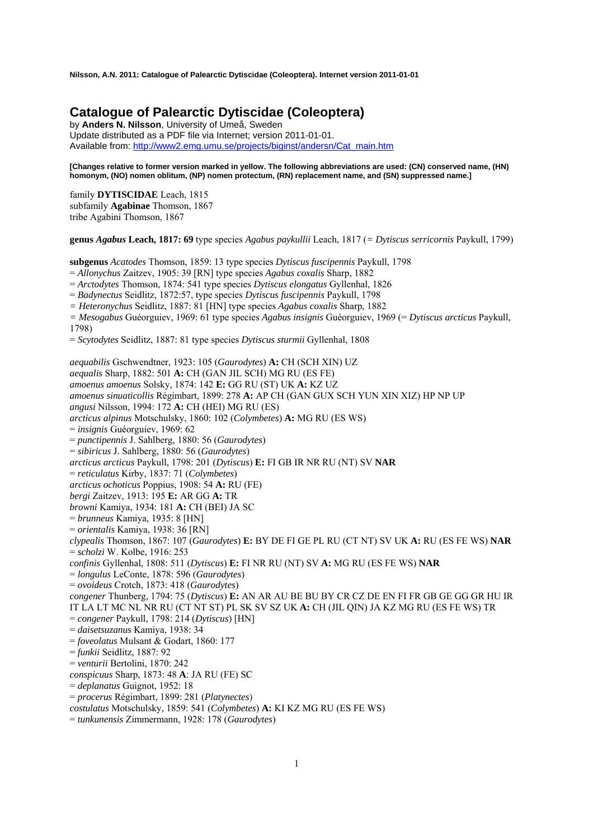# **Catalogue of Palearctic Dytiscidae (Coleoptera)**

by **Anders N. Nilsson**, University of Umeå, Sweden Update distributed as a PDF file via Internet; version 2011-01-01. Available from: http://www2.emg.umu.se/projects/biginst/andersn/Cat\_main.htm

**[Changes relative to former version marked in yellow. The following abbreviations are used: (CN) conserved name, (HN) homonym, (NO) nomen oblitum, (NP) nomen protectum, (RN) replacement name, and (SN) suppressed name.]** 

family **DYTISCIDAE** Leach, 1815 subfamily **Agabinae** Thomson, 1867 tribe Agabini Thomson, 1867

**genus** *Agabus* **Leach, 1817: 69** type species *Agabus paykullii* Leach, 1817 (*= Dytiscus serricornis* Paykull, 1799)

**subgenus** *Acatodes* Thomson, 1859: 13 type species *Dytiscus fuscipennis* Paykull, 1798

= *Allonychus* Zaitzev, 1905: 39 [RN] type species *Agabus coxalis* Sharp, 1882

= *Arctodytes* Thomson, 1874: 541 type species *Dytiscus elongatus* Gyllenhal, 1826

= *Badynectus* Seidlitz, 1872:57, type species *Dytiscus fuscipennis* Paykull, 1798

*= Heteronychus* Seidlitz, 1887: 81 [HN] type species *Agabus coxalis* Sharp, 1882

*= Mesogabus* Guéorguiev, 1969: 61 type species *Agabus insignis* Guéorguiev, 1969 (= *Dytiscus arcticus* Paykull, 1798)

= *Scytodytes* Seidlitz, 1887: 81 type species *Dytiscus sturmii* Gyllenhal, 1808

*aequabilis* Gschwendtner, 1923: 105 (*Gaurodytes*) **A:** CH (SCH XIN) UZ *aequalis* Sharp, 1882: 501 **A:** CH (GAN JIL SCH) MG RU (ES FE) *amoenus amoenus* Solsky, 1874: 142 **E:** GG RU (ST) UK **A:** KZ UZ *amoenus sinuaticollis* Régimbart, 1899: 278 **A:** AP CH (GAN GUX SCH YUN XIN XIZ) HP NP UP *angusi* Nilsson, 1994: 172 **A:** CH (HEI) MG RU (ES) *arcticus alpinus* Motschulsky, 1860: 102 (*Colymbetes*) **A:** MG RU (ES WS) = *insignis* Guéorguiev, 1969: 62 = *punctipennis* J. Sahlberg, 1880: 56 (*Gaurodytes*) = *sibiricus* J. Sahlberg, 1880: 56 (*Gaurodytes*) *arcticus arcticus* Paykull, 1798: 201 (*Dytiscus*) **E:** FI GB IR NR RU (NT) SV **NAR** = *reticulatus* Kirby, 1837: 71 (*Colymbetes*) *arcticus ochoticus* Poppius, 1908: 54 **A:** RU (FE) *bergi* Zaitzev, 1913: 195 **E:** AR GG **A:** TR *browni* Kamiya, 1934: 181 **A:** CH (BEI) JA SC = *brunneus* Kamiya, 1935: 8 [HN] = *orientalis* Kamiya, 1938: 36 [RN] *clypealis* Thomson, 1867: 107 (*Gaurodytes*) **E:** BY DE FI GE PL RU (CT NT) SV UK **A:** RU (ES FE WS) **NAR** = *scholzi* W. Kolbe, 1916: 253 *confinis* Gyllenhal, 1808: 511 (*Dytiscus*) **E:** FI NR RU (NT) SV **A:** MG RU (ES FE WS) **NAR** = *longulus* LeConte, 1878: 596 (*Gaurodytes*) = *ovoideus* Crotch, 1873: 418 (*Gaurodytes*) *congener* Thunberg, 1794: 75 (*Dytiscus*) **E:** AN AR AU BE BU BY CR CZ DE EN FI FR GB GE GG GR HU IR IT LA LT MC NL NR RU (CT NT ST) PL SK SV SZ UK **A:** CH (JIL QIN) JA KZ MG RU (ES FE WS) TR = *congener* Paykull, 1798: 214 (*Dytiscus*) [HN] = *daisetsuzanus* Kamiya, 1938: 34 = *foveolatus* Mulsant & Godart, 1860: 177 = *funkii* Seidlitz, 1887: 92 = *venturii* Bertolini, 1870: 242 *conspicuus* Sharp, 1873: 48 **A**: JA RU (FE) SC = *deplanatus* Guignot, 1952: 18 = *procerus* Régimbart, 1899: 281 (*Platynectes*) *costulatus* Motschulsky, 1859: 541 (*Colymbetes*) **A:** KI KZ MG RU (ES FE WS)

= *tunkunensis* Zimmermann, 1928: 178 (*Gaurodytes*)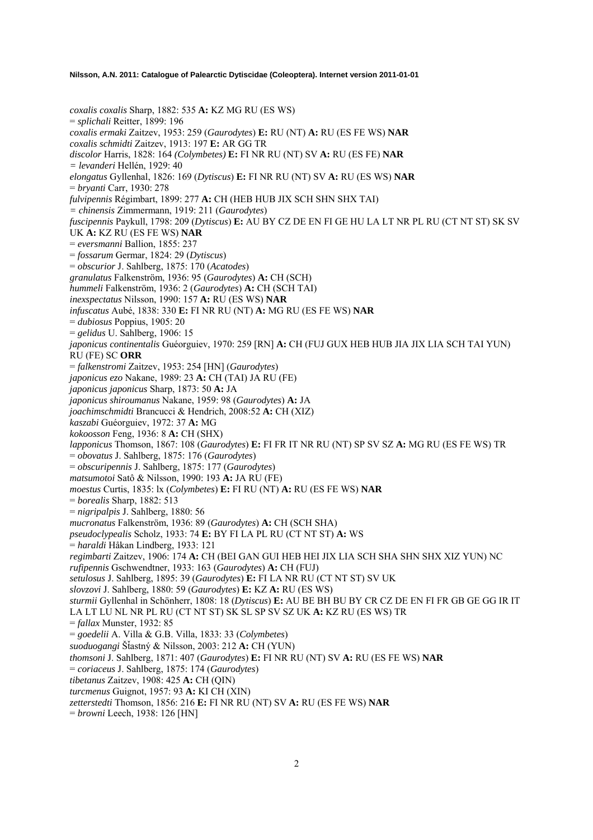*coxalis coxalis* Sharp, 1882: 535 **A:** KZ MG RU (ES WS) = *splichali* Reitter, 1899: 196 *coxalis ermaki* Zaitzev, 1953: 259 (*Gaurodytes*) **E:** RU (NT) **A:** RU (ES FE WS) **NAR** *coxalis schmidti* Zaitzev, 1913: 197 **E:** AR GG TR *discolor* Harris, 1828: 164 *(Colymbetes)* **E:** FI NR RU (NT) SV **A:** RU (ES FE) **NAR** *= levanderi* Hellén, 1929: 40 *elongatus* Gyllenhal, 1826: 169 (*Dytiscus*) **E:** FI NR RU (NT) SV **A:** RU (ES WS) **NAR** = *bryanti* Carr, 1930: 278 *fulvipennis* Régimbart, 1899: 277 **A:** CH (HEB HUB JIX SCH SHN SHX TAI) *= chinensis* Zimmermann, 1919: 211 (*Gaurodytes*) *fuscipennis* Paykull, 1798: 209 (*Dytiscus*) **E:** AU BY CZ DE EN FI GE HU LA LT NR PL RU (CT NT ST) SK SV UK **A:** KZ RU (ES FE WS) **NAR** = *eversmanni* Ballion, 1855: 237 = *fossarum* Germar, 1824: 29 (*Dytiscus*) = *obscurior* J. Sahlberg, 1875: 170 (*Acatodes*) *granulatus* Falkenström, 1936: 95 (*Gaurodytes*) **A:** CH (SCH) *hummeli* Falkenström, 1936: 2 (*Gaurodytes*) **A:** CH (SCH TAI) *inexspectatus* Nilsson, 1990: 157 **A:** RU (ES WS) **NAR** *infuscatus* Aubé, 1838: 330 **E:** FI NR RU (NT) **A:** MG RU (ES FE WS) **NAR** = *dubiosus* Poppius, 1905: 20 = *gelidus* U. Sahlberg, 1906: 15 *japonicus continentalis* Guéorguiev, 1970: 259 [RN] **A:** CH (FUJ GUX HEB HUB JIA JIX LIA SCH TAI YUN) RU (FE) SC **ORR** = *falkenstromi* Zaitzev, 1953: 254 [HN] (*Gaurodytes*) *japonicus ezo* Nakane, 1989: 23 **A:** CH (TAI) JA RU (FE) *japonicus japonicus* Sharp, 1873: 50 **A:** JA *japonicus shiroumanus* Nakane, 1959: 98 (*Gaurodytes*) **A:** JA *joachimschmidti* Brancucci & Hendrich, 2008:52 **A:** CH (XIZ) *kaszabi* Guéorguiev, 1972: 37 **A:** MG *kokoosson* Feng, 1936: 8 **A:** CH (SHX) *lapponicus* Thomson, 1867: 108 (*Gaurodytes*) **E:** FI FR IT NR RU (NT) SP SV SZ **A:** MG RU (ES FE WS) TR = *obovatus* J. Sahlberg, 1875: 176 (*Gaurodytes*) = *obscuripennis* J. Sahlberg, 1875: 177 (*Gaurodytes*) *matsumotoi* Satô & Nilsson, 1990: 193 **A:** JA RU (FE) *moestus* Curtis, 1835: lx (*Colymbetes*) **E:** FI RU (NT) **A:** RU (ES FE WS) **NAR** = *borealis* Sharp, 1882: 513 = *nigripalpis* J. Sahlberg, 1880: 56 *mucronatus* Falkenström, 1936: 89 (*Gaurodytes*) **A:** CH (SCH SHA) *pseudoclypealis* Scholz, 1933: 74 **E:** BY FI LA PL RU (CT NT ST) **A:** WS = *haraldi* Håkan Lindberg, 1933: 121 *regimbarti* Zaitzev, 1906: 174 **A:** CH (BEI GAN GUI HEB HEI JIX LIA SCH SHA SHN SHX XIZ YUN) NC *rufipennis* Gschwendtner, 1933: 163 (*Gaurodytes*) **A:** CH (FUJ) *setulosus* J. Sahlberg, 1895: 39 (*Gaurodytes*) **E:** FI LA NR RU (CT NT ST) SV UK *slovzovi* J. Sahlberg, 1880: 59 (*Gaurodytes*) **E:** KZ **A:** RU (ES WS) *sturmii* Gyllenhal in Schönherr, 1808: 18 (*Dytiscus*) **E:** AU BE BH BU BY CR CZ DE EN FI FR GB GE GG IR IT LA LT LU NL NR PL RU (CT NT ST) SK SL SP SV SZ UK **A:** KZ RU (ES WS) TR = *fallax* Munster, 1932: 85 = *goedelii* A. Villa & G.B. Villa, 1833: 33 (*Colymbetes*) *suoduogangi* ŠÄastný & Nilsson, 2003: 212 **A:** CH (YUN) *thomsoni* J. Sahlberg, 1871: 407 (*Gaurodytes*) **E:** FI NR RU (NT) SV **A:** RU (ES FE WS) **NAR**  = *coriaceus* J. Sahlberg, 1875: 174 (*Gaurodytes*) *tibetanus* Zaitzev, 1908: 425 **A:** CH (QIN) *turcmenus* Guignot, 1957: 93 **A:** KI CH (XIN) *zetterstedti* Thomson, 1856: 216 **E:** FI NR RU (NT) SV **A:** RU (ES FE WS) **NAR** = *browni* Leech, 1938: 126 [HN]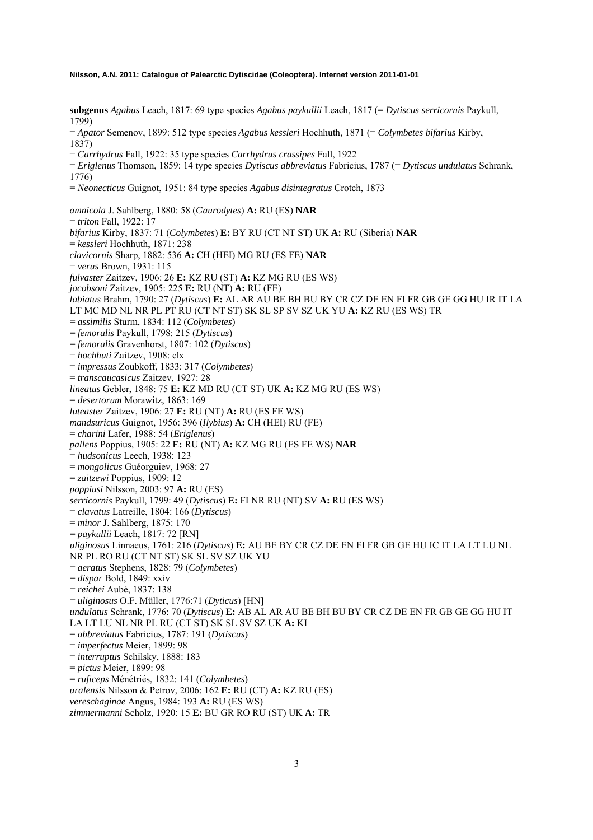**subgenus** *Agabus* Leach, 1817: 69 type species *Agabus paykullii* Leach, 1817 (= *Dytiscus serricornis* Paykull, 1799) = *Apator* Semenov, 1899: 512 type species *Agabus kessleri* Hochhuth, 1871 (= *Colymbetes bifarius* Kirby, 1837) = *Carrhydrus* Fall, 1922: 35 type species *Carrhydrus crassipes* Fall, 1922 = *Eriglenus* Thomson, 1859: 14 type species *Dytiscus abbreviatus* Fabricius, 1787 (= *Dytiscus undulatus* Schrank, 1776) = *Neonecticus* Guignot, 1951: 84 type species *Agabus disintegratus* Crotch, 1873 *amnicola* J. Sahlberg, 1880: 58 (*Gaurodytes*) **A:** RU (ES) **NAR**  = *triton* Fall, 1922: 17 *bifarius* Kirby, 1837: 71 (*Colymbetes*) **E:** BY RU (CT NT ST) UK **A:** RU (Siberia) **NAR**  = *kessleri* Hochhuth, 1871: 238 *clavicornis* Sharp, 1882: 536 **A:** CH (HEI) MG RU (ES FE) **NAR**  = *verus* Brown, 1931: 115 *fulvaster* Zaitzev, 1906: 26 **E:** KZ RU (ST) **A:** KZ MG RU (ES WS) *jacobsoni* Zaitzev, 1905: 225 **E:** RU (NT) **A:** RU (FE) *labiatus* Brahm, 1790: 27 (*Dytiscus*) **E:** AL AR AU BE BH BU BY CR CZ DE EN FI FR GB GE GG HU IR IT LA LT MC MD NL NR PL PT RU (CT NT ST) SK SL SP SV SZ UK YU **A:** KZ RU (ES WS) TR = *assimilis* Sturm, 1834: 112 (*Colymbetes*) = *femoralis* Paykull, 1798: 215 (*Dytiscus*) = *femoralis* Gravenhorst, 1807: 102 (*Dytiscus*) = *hochhuti* Zaitzev, 1908: clx = *impressus* Zoubkoff, 1833: 317 (*Colymbetes*) = *transcaucasicus* Zaitzev, 1927: 28 *lineatus* Gebler, 1848: 75 **E:** KZ MD RU (CT ST) UK **A:** KZ MG RU (ES WS) = *desertorum* Morawitz, 1863: 169 *luteaster* Zaitzev, 1906: 27 **E:** RU (NT) **A:** RU (ES FE WS) *mandsuricus* Guignot, 1956: 396 (*Ilybius*) **A:** CH (HEI) RU (FE) = *charini* Lafer, 1988: 54 (*Eriglenus*) *pallens* Poppius, 1905: 22 **E:** RU (NT) **A:** KZ MG RU (ES FE WS) **NAR**  = *hudsonicus* Leech, 1938: 123 = *mongolicus* Guéorguiev, 1968: 27 = *zaitzewi* Poppius, 1909: 12 *poppiusi* Nilsson, 2003: 97 **A:** RU (ES) *serricornis* Paykull, 1799: 49 (*Dytiscus*) **E:** FI NR RU (NT) SV **A:** RU (ES WS) = *clavatus* Latreille, 1804: 166 (*Dytiscus*) = *minor* J. Sahlberg, 1875: 170 = *paykullii* Leach, 1817: 72 [RN] *uliginosus* Linnaeus, 1761: 216 (*Dytiscus*) **E:** AU BE BY CR CZ DE EN FI FR GB GE HU IC IT LA LT LU NL NR PL RO RU (CT NT ST) SK SL SV SZ UK YU = *aeratus* Stephens, 1828: 79 (*Colymbetes*) = *dispar* Bold, 1849: xxiv = *reichei* Aubé, 1837: 138 = *uliginosus* O.F. Müller, 1776:71 (*Dyticus*) [HN] *undulatus* Schrank, 1776: 70 (*Dytiscus*) **E:** AB AL AR AU BE BH BU BY CR CZ DE EN FR GB GE GG HU IT LA LT LU NL NR PL RU (CT ST) SK SL SV SZ UK **A:** KI = *abbreviatus* Fabricius, 1787: 191 (*Dytiscus*) = *imperfectus* Meier, 1899: 98 = *interruptus* Schilsky, 1888: 183 = *pictus* Meier, 1899: 98 = *ruficeps* Ménétriés, 1832: 141 (*Colymbetes*) *uralensis* Nilsson & Petrov, 2006: 162 **E:** RU (CT) **A:** KZ RU (ES) *vereschaginae* Angus, 1984: 193 **A:** RU (ES WS) *zimmermanni* Scholz, 1920: 15 **E:** BU GR RO RU (ST) UK **A:** TR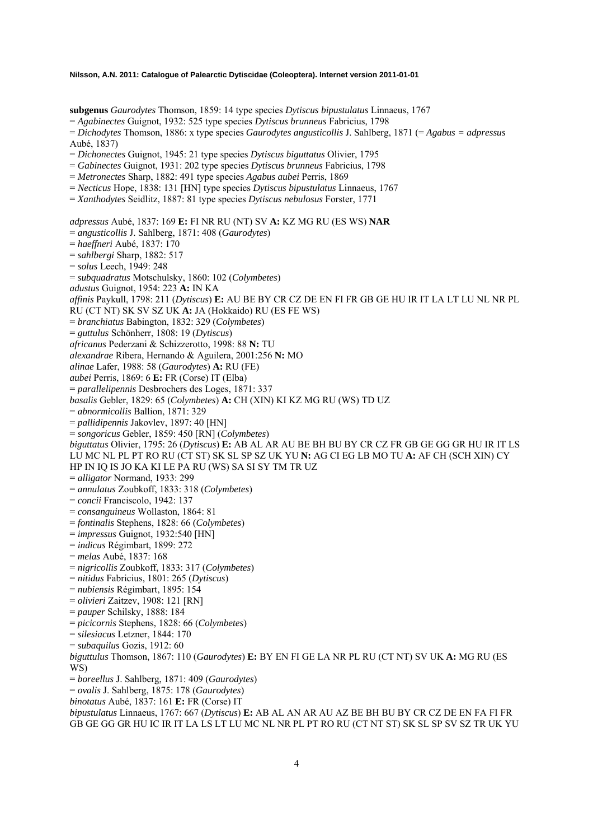**subgenus** *Gaurodytes* Thomson, 1859: 14 type species *Dytiscus bipustulatus* Linnaeus, 1767

= *Agabinectes* Guignot, 1932: 525 type species *Dytiscus brunneus* Fabricius, 1798

= *Dichodytes* Thomson, 1886: x type species *Gaurodytes angusticollis* J. Sahlberg, 1871 (= *Agabus = adpressus* Aubé, 1837)

= *Dichonectes* Guignot, 1945: 21 type species *Dytiscus biguttatus* Olivier, 1795

= *Gabinectes* Guignot, 1931: 202 type species *Dytiscus brunneus* Fabricius, 1798

= *Metronectes* Sharp, 1882: 491 type species *Agabus aubei* Perris, 1869

= *Necticus* Hope, 1838: 131 [HN] type species *Dytiscus bipustulatus* Linnaeus, 1767

= *Xanthodytes* Seidlitz, 1887: 81 type species *Dytiscus nebulosus* Forster, 1771

*adpressus* Aubé, 1837: 169 **E:** FI NR RU (NT) SV **A:** KZ MG RU (ES WS) **NAR** 

= *angusticollis* J. Sahlberg, 1871: 408 (*Gaurodytes*)

= *haeffneri* Aubé, 1837: 170

= *sahlbergi* Sharp, 1882: 517

= *solus* Leech, 1949: 248

= *subquadratus* Motschulsky, 1860: 102 (*Colymbetes*)

*adustus* Guignot, 1954: 223 **A:** IN KA

*affinis* Paykull, 1798: 211 (*Dytiscus*) **E:** AU BE BY CR CZ DE EN FI FR GB GE HU IR IT LA LT LU NL NR PL

RU (CT NT) SK SV SZ UK **A:** JA (Hokkaido) RU (ES FE WS)

= *branchiatus* Babington, 1832: 329 (*Colymbetes*)

= *guttulus* Schönherr, 1808: 19 (*Dytiscus*)

*africanus* Pederzani & Schizzerotto, 1998: 88 **N:** TU

*alexandrae* Ribera, Hernando & Aguilera, 2001:256 **N:** MO

*alinae* Lafer, 1988: 58 (*Gaurodytes*) **A:** RU (FE)

*aubei* Perris, 1869: 6 **E:** FR (Corse) IT (Elba)

= *parallelipennis* Desbrochers des Loges, 1871: 337

*basalis* Gebler, 1829: 65 (*Colymbetes*) **A:** CH (XIN) KI KZ MG RU (WS) TD UZ

= *abnormicollis* Ballion, 1871: 329

= *pallidipennis* Jakovlev, 1897: 40 [HN]

= *songoricus* Gebler, 1859: 450 [RN] (*Colymbetes*)

*biguttatus* Olivier, 1795: 26 (*Dytiscus*) **E:** AB AL AR AU BE BH BU BY CR CZ FR GB GE GG GR HU IR IT LS LU MC NL PL PT RO RU (CT ST) SK SL SP SZ UK YU **N:** AG CI EG LB MO TU **A:** AF CH (SCH XIN) CY

HP IN IQ IS JO KA KI LE PA RU (WS) SA SI SY TM TR UZ

- = *alligator* Normand, 1933: 299
- = *annulatus* Zoubkoff, 1833: 318 (*Colymbetes*)
- = *concii* Franciscolo, 1942: 137

= *consanguineus* Wollaston, 1864: 81

= *fontinalis* Stephens, 1828: 66 (*Colymbetes*)

= *impressus* Guignot, 1932:540 [HN]

= *indicus* Régimbart, 1899: 272

= *melas* Aubé, 1837: 168

= *nigricollis* Zoubkoff, 1833: 317 (*Colymbetes*)

= *nitidus* Fabricius, 1801: 265 (*Dytiscus*)

= *nubiensis* Régimbart, 1895: 154

= *olivieri* Zaitzev, 1908: 121 [RN]

= *pauper* Schilsky, 1888: 184

= *picicornis* Stephens, 1828: 66 (*Colymbetes*)

= *silesiacus* Letzner, 1844: 170

= *subaquilus* Gozis, 1912: 60

*biguttulus* Thomson, 1867: 110 (*Gaurodytes*) **E:** BY EN FI GE LA NR PL RU (CT NT) SV UK **A:** MG RU (ES WS)

= *boreellus* J. Sahlberg, 1871: 409 (*Gaurodytes*)

= *ovalis* J. Sahlberg, 1875: 178 (*Gaurodytes*)

*binotatus* Aubé, 1837: 161 **E:** FR (Corse) IT

*bipustulatus* Linnaeus, 1767: 667 (*Dytiscus*) **E:** AB AL AN AR AU AZ BE BH BU BY CR CZ DE EN FA FI FR GB GE GG GR HU IC IR IT LA LS LT LU MC NL NR PL PT RO RU (CT NT ST) SK SL SP SV SZ TR UK YU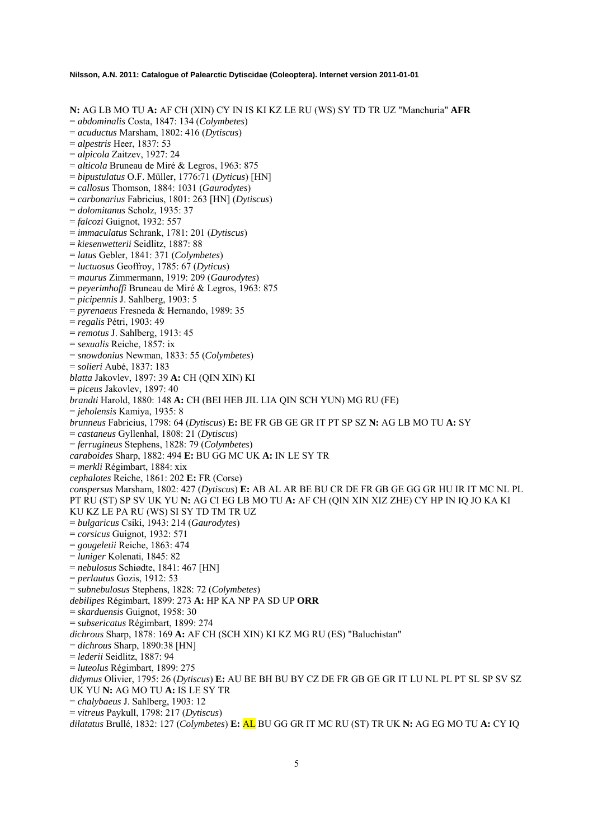**N:** AG LB MO TU **A:** AF CH (XIN) CY IN IS KI KZ LE RU (WS) SY TD TR UZ "Manchuria" **AFR** 

= *abdominalis* Costa, 1847: 134 (*Colymbetes*)

- = *acuductus* Marsham, 1802: 416 (*Dytiscus*)
- = *alpestris* Heer, 1837: 53
- = *alpicola* Zaitzev, 1927: 24
- = *alticola* Bruneau de Miré & Legros, 1963: 875
- = *bipustulatus* O.F. Müller, 1776:71 (*Dyticus*) [HN]
- = *callosus* Thomson, 1884: 1031 (*Gaurodytes*)
- = *carbonarius* Fabricius, 1801: 263 [HN] (*Dytiscus*)
- = *dolomitanus* Scholz, 1935: 37
- = *falcozi* Guignot, 1932: 557
- = *immaculatus* Schrank, 1781: 201 (*Dytiscus*)
- = *kiesenwetterii* Seidlitz, 1887: 88
- = *latus* Gebler, 1841: 371 (*Colymbetes*)
- = *luctuosus* Geoffroy, 1785: 67 (*Dyticus*)
- = *maurus* Zimmermann, 1919: 209 (*Gaurodytes*)
- = *peyerimhoffi* Bruneau de Miré & Legros, 1963: 875
- = *picipennis* J. Sahlberg, 1903: 5
- = *pyrenaeus* Fresneda & Hernando, 1989: 35
- = *regalis* Pétri, 1903: 49
- = *remotus* J. Sahlberg, 1913: 45
- = *sexualis* Reiche, 1857: ix
- = *snowdonius* Newman, 1833: 55 (*Colymbetes*)
- = *solieri* Aubé, 1837: 183
- *blatta* Jakovlev, 1897: 39 **A:** CH (QIN XIN) KI
- = *piceus* Jakovlev, 1897: 40
- *brandti* Harold, 1880: 148 **A:** CH (BEI HEB JIL LIA QIN SCH YUN) MG RU (FE)
- = *jeholensis* Kamiya, 1935: 8
- *brunneus* Fabricius, 1798: 64 (*Dytiscus*) **E:** BE FR GB GE GR IT PT SP SZ **N:** AG LB MO TU **A:** SY
- = *castaneus* Gyllenhal, 1808: 21 (*Dytiscus*)
- = *ferrugineus* Stephens, 1828: 79 (*Colymbetes*)
- *caraboides* Sharp, 1882: 494 **E:** BU GG MC UK **A:** IN LE SY TR
- = *merkli* Régimbart, 1884: xix
- *cephalotes* Reiche, 1861: 202 **E:** FR (Corse)

*conspersus* Marsham, 1802: 427 (*Dytiscus*) **E:** AB AL AR BE BU CR DE FR GB GE GG GR HU IR IT MC NL PL PT RU (ST) SP SV UK YU **N:** AG CI EG LB MO TU **A:** AF CH (QIN XIN XIZ ZHE) CY HP IN IQ JO KA KI KU KZ LE PA RU (WS) SI SY TD TM TR UZ

- = *bulgaricus* Csiki, 1943: 214 (*Gaurodytes*)
- = *corsicus* Guignot, 1932: 571
- = *gougeletii* Reiche, 1863: 474
- = *luniger* Kolenati, 1845: 82
- = *nebulosus* Schiødte, 1841: 467 [HN]
- = *perlautus* Gozis, 1912: 53

= *subnebulosus* Stephens, 1828: 72 (*Colymbetes*)

*debilipes* Régimbart, 1899: 273 **A:** HP KA NP PA SD UP **ORR** 

- = *skarduensis* Guignot, 1958: 30
- = *subsericatus* Régimbart, 1899: 274
- *dichrous* Sharp, 1878: 169 **A:** AF CH (SCH XIN) KI KZ MG RU (ES) "Baluchistan"
- = *dichrous* Sharp, 1890:38 [HN]
- = *lederii* Seidlitz, 1887: 94
- = *luteolus* Régimbart, 1899: 275
- *didymus* Olivier, 1795: 26 (*Dytiscus*) **E:** AU BE BH BU BY CZ DE FR GB GE GR IT LU NL PL PT SL SP SV SZ UK YU **N:** AG MO TU **A:** IS LE SY TR
- = *chalybaeus* J. Sahlberg, 1903: 12
- = *vitreus* Paykull, 1798: 217 (*Dytiscus*)

*dilatatus* Brullé, 1832: 127 (*Colymbetes*) **E:** AL BU GG GR IT MC RU (ST) TR UK **N:** AG EG MO TU **A:** CY IQ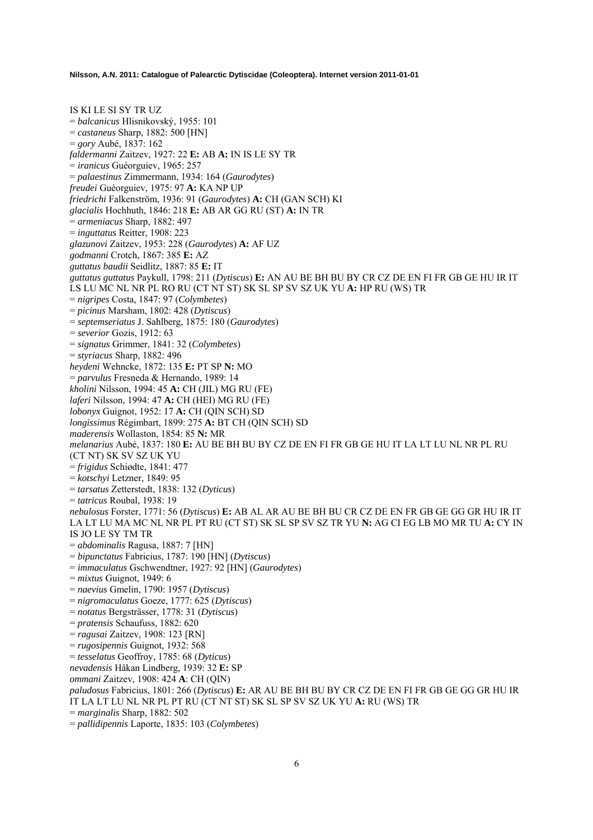IS KI LE SI SY TR UZ = *balcanicus* Hlisnikovský, 1955: 101 = *castaneus* Sharp, 1882: 500 [HN] = *gory* Aubé, 1837: 162 *faldermanni* Zaitzev, 1927: 22 **E:** AB **A:** IN IS LE SY TR = *iranicus* Guéorguiev, 1965: 257 = *palaestinus* Zimmermann, 1934: 164 (*Gaurodytes*) *freudei* Guéorguiev, 1975: 97 **A:** KA NP UP *friedrichi* Falkenström, 1936: 91 (*Gaurodytes*) **A:** CH (GAN SCH) KI *glacialis* Hochhuth, 1846: 218 **E:** AB AR GG RU (ST) **A:** IN TR = *armeniacus* Sharp, 1882: 497 = *inguttatus* Reitter, 1908: 223 *glazunovi* Zaitzev, 1953: 228 (*Gaurodytes*) **A:** AF UZ *godmanni* Crotch, 1867: 385 **E:** AZ *guttatus baudii* Seidlitz, 1887: 85 **E:** IT *guttatus guttatus* Paykull, 1798: 211 (*Dytiscus*) **E:** AN AU BE BH BU BY CR CZ DE EN FI FR GB GE HU IR IT LS LU MC NL NR PL RO RU (CT NT ST) SK SL SP SV SZ UK YU **A:** HP RU (WS) TR = *nigripes* Costa, 1847: 97 (*Colymbetes*) = *picinus* Marsham, 1802: 428 (*Dytiscus*) = *septemseriatus* J. Sahlberg, 1875: 180 (*Gaurodytes*) = *severior* Gozis, 1912: 63 = *signatus* Grimmer, 1841: 32 (*Colymbetes*) = *styriacus* Sharp, 1882: 496 *heydeni* Wehncke, 1872: 135 **E:** PT SP **N:** MO = *parvulus* Fresneda & Hernando, 1989: 14 *kholini* Nilsson, 1994: 45 **A:** CH (JIL) MG RU (FE) *laferi* Nilsson, 1994: 47 **A:** CH (HEI) MG RU (FE) *lobonyx* Guignot, 1952: 17 **A:** CH (QIN SCH) SD *longissimus* Régimbart, 1899: 275 **A:** BT CH (QIN SCH) SD *maderensis* Wollaston, 1854: 85 **N:** MR *melanarius* Aubé, 1837: 180 **E:** AU BE BH BU BY CZ DE EN FI FR GB GE HU IT LA LT LU NL NR PL RU (CT NT) SK SV SZ UK YU = *frigidus* Schiødte, 1841: 477 = *kotschyi* Letzner, 1849: 95 = *tarsatus* Zetterstedt, 1838: 132 (*Dyticus*) = *tatricus* Roubal, 1938: 19 *nebulosus* Forster, 1771: 56 (*Dytiscus*) **E:** AB AL AR AU BE BH BU CR CZ DE EN FR GB GE GG GR HU IR IT LA LT LU MA MC NL NR PL PT RU (CT ST) SK SL SP SV SZ TR YU **N:** AG CI EG LB MO MR TU **A:** CY IN IS JO LE SY TM TR = *abdominalis* Ragusa, 1887: 7 [HN] = *bipunctatus* Fabricius, 1787: 190 [HN] (*Dytiscus*) = *immaculatus* Gschwendtner, 1927: 92 [HN] (*Gaurodytes*) = *mixtus* Guignot, 1949: 6 = *naevius* Gmelin, 1790: 1957 (*Dytiscus*) = *nigromaculatus* Goeze, 1777: 625 (*Dytiscus*) = *notatus* Bergsträsser, 1778: 31 (*Dytiscus*) = *pratensis* Schaufuss, 1882: 620 = *ragusai* Zaitzev, 1908: 123 [RN] = *rugosipennis* Guignot, 1932: 568 = *tesselatus* Geoffroy, 1785: 68 (*Dyticus*) *nevadensis* Håkan Lindberg, 1939: 32 **E:** SP *ommani* Zaitzev, 1908: 424 **A**: CH (QIN) *paludosus* Fabricius, 1801: 266 (*Dytiscus*) **E:** AR AU BE BH BU BY CR CZ DE EN FI FR GB GE GG GR HU IR IT LA LT LU NL NR PL PT RU (CT NT ST) SK SL SP SV SZ UK YU **A:** RU (WS) TR = *marginalis* Sharp, 1882: 502 = *pallidipennis* Laporte, 1835: 103 (*Colymbetes*)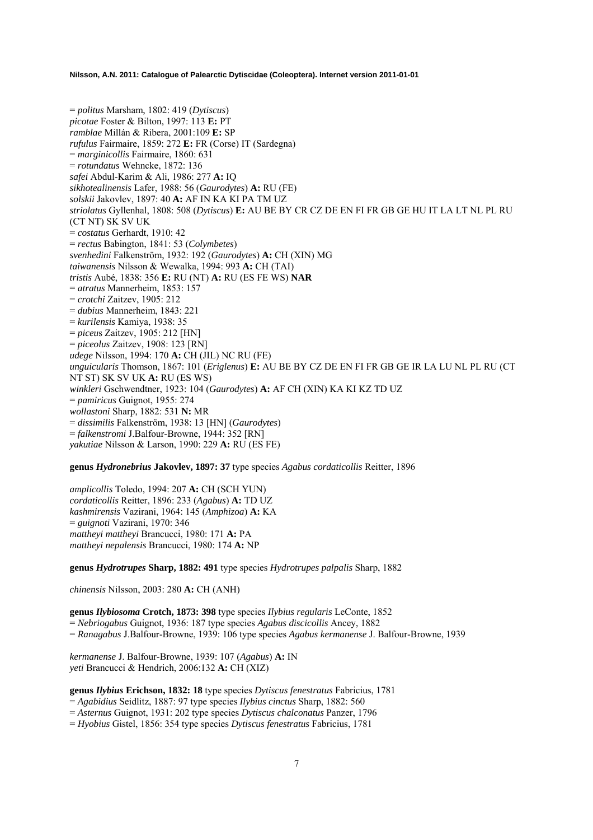= *politus* Marsham, 1802: 419 (*Dytiscus*) *picotae* Foster & Bilton, 1997: 113 **E:** PT *ramblae* Millán & Ribera, 2001:109 **E:** SP *rufulus* Fairmaire, 1859: 272 **E:** FR (Corse) IT (Sardegna) = *marginicollis* Fairmaire, 1860: 631 = *rotundatus* Wehncke, 1872: 136 *safei* Abdul-Karim & Ali, 1986: 277 **A:** IQ *sikhotealinensis* Lafer, 1988: 56 (*Gaurodytes*) **A:** RU (FE) *solskii* Jakovlev, 1897: 40 **A:** AF IN KA KI PA TM UZ *striolatus* Gyllenhal, 1808: 508 (*Dytiscus*) **E:** AU BE BY CR CZ DE EN FI FR GB GE HU IT LA LT NL PL RU (CT NT) SK SV UK = *costatus* Gerhardt, 1910: 42 = *rectus* Babington, 1841: 53 (*Colymbetes*) *svenhedini* Falkenström, 1932: 192 (*Gaurodytes*) **A:** CH (XIN) MG *taiwanensis* Nilsson & Wewalka, 1994: 993 **A:** CH (TAI) *tristis* Aubé, 1838: 356 **E:** RU (NT) **A:** RU (ES FE WS) **NAR**  = *atratus* Mannerheim, 1853: 157 = *crotchi* Zaitzev, 1905: 212 = *dubius* Mannerheim, 1843: 221 = *kurilensis* Kamiya, 1938: 35 = *piceu*s Zaitzev, 1905: 212 [HN] = *piceolus* Zaitzev, 1908: 123 [RN] *udege* Nilsson, 1994: 170 **A:** CH (JIL) NC RU (FE) *unguicularis* Thomson, 1867: 101 (*Eriglenus*) **E:** AU BE BY CZ DE EN FI FR GB GE IR LA LU NL PL RU (CT NT ST) SK SV UK **A:** RU (ES WS) *winkleri* Gschwendtner, 1923: 104 (*Gaurodytes*) **A:** AF CH (XIN) KA KI KZ TD UZ = *pamiricus* Guignot, 1955: 274 *wollastoni* Sharp, 1882: 531 **N:** MR = *dissimilis* Falkenström, 1938: 13 [HN] (*Gaurodytes*) = *falkenstromi* J.Balfour-Browne, 1944: 352 [RN] *yakutiae* Nilsson & Larson, 1990: 229 **A:** RU (ES FE)

**genus** *Hydronebrius* **Jakovlev, 1897: 37** type species *Agabus cordaticollis* Reitter, 1896

*amplicollis* Toledo, 1994: 207 **A:** CH (SCH YUN) *cordaticollis* Reitter, 1896: 233 (*Agabus*) **A:** TD UZ *kashmirensis* Vazirani, 1964: 145 (*Amphizoa*) **A:** KA = *guignoti* Vazirani, 1970: 346 *mattheyi mattheyi* Brancucci, 1980: 171 **A:** PA *mattheyi nepalensis* Brancucci, 1980: 174 **A:** NP

**genus** *Hydrotrupes* **Sharp, 1882: 491** type species *Hydrotrupes palpalis* Sharp, 1882

*chinensis* Nilsson, 2003: 280 **A:** CH (ANH)

**genus** *Ilybiosoma* **Crotch, 1873: 398** type species *Ilybius regularis* LeConte, 1852 = *Nebriogabus* Guignot, 1936: 187 type species *Agabus discicollis* Ancey, 1882 = *Ranagabus* J.Balfour-Browne, 1939: 106 type species *Agabus kermanense* J. Balfour-Browne, 1939

*kermanense* J. Balfour-Browne, 1939: 107 (*Agabus*) **A:** IN *yeti* Brancucci & Hendrich, 2006:132 **A:** CH (XIZ)

**genus** *Ilybius* **Erichson, 1832: 18** type species *Dytiscus fenestratus* Fabricius, 1781

= *Agabidius* Seidlitz, 1887: 97 type species *Ilybius cinctus* Sharp, 1882: 560

= *Asternus* Guignot, 1931: 202 type species *Dytiscus chalconatus* Panzer, 1796

= *Hyobius* Gistel, 1856: 354 type species *Dytiscus fenestratus* Fabricius, 1781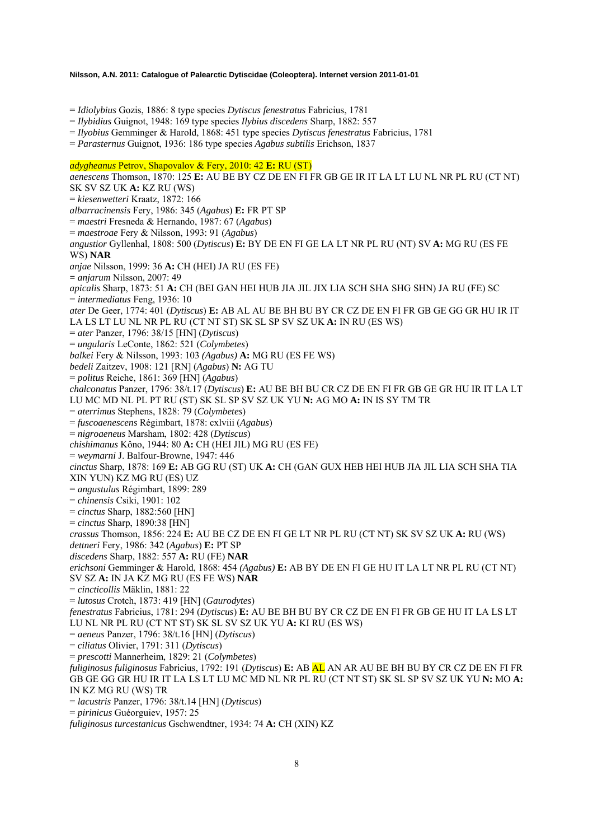= *Idiolybius* Gozis, 1886: 8 type species *Dytiscus fenestratus* Fabricius, 1781

= *Ilybidius* Guignot, 1948: 169 type species *Ilybius discedens* Sharp, 1882: 557

= *Ilyobius* Gemminger & Harold, 1868: 451 type species *Dytiscus fenestratus* Fabricius, 1781

= *Parasternus* Guignot, 1936: 186 type species *Agabus subtilis* Erichson, 1837

### *adygheanus* Petrov, Shapovalov & Fery, 2010: 42 **E:** RU (ST)

*aenescens* Thomson, 1870: 125 **E:** AU BE BY CZ DE EN FI FR GB GE IR IT LA LT LU NL NR PL RU (CT NT) SK SV SZ UK **A:** KZ RU (WS) = *kiesenwetteri* Kraatz, 1872: 166 *albarracinensis* Fery, 1986: 345 (*Agabus*) **E:** FR PT SP = *maestri* Fresneda & Hernando, 1987: 67 (*Agabus*) = *maestroae* Fery & Nilsson, 1993: 91 (*Agabus*) *angustior* Gyllenhal, 1808: 500 (*Dytiscus*) **E:** BY DE EN FI GE LA LT NR PL RU (NT) SV **A:** MG RU (ES FE WS) **NAR**  *anjae* Nilsson, 1999: 36 **A:** CH (HEI) JA RU (ES FE) **=** *anjarum* Nilsson, 2007: 49 *apicalis* Sharp, 1873: 51 **A:** CH (BEI GAN HEI HUB JIA JIL JIX LIA SCH SHA SHG SHN) JA RU (FE) SC = *intermediatus* Feng, 1936: 10 *ater* De Geer, 1774: 401 (*Dytiscus*) **E:** AB AL AU BE BH BU BY CR CZ DE EN FI FR GB GE GG GR HU IR IT LA LS LT LU NL NR PL RU (CT NT ST) SK SL SP SV SZ UK **A:** IN RU (ES WS) = *ater* Panzer, 1796: 38/15 [HN] (*Dytiscus*) = *ungularis* LeConte, 1862: 521 (*Colymbetes*) *balkei* Fery & Nilsson, 1993: 103 *(Agabus)* **A:** MG RU (ES FE WS) *bedeli* Zaitzev, 1908: 121 [RN] (*Agabus*) **N:** AG TU = *politus* Reiche, 1861: 369 [HN] (*Agabus*) *chalconatus* Panzer, 1796: 38/t.17 (*Dytiscus*) **E:** AU BE BH BU CR CZ DE EN FI FR GB GE GR HU IR IT LA LT LU MC MD NL PL PT RU (ST) SK SL SP SV SZ UK YU **N:** AG MO **A:** IN IS SY TM TR = *aterrimus* Stephens, 1828: 79 (*Colymbetes*) = *fuscoaenescens* Régimbart, 1878: cxlviii (*Agabus*) = *nigroaeneus* Marsham, 1802: 428 (*Dytiscus*) *chishimanus* Kôno, 1944: 80 **A:** CH (HEI JIL) MG RU (ES FE) = *weymarni* J. Balfour-Browne, 1947: 446 *cinctus* Sharp, 1878: 169 **E:** AB GG RU (ST) UK **A:** CH (GAN GUX HEB HEI HUB JIA JIL LIA SCH SHA TIA XIN YUN) KZ MG RU (ES) UZ = *angustulus* Régimbart, 1899: 289 = *chinensis* Csiki, 1901: 102 = *cinctus* Sharp, 1882:560 [HN] = *cinctus* Sharp, 1890:38 [HN] *crassus* Thomson, 1856: 224 **E:** AU BE CZ DE EN FI GE LT NR PL RU (CT NT) SK SV SZ UK **A:** RU (WS) *dettneri* Fery, 1986: 342 (*Agabus*) **E:** PT SP *discedens* Sharp, 1882: 557 **A:** RU (FE) **NAR**  *erichsoni* Gemminger & Harold, 1868: 454 *(Agabus)* **E:** AB BY DE EN FI GE HU IT LA LT NR PL RU (CT NT) SV SZ **A:** IN JA KZ MG RU (ES FE WS) **NAR**  = *cincticollis* Mäklin, 1881: 22 = *lutosus* Crotch, 1873: 419 [HN] (*Gaurodytes*) *fenestratus* Fabricius, 1781: 294 (*Dytiscus*) **E:** AU BE BH BU BY CR CZ DE EN FI FR GB GE HU IT LA LS LT LU NL NR PL RU (CT NT ST) SK SL SV SZ UK YU **A:** KI RU (ES WS) = *aeneus* Panzer, 1796: 38/t.16 [HN] (*Dytiscus*) = *ciliatus* Olivier, 1791: 311 (*Dytiscus*) = *prescotti* Mannerheim, 1829: 21 (*Colymbetes*) *fuliginosus fuliginosus* Fabricius, 1792: 191 (*Dytiscus*) **E:** AB AL AN AR AU BE BH BU BY CR CZ DE EN FI FR GB GE GG GR HU IR IT LA LS LT LU MC MD NL NR PL RU (CT NT ST) SK SL SP SV SZ UK YU **N:** MO **A:**  IN KZ MG RU (WS) TR = *lacustris* Panzer, 1796: 38/t.14 [HN] (*Dytiscus*) = *pirinicus* Guéorguiev, 1957: 25

*fuliginosus turcestanicus* Gschwendtner, 1934: 74 **A:** CH (XIN) KZ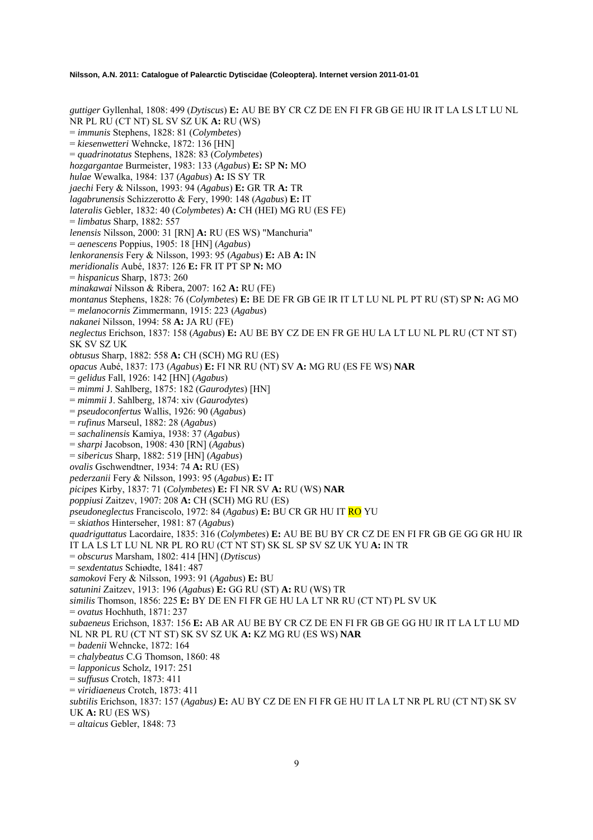*guttiger* Gyllenhal, 1808: 499 (*Dytiscus*) **E:** AU BE BY CR CZ DE EN FI FR GB GE HU IR IT LA LS LT LU NL NR PL RU (CT NT) SL SV SZ UK **A:** RU (WS) = *immunis* Stephens, 1828: 81 (*Colymbetes*) = *kiesenwetteri* Wehncke, 1872: 136 [HN] = *quadrinotatus* Stephens, 1828: 83 (*Colymbetes*) *hozgargantae* Burmeister, 1983: 133 (*Agabus*) **E:** SP **N:** MO *hulae* Wewalka, 1984: 137 (*Agabus*) **A:** IS SY TR *jaechi* Fery & Nilsson, 1993: 94 (*Agabus*) **E:** GR TR **A:** TR *lagabrunensis* Schizzerotto & Fery, 1990: 148 (*Agabus*) **E:** IT *lateralis* Gebler, 1832: 40 (*Colymbetes*) **A:** CH (HEI) MG RU (ES FE) = *limbatus* Sharp, 1882: 557 *lenensis* Nilsson, 2000: 31 [RN] **A:** RU (ES WS) "Manchuria" = *aenescens* Poppius, 1905: 18 [HN] (*Agabus*) *lenkoranensis* Fery & Nilsson, 1993: 95 (*Agabus*) **E:** AB **A:** IN *meridionalis* Aubé, 1837: 126 **E:** FR IT PT SP **N:** MO = *hispanicus* Sharp, 1873: 260 *minakawai* Nilsson & Ribera, 2007: 162 **A:** RU (FE) *montanus* Stephens, 1828: 76 (*Colymbetes*) **E:** BE DE FR GB GE IR IT LT LU NL PL PT RU (ST) SP **N:** AG MO = *melanocornis* Zimmermann, 1915: 223 (*Agabus*) *nakanei* Nilsson, 1994: 58 **A:** JA RU (FE) *neglectus* Erichson, 1837: 158 (*Agabus*) **E:** AU BE BY CZ DE EN FR GE HU LA LT LU NL PL RU (CT NT ST) SK SV SZ UK *obtusus* Sharp, 1882: 558 **A:** CH (SCH) MG RU (ES) *opacus* Aubé, 1837: 173 (*Agabus*) **E:** FI NR RU (NT) SV **A:** MG RU (ES FE WS) **NAR** = *gelidus* Fall, 1926: 142 [HN] (*Agabus*) = *mimmi* J. Sahlberg, 1875: 182 (*Gaurodytes*) [HN] = *mimmii* J. Sahlberg, 1874: xiv (*Gaurodytes*) = *pseudoconfertus* Wallis, 1926: 90 (*Agabus*) = *rufinus* Marseul, 1882: 28 (*Agabus*) = *sachalinensis* Kamiya, 1938: 37 (*Agabus*) = *sharpi* Jacobson, 1908: 430 [RN] (*Agabus*) = *sibericus* Sharp, 1882: 519 [HN] (*Agabus*) *ovalis* Gschwendtner, 1934: 74 **A:** RU (ES) *pederzanii* Fery & Nilsson, 1993: 95 (*Agabus*) **E:** IT *picipes* Kirby, 1837: 71 (*Colymbetes*) **E:** FI NR SV **A:** RU (WS) **NAR**  *poppiusi* Zaitzev, 1907: 208 **A:** CH (SCH) MG RU (ES) *pseudoneglectus* Franciscolo, 1972: 84 (*Agabus*) **E:** BU CR GR HU IT RO YU = *skiathos* Hinterseher, 1981: 87 (*Agabus*) *quadriguttatus* Lacordaire, 1835: 316 (*Colymbetes*) **E:** AU BE BU BY CR CZ DE EN FI FR GB GE GG GR HU IR IT LA LS LT LU NL NR PL RO RU (CT NT ST) SK SL SP SV SZ UK YU **A:** IN TR = *obscurus* Marsham, 1802: 414 [HN] (*Dytiscus*) = *sexdentatus* Schiødte, 1841: 487 *samokovi* Fery & Nilsson, 1993: 91 (*Agabus*) **E:** BU *satunini* Zaitzev, 1913: 196 (*Agabus*) **E:** GG RU (ST) **A:** RU (WS) TR *similis* Thomson, 1856: 225 **E:** BY DE EN FI FR GE HU LA LT NR RU (CT NT) PL SV UK = *ovatus* Hochhuth, 1871: 237 *subaeneus* Erichson, 1837: 156 **E:** AB AR AU BE BY CR CZ DE EN FI FR GB GE GG HU IR IT LA LT LU MD NL NR PL RU (CT NT ST) SK SV SZ UK **A:** KZ MG RU (ES WS) **NAR**  = *badenii* Wehncke, 1872: 164 = *chalybeatus* C.G Thomson, 1860: 48 = *lapponicus* Scholz, 1917: 251 = *suffusus* Crotch, 1873: 411 = *viridiaeneus* Crotch, 1873: 411 *subtilis* Erichson, 1837: 157 (*Agabus)* **E:** AU BY CZ DE EN FI FR GE HU IT LA LT NR PL RU (CT NT) SK SV UK **A:** RU (ES WS) = *altaicus* Gebler, 1848: 73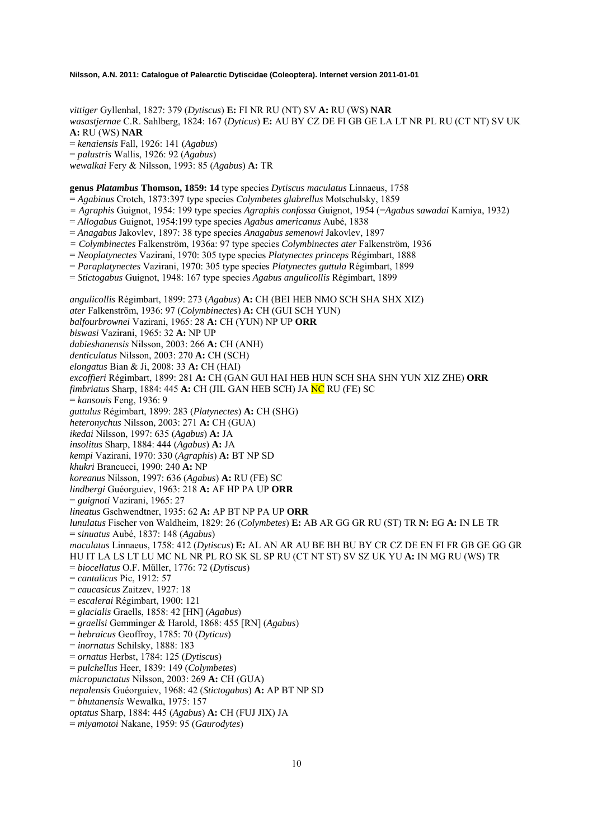*vittiger* Gyllenhal, 1827: 379 (*Dytiscus*) **E:** FI NR RU (NT) SV **A:** RU (WS) **NAR**  *wasastjernae* C.R. Sahlberg, 1824: 167 (*Dyticus*) **E:** AU BY CZ DE FI GB GE LA LT NR PL RU (CT NT) SV UK **A:** RU (WS) **NAR**  = *kenaiensis* Fall, 1926: 141 (*Agabus*) = *palustris* Wallis, 1926: 92 (*Agabus*) *wewalkai* Fery & Nilsson, 1993: 85 (*Agabus*) **A:** TR

**genus** *Platambus* **Thomson, 1859: 14** type species *Dytiscus maculatus* Linnaeus, 1758

= *Agabinus* Crotch, 1873:397 type species *Colymbetes glabrellus* Motschulsky, 1859

*= Agraphis* Guignot, 1954: 199 type species *Agraphis confossa* Guignot, 1954 (=*Agabus sawadai* Kamiya, 1932)

= *Allogabus* Guignot, 1954:199 type species *Agabus americanus* Aubé, 1838

= *Anagabus* Jakovlev, 1897: 38 type species *Anagabus semenowi* Jakovlev, 1897

*= Colymbinectes* Falkenström, 1936a: 97 type species *Colymbinectes ater* Falkenström, 1936

= *Neoplatynectes* Vazirani, 1970: 305 type species *Platynectes princeps* Régimbart, 1888

= *Paraplatynectes* Vazirani, 1970: 305 type species *Platynectes guttula* Régimbart, 1899

= *Stictogabus* Guignot, 1948: 167 type species *Agabus angulicollis* Régimbart, 1899

*angulicollis* Régimbart, 1899: 273 (*Agabus*) **A:** CH (BEI HEB NMO SCH SHA SHX XIZ) *ater* Falkenström, 1936: 97 (*Colymbinectes*) **A:** CH (GUI SCH YUN) *balfourbrownei* Vazirani, 1965: 28 **A:** CH (YUN) NP UP **ORR**  *biswasi* Vazirani, 1965: 32 **A:** NP UP *dabieshanensis* Nilsson, 2003: 266 **A:** CH (ANH) *denticulatus* Nilsson, 2003: 270 **A:** CH (SCH) *elongatus* Bian & Ji, 2008: 33 **A:** CH (HAI) *excoffieri* Régimbart, 1899: 281 **A:** CH (GAN GUI HAI HEB HUN SCH SHA SHN YUN XIZ ZHE) **ORR**  *fimbriatus* Sharp, 1884: 445 **A:** CH (JIL GAN HEB SCH) JA NC RU (FE) SC = *kansouis* Feng, 1936: 9 *guttulus* Régimbart, 1899: 283 (*Platynectes*) **A:** CH (SHG) *heteronychus* Nilsson, 2003: 271 **A:** CH (GUA) *ikedai* Nilsson, 1997: 635 (*Agabus*) **A:** JA *insolitus* Sharp, 1884: 444 (*Agabus*) **A:** JA *kempi* Vazirani, 1970: 330 (*Agraphis*) **A:** BT NP SD *khukri* Brancucci, 1990: 240 **A:** NP *koreanus* Nilsson, 1997: 636 (*Agabus*) **A:** RU (FE) SC *lindbergi* Guéorguiev, 1963: 218 **A:** AF HP PA UP **ORR**  = *guignoti* Vazirani, 1965: 27 *lineatus* Gschwendtner, 1935: 62 **A:** AP BT NP PA UP **ORR** *lunulatus* Fischer von Waldheim, 1829: 26 (*Colymbetes*) **E:** AB AR GG GR RU (ST) TR **N:** EG **A:** IN LE TR = *sinuatus* Aubé, 1837: 148 (*Agabus*) *maculatus* Linnaeus, 1758: 412 (*Dytiscus*) **E:** AL AN AR AU BE BH BU BY CR CZ DE EN FI FR GB GE GG GR HU IT LA LS LT LU MC NL NR PL RO SK SL SP RU (CT NT ST) SV SZ UK YU **A:** IN MG RU (WS) TR = *biocellatus* O.F. Müller, 1776: 72 (*Dytiscus*) = *cantalicus* Pic, 1912: 57 = *caucasicus* Zaitzev, 1927: 18 = *escalerai* Régimbart, 1900: 121 = *glacialis* Graells, 1858: 42 [HN] (*Agabus*) = *graellsi* Gemminger & Harold, 1868: 455 [RN] (*Agabus*) = *hebraicus* Geoffroy, 1785: 70 (*Dyticus*) = *inornatus* Schilsky, 1888: 183 = *ornatus* Herbst, 1784: 125 (*Dytiscus*) = *pulchellus* Heer, 1839: 149 (*Colymbetes*) *micropunctatus* Nilsson, 2003: 269 **A:** CH (GUA) *nepalensis* Guéorguiev, 1968: 42 (*Stictogabus*) **A:** AP BT NP SD = *bhutanensis* Wewalka, 1975: 157 *optatus* Sharp, 1884: 445 (*Agabus*) **A:** CH (FUJ JIX) JA

= *miyamotoi* Nakane, 1959: 95 (*Gaurodytes*)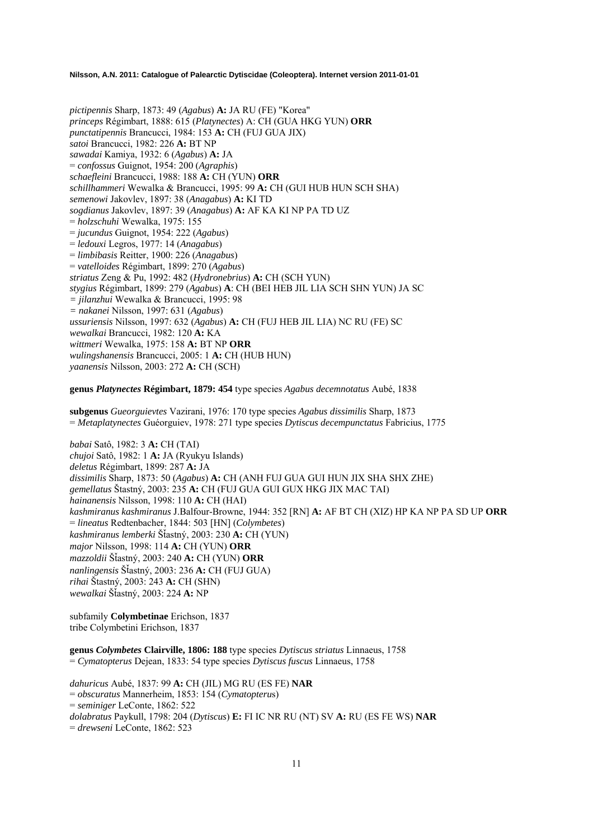*pictipennis* Sharp, 1873: 49 (*Agabus*) **A:** JA RU (FE) "Korea" *princeps* Régimbart, 1888: 615 (*Platynectes*) A: CH (GUA HKG YUN) **ORR**  *punctatipennis* Brancucci, 1984: 153 **A:** CH (FUJ GUA JIX) *satoi* Brancucci, 1982: 226 **A:** BT NP *sawadai* Kamiya, 1932: 6 (*Agabus*) **A:** JA = *confossus* Guignot, 1954: 200 (*Agraphis*) *schaefleini* Brancucci, 1988: 188 **A:** CH (YUN) **ORR**  *schillhammeri* Wewalka & Brancucci, 1995: 99 **A:** CH (GUI HUB HUN SCH SHA) *semenowi* Jakovlev, 1897: 38 (*Anagabus*) **A:** KI TD *sogdianus* Jakovlev, 1897: 39 (*Anagabus*) **A:** AF KA KI NP PA TD UZ = *holzschuhi* Wewalka, 1975: 155 = *jucundus* Guignot, 1954: 222 (*Agabus*) = *ledouxi* Legros, 1977: 14 (*Anagabus*) = *limbibasis* Reitter, 1900: 226 (*Anagabus*) = *vatelloides* Régimbart, 1899: 270 (*Agabus*) *striatus* Zeng & Pu, 1992: 482 (*Hydronebrius*) **A:** CH (SCH YUN) *stygius* Régimbart, 1899: 279 (*Agabus*) **A**: CH (BEI HEB JIL LIA SCH SHN YUN) JA SC *= jilanzhui* Wewalka & Brancucci, 1995: 98 *= nakanei* Nilsson, 1997: 631 (*Agabus*) *ussuriensis* Nilsson, 1997: 632 (*Agabus*) **A:** CH (FUJ HEB JIL LIA) NC RU (FE) SC *wewalkai* Brancucci, 1982: 120 **A:** KA *wittmeri* Wewalka, 1975: 158 **A:** BT NP **ORR**  *wulingshanensis* Brancucci, 2005: 1 **A:** CH (HUB HUN) *yaanensis* Nilsson, 2003: 272 **A:** CH (SCH)

**genus** *Platynectes* **Régimbart, 1879: 454** type species *Agabus decemnotatus* Aubé, 1838

**subgenus** *Gueorguievtes* Vazirani, 1976: 170 type species *Agabus dissimilis* Sharp, 1873 = *Metaplatynectes* Guéorguiev, 1978: 271 type species *Dytiscus decempunctatus* Fabricius, 1775

*babai* Satô, 1982: 3 **A:** CH (TAI) *chujoi* Satô, 1982: 1 **A:** JA (Ryukyu Islands) *deletus* Régimbart, 1899: 287 **A:** JA *dissimilis* Sharp, 1873: 50 (*Agabus*) **A:** CH (ANH FUJ GUA GUI HUN JIX SHA SHX ZHE) *gemellatus* Štastný, 2003: 235 **A:** CH (FUJ GUA GUI GUX HKG JIX MAC TAI) *hainanensis* Nilsson, 1998: 110 **A:** CH (HAI) *kashmiranus kashmiranus* J.Balfour-Browne, 1944: 352 [RN] **A:** AF BT CH (XIZ) HP KA NP PA SD UP **ORR** = *lineatus* Redtenbacher, 1844: 503 [HN] (*Colymbetes*) *kashmiranus lemberki* ŠÄastný, 2003: 230 **A:** CH (YUN) *major* Nilsson, 1998: 114 **A:** CH (YUN) **ORR**  *mazzoldii* ŠÄastný, 2003: 240 **A:** CH (YUN) **ORR** *nanlingensis* ŠÄastný, 2003: 236 **A:** CH (FUJ GUA) *rihai* Štastný, 2003: 243 **A:** CH (SHN) *wewalkai* ŠÄastný, 2003: 224 **A:** NP

subfamily **Colymbetinae** Erichson, 1837 tribe Colymbetini Erichson, 1837

**genus** *Colymbetes* **Clairville, 1806: 188** type species *Dytiscus striatus* Linnaeus, 1758 = *Cymatopterus* Dejean, 1833: 54 type species *Dytiscus fuscus* Linnaeus, 1758

*dahuricus* Aubé, 1837: 99 **A:** CH (JIL) MG RU (ES FE) **NAR** = *obscuratus* Mannerheim, 1853: 154 (*Cymatopteru*s) = *seminiger* LeConte, 1862: 522 *dolabratus* Paykull, 1798: 204 (*Dytiscus*) **E:** FI IC NR RU (NT) SV **A:** RU (ES FE WS) **NAR**  = *drewseni* LeConte, 1862: 523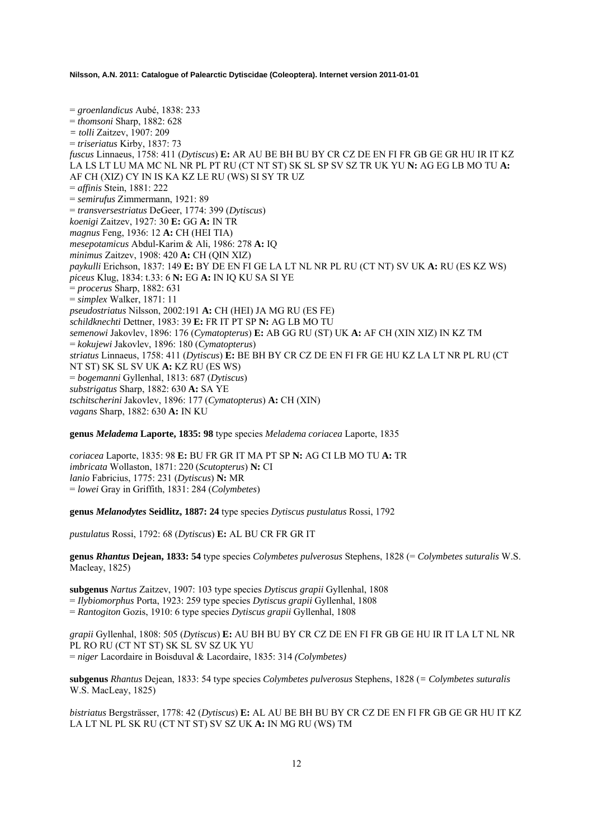= *groenlandicus* Aubé, 1838: 233 = *thomsoni* Sharp, 1882: 628 *= tolli* Zaitzev, 1907: 209 = *triseriatus* Kirby, 1837: 73 *fuscus* Linnaeus, 1758: 411 (*Dytiscus*) **E:** AR AU BE BH BU BY CR CZ DE EN FI FR GB GE GR HU IR IT KZ LA LS LT LU MA MC NL NR PL PT RU (CT NT ST) SK SL SP SV SZ TR UK YU **N:** AG EG LB MO TU **A:**  AF CH (XIZ) CY IN IS KA KZ LE RU (WS) SI SY TR UZ = *affinis* Stein, 1881: 222 = *semirufus* Zimmermann, 1921: 89 = *transversestriatus* DeGeer, 1774: 399 (*Dytiscus*) *koenigi* Zaitzev, 1927: 30 **E:** GG **A:** IN TR *magnus* Feng, 1936: 12 **A:** CH (HEI TIA) *mesepotamicus* Abdul-Karim & Ali, 1986: 278 **A:** IQ *minimus* Zaitzev, 1908: 420 **A:** CH (QIN XIZ) *paykulli* Erichson, 1837: 149 **E:** BY DE EN FI GE LA LT NL NR PL RU (CT NT) SV UK **A:** RU (ES KZ WS) *piceus* Klug, 1834: t.33: 6 **N:** EG **A:** IN IQ KU SA SI YE = *procerus* Sharp, 1882: 631 = *simplex* Walker, 1871: 11 *pseudostriatus* Nilsson, 2002:191 **A:** CH (HEI) JA MG RU (ES FE) *schildknechti* Dettner, 1983: 39 **E:** FR IT PT SP **N:** AG LB MO TU *semenowi* Jakovlev, 1896: 176 (*Cymatopterus*) **E:** AB GG RU (ST) UK **A:** AF CH (XIN XIZ) IN KZ TM = *kokujewi* Jakovlev, 1896: 180 (*Cymatopterus*) *striatus* Linnaeus, 1758: 411 (*Dytiscus*) **E:** BE BH BY CR CZ DE EN FI FR GE HU KZ LA LT NR PL RU (CT NT ST) SK SL SV UK **A:** KZ RU (ES WS) = *bogemanni* Gyllenhal, 1813: 687 (*Dytiscus*) *substrigatus* Sharp, 1882: 630 **A:** SA YE *tschitscherini* Jakovlev, 1896: 177 (*Cymatopterus*) **A:** CH (XIN) *vagans* Sharp, 1882: 630 **A:** IN KU

**genus** *Meladema* **Laporte, 1835: 98** type species *Meladema coriacea* Laporte, 1835

*coriacea* Laporte, 1835: 98 **E:** BU FR GR IT MA PT SP **N:** AG CI LB MO TU **A:** TR *imbricata* Wollaston, 1871: 220 (*Scutopterus*) **N:** CI *lanio* Fabricius, 1775: 231 (*Dytiscus*) **N:** MR = *lowei* Gray in Griffith, 1831: 284 (*Colymbetes*)

**genus** *Melanodytes* **Seidlitz, 1887: 24** type species *Dytiscus pustulatus* Rossi, 1792

*pustulatus* Rossi, 1792: 68 (*Dytiscus*) **E:** AL BU CR FR GR IT

**genus** *Rhantus* **Dejean, 1833: 54** type species *Colymbetes pulverosus* Stephens, 1828 (= *Colymbetes suturalis* W.S. Macleay, 1825)

**subgenus** *Nartus* Zaitzev, 1907: 103 type species *Dytiscus grapii* Gyllenhal, 1808

= *Ilybiomorphus* Porta, 1923: 259 type species *Dytiscus grapii* Gyllenhal, 1808

= *Rantogiton* Gozis, 1910: 6 type species *Dytiscus grapii* Gyllenhal, 1808

*grapii* Gyllenhal, 1808: 505 (*Dytiscus*) **E:** AU BH BU BY CR CZ DE EN FI FR GB GE HU IR IT LA LT NL NR PL RO RU (CT NT ST) SK SL SV SZ UK YU = *niger* Lacordaire in Boisduval & Lacordaire, 1835: 314 *(Colymbetes)* 

**subgenus** *Rhantus* Dejean, 1833: 54 type species *Colymbetes pulverosus* Stephens, 1828 (*= Colymbetes suturalis* W.S. MacLeay, 1825)

*bistriatus* Bergsträsser, 1778: 42 (*Dytiscus*) **E:** AL AU BE BH BU BY CR CZ DE EN FI FR GB GE GR HU IT KZ LA LT NL PL SK RU (CT NT ST) SV SZ UK **A:** IN MG RU (WS) TM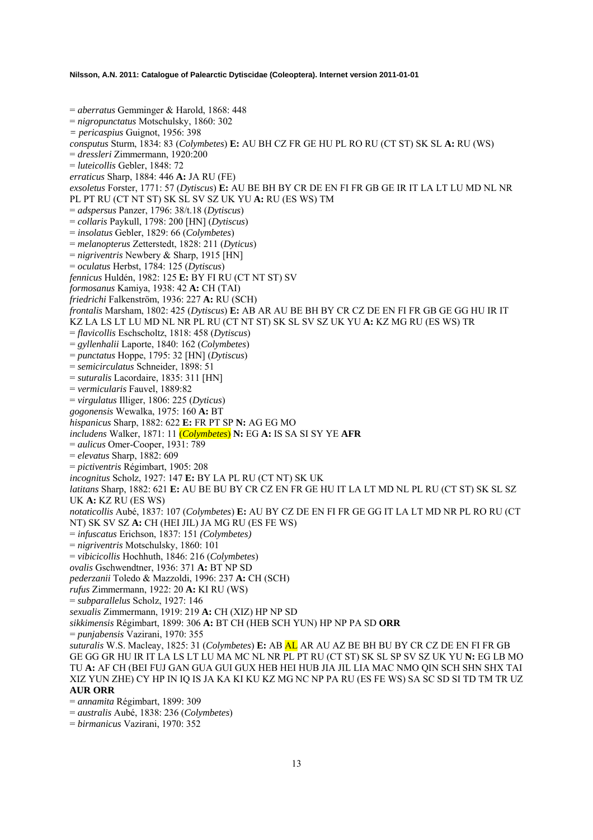= *aberratus* Gemminger & Harold, 1868: 448 = *nigropunctatus* Motschulsky, 1860: 302 *= pericaspius* Guignot, 1956: 398 *consputus* Sturm, 1834: 83 (*Colymbetes*) **E:** AU BH CZ FR GE HU PL RO RU (CT ST) SK SL **A:** RU (WS) = *dressleri* Zimmermann, 1920:200 = *luteicollis* Gebler, 1848: 72 *erraticus* Sharp, 1884: 446 **A:** JA RU (FE) *exsoletus* Forster, 1771: 57 (*Dytiscus*) **E:** AU BE BH BY CR DE EN FI FR GB GE IR IT LA LT LU MD NL NR PL PT RU (CT NT ST) SK SL SV SZ UK YU **A:** RU (ES WS) TM = *adspersus* Panzer, 1796: 38/t.18 (*Dytiscus*) = *collaris* Paykull, 1798: 200 [HN] (*Dytiscus*) = *insolatus* Gebler, 1829: 66 (*Colymbetes*) = *melanopterus* Zetterstedt, 1828: 211 (*Dyticus*) = *nigriventris* Newbery & Sharp, 1915 [HN] = *oculatus* Herbst, 1784: 125 (*Dytiscus*) *fennicus* Huldén, 1982: 125 **E:** BY FI RU (CT NT ST) SV *formosanus* Kamiya, 1938: 42 **A:** CH (TAI) *friedrichi* Falkenström, 1936: 227 **A:** RU (SCH) *frontalis* Marsham, 1802: 425 (*Dytiscus*) **E:** AB AR AU BE BH BY CR CZ DE EN FI FR GB GE GG HU IR IT KZ LA LS LT LU MD NL NR PL RU (CT NT ST) SK SL SV SZ UK YU **A:** KZ MG RU (ES WS) TR = *flavicollis* Eschscholtz, 1818: 458 (*Dytiscus*) = *gyllenhalii* Laporte, 1840: 162 (*Colymbetes*) = *punctatus* Hoppe, 1795: 32 [HN] (*Dytiscus*) = *semicirculatus* Schneider, 1898: 51 = *suturalis* Lacordaire, 1835: 311 [HN] = *vermicularis* Fauvel, 1889:82 = *virgulatus* Illiger, 1806: 225 (*Dyticus*) *gogonensis* Wewalka, 1975: 160 **A:** BT *hispanicus* Sharp, 1882: 622 **E:** FR PT SP **N:** AG EG MO *includens* Walker, 1871: 11 (*Colymbetes*) **N:** EG **A:** IS SA SI SY YE **AFR**  = *aulicus* Omer-Cooper, 1931: 789 = *elevatus* Sharp, 1882: 609 = *pictiventris* Régimbart, 1905: 208 *incognitus* Scholz, 1927: 147 **E:** BY LA PL RU (CT NT) SK UK *latitans* Sharp, 1882: 621 **E:** AU BE BU BY CR CZ EN FR GE HU IT LA LT MD NL PL RU (CT ST) SK SL SZ UK **A:** KZ RU (ES WS) *notaticollis* Aubé, 1837: 107 (*Colymbetes*) **E:** AU BY CZ DE EN FI FR GE GG IT LA LT MD NR PL RO RU (CT NT) SK SV SZ **A:** CH (HEI JIL) JA MG RU (ES FE WS) = *infuscatus* Erichson, 1837: 151 *(Colymbetes)*  = *nigriventris* Motschulsky, 1860: 101 = *vibicicollis* Hochhuth, 1846: 216 (*Colymbetes*) *ovalis* Gschwendtner, 1936: 371 **A:** BT NP SD *pederzanii* Toledo & Mazzoldi, 1996: 237 **A:** CH (SCH) *rufus* Zimmermann, 1922: 20 **A:** KI RU (WS) = *subparallelus* Scholz, 1927: 146 *sexualis* Zimmermann, 1919: 219 **A:** CH (XIZ) HP NP SD *sikkimensis* Régimbart, 1899: 306 **A:** BT CH (HEB SCH YUN) HP NP PA SD **ORR**  = *punjabensis* Vazirani, 1970: 355 *suturalis* W.S. Macleay, 1825: 31 (*Colymbetes*) **E:** AB AL AR AU AZ BE BH BU BY CR CZ DE EN FI FR GB GE GG GR HU IR IT LA LS LT LU MA MC NL NR PL PT RU (CT ST) SK SL SP SV SZ UK YU **N:** EG LB MO TU **A:** AF CH (BEI FUJ GAN GUA GUI GUX HEB HEI HUB JIA JIL LIA MAC NMO QIN SCH SHN SHX TAI XIZ YUN ZHE) CY HP IN IQ IS JA KA KI KU KZ MG NC NP PA RU (ES FE WS) SA SC SD SI TD TM TR UZ **AUR ORR**  = *annamita* Régimbart, 1899: 309

= *australis* Aubé, 1838: 236 (*Colymbetes*)

= *birmanicus* Vazirani, 1970: 352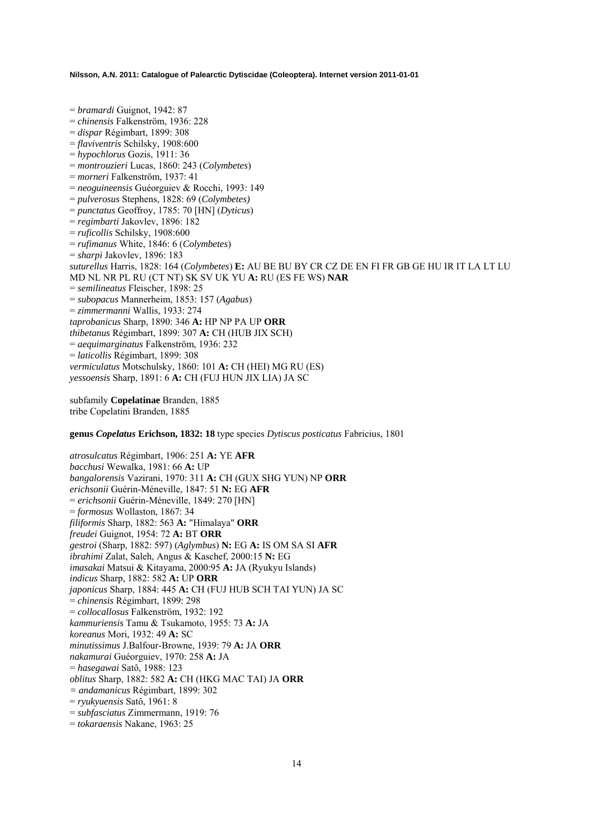= *bramardi* Guignot, 1942: 87 = *chinensis* Falkenström, 1936: 228 = *dispar* Régimbart, 1899: 308 = *flaviventris* Schilsky, 1908:600 = *hypochlorus* Gozis, 1911: 36 = *montrouzieri* Lucas, 1860: 243 (*Colymbetes*) = *morneri* Falkenström, 1937: 41 = *neoguineensis* Guéorguiev & Rocchi, 1993: 149 = *pulverosus* Stephens, 1828: 69 (*Colymbetes)* = *punctatus* Geoffroy, 1785: 70 [HN] (*Dyticus*) = *regimbarti* Jakovlev, 1896: 182 = *ruficollis* Schilsky, 1908:600 = *rufimanus* White, 1846: 6 (*Colymbetes*) = *sharpi* Jakovlev, 1896: 183 *suturellus* Harris, 1828: 164 (*Colymbetes*) **E:** AU BE BU BY CR CZ DE EN FI FR GB GE HU IR IT LA LT LU MD NL NR PL RU (CT NT) SK SV UK YU **A:** RU (ES FE WS) **NAR**  = *semilineatus* Fleischer, 1898: 25 = *subopacus* Mannerheim, 1853: 157 (*Agabus*) = *zimmermanni* Wallis, 1933: 274 *taprobanicus* Sharp, 1890: 346 **A:** HP NP PA UP **ORR**  *thibetanus* Régimbart, 1899: 307 **A:** CH (HUB JIX SCH) = *aequimarginatus* Falkenström, 1936: 232 = *laticollis* Régimbart, 1899: 308 *vermiculatus* Motschulsky, 1860: 101 **A:** CH (HEI) MG RU (ES) *yessoensis* Sharp, 1891: 6 **A:** CH (FUJ HUN JIX LIA) JA SC

subfamily **Copelatinae** Branden, 1885 tribe Copelatini Branden, 1885

**genus** *Copelatus* **Erichson, 1832: 18** type species *Dytiscus posticatus* Fabricius, 1801

*atrosulcatus* Régimbart, 1906: 251 **A:** YE **AFR**  *bacchusi* Wewalka, 1981: 66 **A:** UP *bangalorensis* Vazirani, 1970: 311 **A:** CH (GUX SHG YUN) NP **ORR**  *erichsonii* Guérin-Méneville, 1847: 51 **N:** EG **AFR**  = *erichsonii* Guérin-Méneville, 1849: 270 [HN] = *formosus* Wollaston, 1867: 34 *filiformis* Sharp, 1882: 563 **A:** "Himalaya" **ORR**  *freudei* Guignot, 1954: 72 **A:** BT **ORR**  *gestroi* (Sharp, 1882: 597) (*Aglymbus*) **N:** EG **A:** IS OM SA SI **AFR**  *ibrahimi* Zalat, Saleh, Angus & Kaschef, 2000:15 **N:** EG *imasakai* Matsui & Kitayama, 2000:95 **A:** JA (Ryukyu Islands) *indicus* Sharp, 1882: 582 **A:** UP **ORR**  *japonicus* Sharp, 1884: 445 **A:** CH (FUJ HUB SCH TAI YUN) JA SC = *chinensis* Régimbart, 1899: 298 = *collocallosus* Falkenström, 1932: 192 *kammuriensis* Tamu & Tsukamoto, 1955: 73 **A:** JA *koreanus* Mori, 1932: 49 **A:** SC *minutissimus* J.Balfour-Browne, 1939: 79 **A:** JA **ORR**  *nakamurai* Guéorguiev, 1970: 258 **A:** JA = *hasegawai* Satô, 1988: 123 *oblitus* Sharp, 1882: 582 **A:** CH (HKG MAC TAI) JA **ORR** *= andamanicus* Régimbart, 1899: 302 = *ryukyuensis* Satô, 1961: 8 = *subfasciatus* Zimmermann, 1919: 76 = *tokaraensis* Nakane, 1963: 25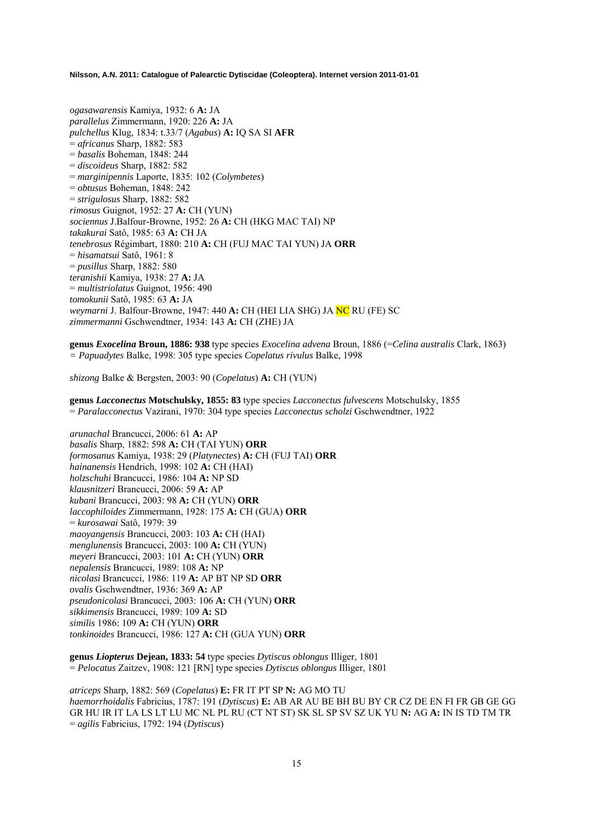*ogasawarensis* Kamiya, 1932: 6 **A:** JA *parallelus* Zimmermann, 1920: 226 **A:** JA *pulchellus* Klug, 1834: t.33/7 (*Agabus*) **A:** IQ SA SI **AFR**  = *africanus* Sharp, 1882: 583 = *basalis* Boheman, 1848: 244 = *discoideus* Sharp, 1882: 582 = *marginipennis* Laporte, 1835: 102 (*Colymbetes*) = *obtusus* Boheman, 1848: 242 = *strigulosus* Sharp, 1882: 582 *rimosus* Guignot, 1952: 27 **A:** CH (YUN) *sociennus* J.Balfour-Browne, 1952: 26 **A:** CH (HKG MAC TAI) NP *takakurai* Satô, 1985: 63 **A:** CH JA *tenebrosus* Régimbart, 1880: 210 **A:** CH (FUJ MAC TAI YUN) JA **ORR**  = *hisamatsui* Satô, 1961: 8 = *pusillus* Sharp, 1882: 580 *teranishii* Kamiya, 1938: 27 **A:** JA = *multistriolatus* Guignot, 1956: 490 *tomokunii* Satô, 1985: 63 **A:** JA *weymarni* J. Balfour-Browne, 1947: 440 **A:** CH (HEI LIA SHG) JA NC RU (FE) SC *zimmermanni* Gschwendtner, 1934: 143 **A:** CH (ZHE) JA

**genus** *Exocelina* **Broun, 1886: 938** type species *Exocelina advena* Broun, 1886 (=*Celina australis* Clark, 1863) *= Papuadytes* Balke, 1998: 305 type species *Copelatus rivulus* Balke, 1998

*shizong* Balke & Bergsten, 2003: 90 (*Copelatus*) **A:** CH (YUN)

**genus** *Lacconectus* **Motschulsky, 1855: 83** type species *Lacconectus fulvescens* Motschulsky, 1855 = *Paralacconectus* Vazirani, 1970: 304 type species *Lacconectus scholzi* Gschwendtner, 1922

*arunachal* Brancucci, 2006: 61 **A:** AP *basalis* Sharp, 1882: 598 **A:** CH (TAI YUN) **ORR**  *formosanus* Kamiya, 1938: 29 (*Platynectes*) **A:** CH (FUJ TAI) **ORR** *hainanensis* Hendrich, 1998: 102 **A:** CH (HAI) *holzschuhi* Brancucci, 1986: 104 **A:** NP SD *klausnitzeri* Brancucci, 2006: 59 **A:** AP *kubani* Brancucci, 2003: 98 **A:** CH (YUN) **ORR** *laccophiloides* Zimmermann, 1928: 175 **A:** CH (GUA) **ORR**  = *kurosawai* Satô, 1979: 39 *maoyangensis* Brancucci, 2003: 103 **A:** CH (HAI) *menglunensis* Brancucci, 2003: 100 **A:** CH (YUN) *meyeri* Brancucci, 2003: 101 **A:** CH (YUN) **ORR** *nepalensis* Brancucci, 1989: 108 **A:** NP *nicolasi* Brancucci, 1986: 119 **A:** AP BT NP SD **ORR**  *ovalis* Gschwendtner, 1936: 369 **A:** AP *pseudonicolasi* Brancucci, 2003: 106 **A:** CH (YUN) **ORR** *sikkimensis* Brancucci, 1989: 109 **A:** SD *similis* 1986: 109 **A:** CH (YUN) **ORR** *tonkinoides* Brancucci, 1986: 127 **A:** CH (GUA YUN) **ORR**

**genus** *Liopterus* **Dejean, 1833: 54** type species *Dytiscus oblongus* Illiger, 1801 = *Pelocatus* Zaitzev, 1908: 121 [RN] type species *Dytiscus oblongus* Illiger, 1801

*atriceps* Sharp, 1882: 569 (*Copelatus*) **E:** FR IT PT SP **N:** AG MO TU *haemorrhoidalis* Fabricius, 1787: 191 (*Dytiscus*) **E:** AB AR AU BE BH BU BY CR CZ DE EN FI FR GB GE GG GR HU IR IT LA LS LT LU MC NL PL RU (CT NT ST) SK SL SP SV SZ UK YU **N:** AG **A:** IN IS TD TM TR = *agilis* Fabricius, 1792: 194 (*Dytiscus*)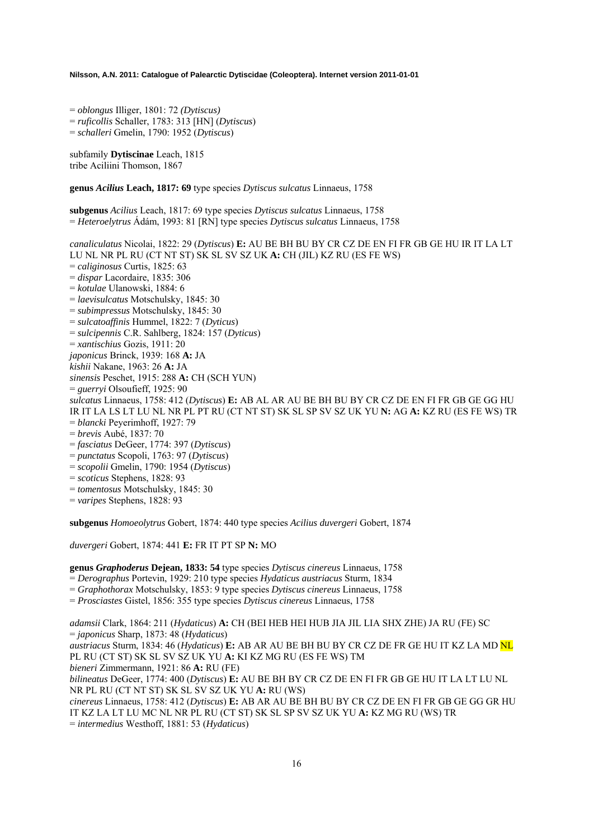= *oblongus* Illiger, 1801: 72 *(Dytiscus)*  = *ruficollis* Schaller, 1783: 313 [HN] (*Dytiscus*) = *schalleri* Gmelin, 1790: 1952 (*Dytiscus*)

subfamily **Dytiscinae** Leach, 1815 tribe Aciliini Thomson, 1867

**genus** *Acilius* **Leach, 1817: 69** type species *Dytiscus sulcatus* Linnaeus, 1758

**subgenus** *Acilius* Leach, 1817: 69 type species *Dytiscus sulcatus* Linnaeus, 1758 = *Heteroelytrus* Ádám, 1993: 81 [RN] type species *Dytiscus sulcatus* Linnaeus, 1758

*canaliculatus* Nicolai, 1822: 29 (*Dytiscus*) **E:** AU BE BH BU BY CR CZ DE EN FI FR GB GE HU IR IT LA LT LU NL NR PL RU (CT NT ST) SK SL SV SZ UK **A:** CH (JIL) KZ RU (ES FE WS) = *caliginosus* Curtis, 1825: 63 = *dispar* Lacordaire, 1835: 306 = *kotulae* Ulanowski, 1884: 6 = *laevisulcatus* Motschulsky, 1845: 30 = *subimpressus* Motschulsky, 1845: 30 = *sulcatoaffinis* Hummel, 1822: 7 (*Dyticus*) = *sulcipennis* C.R. Sahlberg, 1824: 157 (*Dyticus*) = *xantischius* Gozis, 1911: 20 *japonicus* Brinck, 1939: 168 **A:** JA *kishii* Nakane, 1963: 26 **A:** JA *sinensis* Peschet, 1915: 288 **A:** CH (SCH YUN) = *guerryi* Olsoufieff, 1925: 90 *sulcatus* Linnaeus, 1758: 412 (*Dytiscus*) **E:** AB AL AR AU BE BH BU BY CR CZ DE EN FI FR GB GE GG HU IR IT LA LS LT LU NL NR PL PT RU (CT NT ST) SK SL SP SV SZ UK YU **N:** AG **A:** KZ RU (ES FE WS) TR = *blancki* Peyerimhoff, 1927: 79 = *brevis* Aubé, 1837: 70 = *fasciatus* DeGeer, 1774: 397 (*Dytiscus*) = *punctatus* Scopoli, 1763: 97 (*Dytiscus*) = *scopolii* Gmelin, 1790: 1954 (*Dytiscus*) = *scoticus* Stephens, 1828: 93 = *tomentosus* Motschulsky, 1845: 30

= *varipes* Stephens, 1828: 93

**subgenus** *Homoeolytrus* Gobert, 1874: 440 type species *Acilius duvergeri* Gobert, 1874

*duvergeri* Gobert, 1874: 441 **E:** FR IT PT SP **N:** MO

**genus** *Graphoderus* **Dejean, 1833: 54** type species *Dytiscus cinereus* Linnaeus, 1758

= *Derographus* Portevin, 1929: 210 type species *Hydaticus austriacus* Sturm, 1834

= *Graphothorax* Motschulsky, 1853: 9 type species *Dytiscus cinereus* Linnaeus, 1758

= *Prosciastes* Gistel, 1856: 355 type species *Dytiscus cinereus* Linnaeus, 1758

*adamsii* Clark, 1864: 211 (*Hydaticus*) **A:** CH (BEI HEB HEI HUB JIA JIL LIA SHX ZHE) JA RU (FE) SC = *japonicus* Sharp, 1873: 48 (*Hydaticus*)

*austriacus* Sturm, 1834: 46 (*Hydaticus*) **E:** AB AR AU BE BH BU BY CR CZ DE FR GE HU IT KZ LA MD NL PL RU (CT ST) SK SL SV SZ UK YU **A:** KI KZ MG RU (ES FE WS) TM

*bieneri* Zimmermann, 1921: 86 **A:** RU (FE)

*bilineatus* DeGeer, 1774: 400 (*Dytiscus*) **E:** AU BE BH BY CR CZ DE EN FI FR GB GE HU IT LA LT LU NL NR PL RU (CT NT ST) SK SL SV SZ UK YU **A:** RU (WS)

*cinereus* Linnaeus, 1758: 412 (*Dytiscus*) **E:** AB AR AU BE BH BU BY CR CZ DE EN FI FR GB GE GG GR HU IT KZ LA LT LU MC NL NR PL RU (CT ST) SK SL SP SV SZ UK YU **A:** KZ MG RU (WS) TR = *intermedius* Westhoff, 1881: 53 (*Hydaticus*)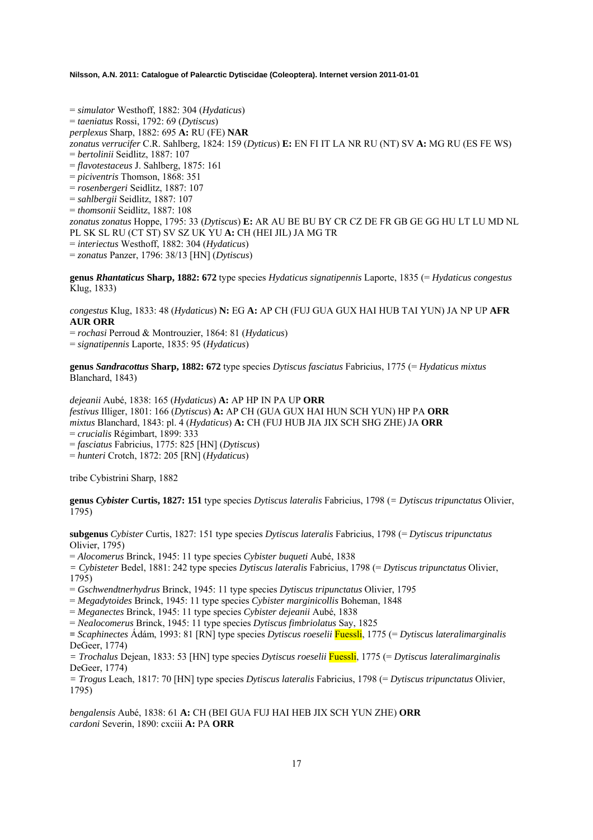= *simulator* Westhoff, 1882: 304 (*Hydaticus*) = *taeniatus* Rossi, 1792: 69 (*Dytiscus*) *perplexus* Sharp, 1882: 695 **A:** RU (FE) **NAR** *zonatus verrucifer* C.R. Sahlberg, 1824: 159 (*Dyticus*) **E:** EN FI IT LA NR RU (NT) SV **A:** MG RU (ES FE WS) = *bertolinii* Seidlitz, 1887: 107 = *flavotestaceus* J. Sahlberg, 1875: 161 = *piciventris* Thomson, 1868: 351 = *rosenbergeri* Seidlitz, 1887: 107 = *sahlbergii* Seidlitz, 1887: 107 = *thomsonii* Seidlitz, 1887: 108 *zonatus zonatus* Hoppe, 1795: 33 (*Dytiscus*) **E:** AR AU BE BU BY CR CZ DE FR GB GE GG HU LT LU MD NL PL SK SL RU (CT ST) SV SZ UK YU **A:** CH (HEI JIL) JA MG TR = *interiectus* Westhoff, 1882: 304 (*Hydaticus*) = *zonatus* Panzer, 1796: 38/13 [HN] (*Dytiscus*)

**genus** *Rhantaticus* **Sharp, 1882: 672** type species *Hydaticus signatipennis* Laporte, 1835 (= *Hydaticus congestus*  Klug, 1833)

*congestus* Klug, 1833: 48 (*Hydaticus*) **N:** EG **A:** AP CH (FUJ GUA GUX HAI HUB TAI YUN) JA NP UP **AFR AUR ORR**

= *rochasi* Perroud & Montrouzier, 1864: 81 (*Hydaticus*)

= *signatipennis* Laporte, 1835: 95 (*Hydaticus*)

**genus** *Sandracottus* **Sharp, 1882: 672** type species *Dytiscus fasciatus* Fabricius, 1775 (= *Hydaticus mixtus* Blanchard, 1843)

*dejeanii* Aubé, 1838: 165 (*Hydaticus*) **A:** AP HP IN PA UP **ORR**  *festivus* Illiger, 1801: 166 (*Dytiscus*) **A:** AP CH (GUA GUX HAI HUN SCH YUN) HP PA **ORR**  *mixtus* Blanchard, 1843: pl. 4 (*Hydaticus*) **A:** CH (FUJ HUB JIA JIX SCH SHG ZHE) JA **ORR**  = *crucialis* Régimbart, 1899: 333

= *fasciatus* Fabricius, 1775: 825 [HN] (*Dytiscus*)

= *hunteri* Crotch, 1872: 205 [RN] (*Hydaticus*)

tribe Cybistrini Sharp, 1882

**genus** *Cybister* **Curtis, 1827: 151** type species *Dytiscus lateralis* Fabricius, 1798 (*= Dytiscus tripunctatus* Olivier, 1795)

**subgenus** *Cybister* Curtis, 1827: 151 type species *Dytiscus lateralis* Fabricius, 1798 (= *Dytiscus tripunctatus* Olivier, 1795)

= *Alocomerus* Brinck, 1945: 11 type species *Cybister buqueti* Aubé, 1838

*= Cybisteter* Bedel, 1881: 242 type species *Dytiscus lateralis* Fabricius, 1798 (= *Dytiscus tripunctatus* Olivier, 1795)

= *Gschwendtnerhydrus* Brinck, 1945: 11 type species *Dytiscus tripunctatus* Olivier, 1795

= *Megadytoides* Brinck, 1945: 11 type species *Cybister marginicollis* Boheman, 1848

= *Meganectes* Brinck, 1945: 11 type species *Cybister dejeanii* Aubé, 1838

= *Nealocomerus* Brinck, 1945: 11 type species *Dytiscus fimbriolatus* Say, 1825

**=** *Scaphinectes* Ádám, 1993: 81 [RN] type species *Dytiscus roeselii* Fuessli, 1775 (= *Dytiscus lateralimarginalis* DeGeer, 1774)

*= Trochalus* Dejean, 1833: 53 [HN] type species *Dytiscus roeselii* Fuessli, 1775 (= *Dytiscus lateralimarginalis* DeGeer, 1774)

*= Trogus* Leach, 1817: 70 [HN] type species *Dytiscus lateralis* Fabricius, 1798 (= *Dytiscus tripunctatus* Olivier, 1795)

*bengalensis* Aubé, 1838: 61 **A:** CH (BEI GUA FUJ HAI HEB JIX SCH YUN ZHE) **ORR**  *cardoni* Severin, 1890: cxciii **A:** PA **ORR**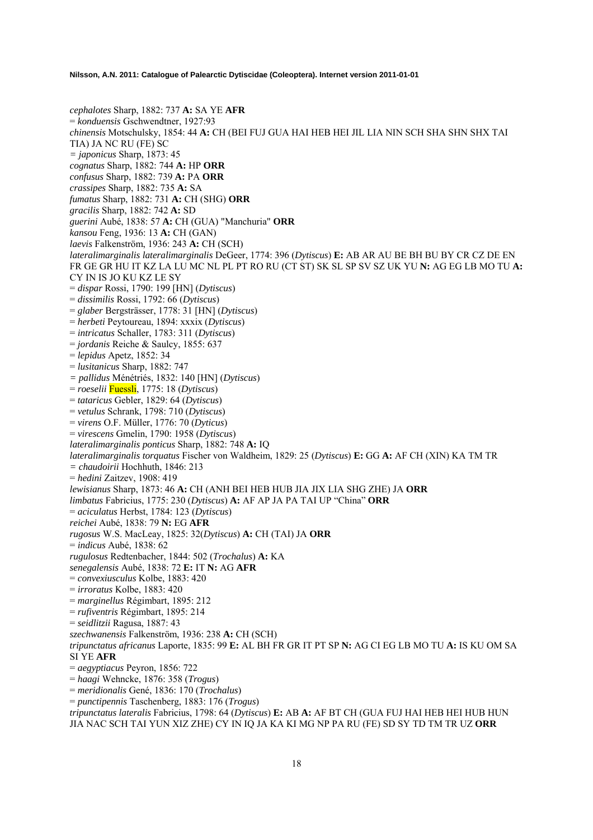*cephalotes* Sharp, 1882: 737 **A:** SA YE **AFR**  = *konduensis* Gschwendtner, 1927:93 *chinensis* Motschulsky, 1854: 44 **A:** CH (BEI FUJ GUA HAI HEB HEI JIL LIA NIN SCH SHA SHN SHX TAI TIA) JA NC RU (FE) SC *= japonicus* Sharp, 1873: 45 *cognatus* Sharp, 1882: 744 **A:** HP **ORR**  *confusus* Sharp, 1882: 739 **A:** PA **ORR**  *crassipes* Sharp, 1882: 735 **A:** SA *fumatus* Sharp, 1882: 731 **A:** CH (SHG) **ORR**  *gracilis* Sharp, 1882: 742 **A:** SD *guerini* Aubé, 1838: 57 **A:** CH (GUA) "Manchuria" **ORR**  *kansou* Feng, 1936: 13 **A:** CH (GAN) *laevis* Falkenström, 1936: 243 **A:** CH (SCH) *lateralimarginalis lateralimarginalis* DeGeer, 1774: 396 (*Dytiscus*) **E:** AB AR AU BE BH BU BY CR CZ DE EN FR GE GR HU IT KZ LA LU MC NL PL PT RO RU (CT ST) SK SL SP SV SZ UK YU **N:** AG EG LB MO TU **A:**  CY IN IS JO KU KZ LE SY = *dispar* Rossi, 1790: 199 [HN] (*Dytiscus*) = *dissimilis* Rossi, 1792: 66 (*Dytiscus*) = *glaber* Bergsträsser, 1778: 31 [HN] (*Dytiscus*) = *herbeti* Peytoureau, 1894: xxxix (*Dytiscus*) = *intricatus* Schaller, 1783: 311 (*Dytiscus*) = *jordanis* Reiche & Saulcy, 1855: 637 = *lepidus* Apetz, 1852: 34 = *lusitanicus* Sharp, 1882: 747 *= pallidus* Ménétriés, 1832: 140 [HN] (*Dytiscus*) = *roeselii* Fuessli, 1775: 18 (*Dytiscus*) = *tataricus* Gebler, 1829: 64 (*Dytiscus*) = *vetulus* Schrank, 1798: 710 (*Dytiscus*) = *virens* O.F. Müller, 1776: 70 (*Dyticus*) = *virescens* Gmelin, 1790: 1958 (*Dytiscus*) *lateralimarginalis ponticus* Sharp, 1882: 748 **A:** IQ *lateralimarginalis torquatus* Fischer von Waldheim, 1829: 25 (*Dytiscus*) **E:** GG **A:** AF CH (XIN) KA TM TR *= chaudoirii* Hochhuth, 1846: 213 = *hedini* Zaitzev, 1908: 419 *lewisianus* Sharp, 1873: 46 **A:** CH (ANH BEI HEB HUB JIA JIX LIA SHG ZHE) JA **ORR**  *limbatus* Fabricius, 1775: 230 (*Dytiscus*) **A:** AF AP JA PA TAI UP "China" **ORR**  = *aciculatus* Herbst, 1784: 123 (*Dytiscus*) *reichei* Aubé, 1838: 79 **N:** EG **AFR**  *rugosus* W.S. MacLeay, 1825: 32(*Dytiscus*) **A:** CH (TAI) JA **ORR**  = *indicus* Aubé, 1838: 62 *rugulosus* Redtenbacher, 1844: 502 (*Trochalus*) **A:** KA *senegalensis* Aubé, 1838: 72 **E:** IT **N:** AG **AFR**  = *convexiusculus* Kolbe, 1883: 420 = *irroratus* Kolbe, 1883: 420 = *marginellus* Régimbart, 1895: 212 = *rufiventris* Régimbart, 1895: 214 = *seidlitzii* Ragusa, 1887: 43 *szechwanensis* Falkenström, 1936: 238 **A:** CH (SCH) *tripunctatus africanus* Laporte, 1835: 99 **E:** AL BH FR GR IT PT SP **N:** AG CI EG LB MO TU **A:** IS KU OM SA SI YE **AFR**  = *aegyptiacus* Peyron, 1856: 722 = *haagi* Wehncke, 1876: 358 (*Trogus*) = *meridionalis* Gené, 1836: 170 (*Trochalus*) = *punctipennis* Taschenberg, 1883: 176 (*Trogus*) *tripunctatus lateralis* Fabricius, 1798: 64 (*Dytiscus*) **E:** AB **A:** AF BT CH (GUA FUJ HAI HEB HEI HUB HUN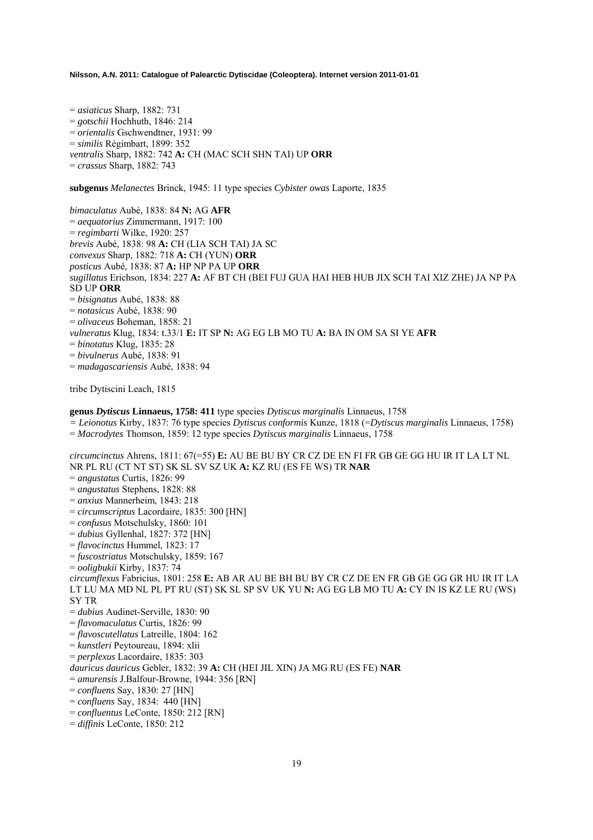= *asiaticus* Sharp, 1882: 731 = *gotschii* Hochhuth, 1846: 214 = *orientalis* Gschwendtner, 1931: 99 = *similis* Régimbart, 1899: 352 *ventralis* Sharp, 1882: 742 **A:** CH (MAC SCH SHN TAI) UP **ORR**  = *crassus* Sharp, 1882: 743

**subgenus** *Melanectes* Brinck, 1945: 11 type species *Cybister owas* Laporte, 1835

*bimaculatus* Aubé, 1838: 84 **N:** AG **AFR**  = *aequatorius* Zimmermann, 1917: 100 = *regimbarti* Wilke, 1920: 257 *brevis* Aubé, 1838: 98 **A:** CH (LIA SCH TAI) JA SC *convexus* Sharp, 1882: 718 **A:** CH (YUN) **ORR**  *posticus* Aubé, 1838: 87 **A:** HP NP PA UP **ORR**  *sugillatus* Erichson, 1834: 227 **A:** AF BT CH (BEI FUJ GUA HAI HEB HUB JIX SCH TAI XIZ ZHE) JA NP PA SD UP **ORR**  = *bisignatus* Aubé, 1838: 88 = *notasicus* Aubé, 1838: 90 = *olivaceus* Boheman, 1858: 21 *vulneratus* Klug, 1834: t.33/1 **E:** IT SP **N:** AG EG LB MO TU **A:** BA IN OM SA SI YE **AFR**  = *binotatus* Klug, 1835: 28 = *bivulnerus* Aubé, 1838: 91 = *madagascariensis* Aubé, 1838: 94 tribe Dytiscini Leach, 1815

### **genus** *Dytiscus* **Linnaeus, 1758: 411** type species *Dytiscus marginalis* Linnaeus, 1758

*= Leionotus* Kirby, 1837: 76 type species *Dytiscus conformis* Kunze, 1818 (=*Dytiscus marginalis* Linnaeus, 1758)

= *Macrodytes* Thomson, 1859: 12 type species *Dytiscus marginalis* Linnaeus, 1758

*circumcinctus* Ahrens, 1811: 67(=55) **E:** AU BE BU BY CR CZ DE EN FI FR GB GE GG HU IR IT LA LT NL NR PL RU (CT NT ST) SK SL SV SZ UK **A:** KZ RU (ES FE WS) TR **NAR**  = *angustatus* Curtis, 1826: 99 = *angustatus* Stephens, 1828: 88

= *anxius* Mannerheim, 1843: 218

- = *circumscriptus* Lacordaire, 1835: 300 [HN]
- = *confusus* Motschulsky, 1860: 101
- = *dubius* Gyllenhal, 1827: 372 [HN]
- = *flavocinctus* Hummel, 1823: 17
- = *fuscostriatus* Motschulsky, 1859: 167
- = *ooligbukii* Kirby, 1837: 74

*circumflexus* Fabricius, 1801: 258 **E:** AB AR AU BE BH BU BY CR CZ DE EN FR GB GE GG GR HU IR IT LA LT LU MA MD NL PL PT RU (ST) SK SL SP SV UK YU **N:** AG EG LB MO TU **A:** CY IN IS KZ LE RU (WS) SY TR

= *dubius* Audinet-Serville, 1830: 90

= *flavomaculatus* Curtis, 1826: 99

- = *flavoscutellatus* Latreille, 1804: 162
- = *kunstleri* Peytoureau, 1894: xlii
- = *perplexus* Lacordaire, 1835: 303

*dauricus dauricus* Gebler, 1832: 39 **A:** CH (HEI JIL XIN) JA MG RU (ES FE) **NAR** 

- = *amurensis* J.Balfour-Browne, 1944: 356 [RN]
- = *confluens* Say, 1830: 27 [HN]
- = *confluens* Say, 1834: 440 [HN]
- = *confluentus* LeConte, 1850: 212 [RN]
- = *diffinis* LeConte, 1850: 212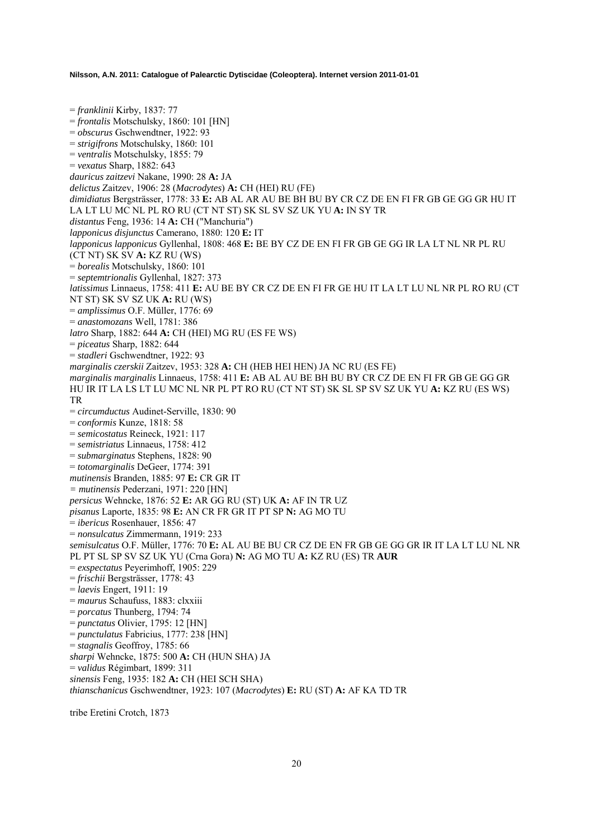= *franklinii* Kirby, 1837: 77 = *frontalis* Motschulsky, 1860: 101 [HN] = *obscurus* Gschwendtner, 1922: 93 = *strigifrons* Motschulsky, 1860: 101 = *ventralis* Motschulsky, 1855: 79 = *vexatus* Sharp, 1882: 643 *dauricus zaitzevi* Nakane, 1990: 28 **A:** JA *delictus* Zaitzev, 1906: 28 (*Macrodytes*) **A:** CH (HEI) RU (FE) *dimidiatus* Bergsträsser, 1778: 33 **E:** AB AL AR AU BE BH BU BY CR CZ DE EN FI FR GB GE GG GR HU IT LA LT LU MC NL PL RO RU (CT NT ST) SK SL SV SZ UK YU **A:** IN SY TR *distantus* Feng, 1936: 14 **A:** CH ("Manchuria") *lapponicus disjunctus* Camerano, 1880: 120 **E:** IT *lapponicus lapponicus* Gyllenhal, 1808: 468 **E:** BE BY CZ DE EN FI FR GB GE GG IR LA LT NL NR PL RU (CT NT) SK SV **A:** KZ RU (WS) = *borealis* Motschulsky, 1860: 101 = *septemtrionalis* Gyllenhal, 1827: 373 *latissimus* Linnaeus, 1758: 411 **E:** AU BE BY CR CZ DE EN FI FR GE HU IT LA LT LU NL NR PL RO RU (CT NT ST) SK SV SZ UK **A:** RU (WS) = *amplissimus* O.F. Müller, 1776: 69 = *anastomozans* Well, 1781: 386 *latro* Sharp, 1882: 644 **A:** CH (HEI) MG RU (ES FE WS) = *piceatus* Sharp, 1882: 644 = *stadleri* Gschwendtner, 1922: 93 *marginalis czerskii* Zaitzev, 1953: 328 **A:** CH (HEB HEI HEN) JA NC RU (ES FE) *marginalis marginalis* Linnaeus, 1758: 411 **E:** AB AL AU BE BH BU BY CR CZ DE EN FI FR GB GE GG GR HU IR IT LA LS LT LU MC NL NR PL PT RO RU (CT NT ST) SK SL SP SV SZ UK YU **A:** KZ RU (ES WS) TR = *circumductus* Audinet-Serville, 1830: 90 = *conformis* Kunze, 1818: 58 = *semicostatus* Reineck, 1921: 117 = *semistriatus* Linnaeus, 1758: 412 = *submarginatus* Stephens, 1828: 90 = *totomarginalis* DeGeer, 1774: 391 *mutinensis* Branden, 1885: 97 **E:** CR GR IT *= mutinensis* Pederzani, 1971: 220 [HN] *persicus* Wehncke, 1876: 52 **E:** AR GG RU (ST) UK **A:** AF IN TR UZ *pisanus* Laporte, 1835: 98 **E:** AN CR FR GR IT PT SP **N:** AG MO TU = *ibericus* Rosenhauer, 1856: 47 = *nonsulcatus* Zimmermann, 1919: 233 *semisulcatus* O.F. Müller, 1776: 70 **E:** AL AU BE BU CR CZ DE EN FR GB GE GG GR IR IT LA LT LU NL NR PL PT SL SP SV SZ UK YU (Crna Gora) **N:** AG MO TU **A:** KZ RU (ES) TR **AUR**  = *exspectatus* Peyerimhoff, 1905: 229 = *frischii* Bergsträsser, 1778: 43 = *laevis* Engert, 1911: 19 = *maurus* Schaufuss, 1883: clxxiii = *porcatus* Thunberg, 1794: 74 = *punctatus* Olivier, 1795: 12 [HN] = *punctulatus* Fabricius, 1777: 238 [HN] = *stagnalis* Geoffroy, 1785: 66 *sharpi* Wehncke, 1875: 500 **A:** CH (HUN SHA) JA = *validus* Régimbart, 1899: 311 *sinensis* Feng, 1935: 182 **A:** CH (HEI SCH SHA) *thianschanicus* Gschwendtner, 1923: 107 (*Macrodytes*) **E:** RU (ST) **A:** AF KA TD TR

tribe Eretini Crotch, 1873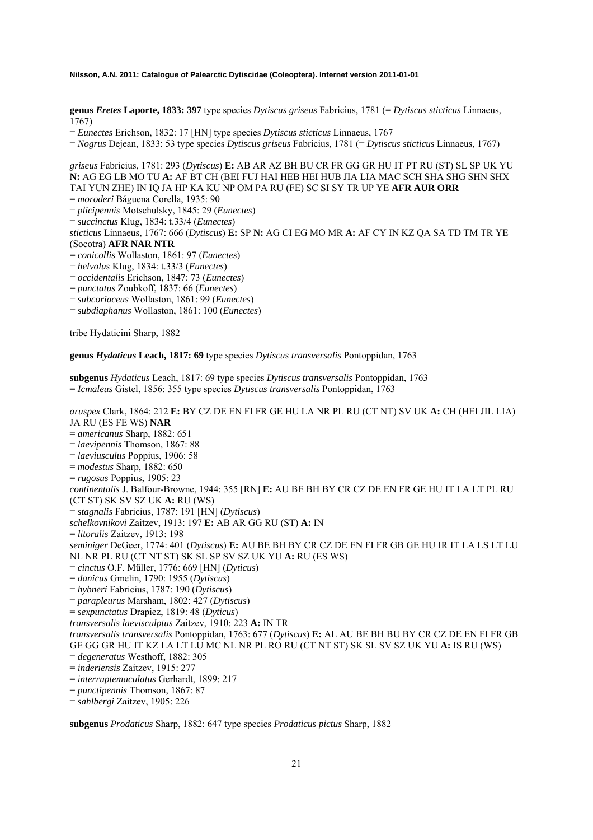**genus** *Eretes* **Laporte, 1833: 397** type species *Dytiscus griseus* Fabricius, 1781 (= *Dytiscus sticticus* Linnaeus, 1767)

= *Eunectes* Erichson, 1832: 17 [HN] type species *Dytiscus sticticus* Linnaeus, 1767

= *Nogrus* Dejean, 1833: 53 type species *Dytiscus griseus* Fabricius, 1781 (= *Dytiscus sticticus* Linnaeus, 1767)

*griseus* Fabricius, 1781: 293 (*Dytiscus*) **E:** AB AR AZ BH BU CR FR GG GR HU IT PT RU (ST) SL SP UK YU **N:** AG EG LB MO TU **A:** AF BT CH (BEI FUJ HAI HEB HEI HUB JIA LIA MAC SCH SHA SHG SHN SHX TAI YUN ZHE) IN IQ JA HP KA KU NP OM PA RU (FE) SC SI SY TR UP YE **AFR AUR ORR** = *moroderi* Báguena Corella, 1935: 90

= *plicipennis* Motschulsky, 1845: 29 (*Eunectes*)

= *succinctus* Klug, 1834: t.33/4 (*Eunectes*)

*sticticus* Linnaeus, 1767: 666 (*Dytiscus*) **E:** SP **N:** AG CI EG MO MR **A:** AF CY IN KZ QA SA TD TM TR YE (Socotra) **AFR NAR NTR**

- = *conicollis* Wollaston, 1861: 97 (*Eunectes*)
- = *helvolus* Klug, 1834: t.33/3 (*Eunectes*)
- = *occidentalis* Erichson, 1847: 73 (*Eunectes*)
- = *punctatus* Zoubkoff, 1837: 66 (*Eunectes*)
- = *subcoriaceus* Wollaston, 1861: 99 (*Eunectes*)
- = *subdiaphanus* Wollaston, 1861: 100 (*Eunectes*)

tribe Hydaticini Sharp, 1882

**genus** *Hydaticus* **Leach, 1817: 69** type species *Dytiscus transversalis* Pontoppidan, 1763

**subgenus** *Hydaticus* Leach, 1817: 69 type species *Dytiscus transversalis* Pontoppidan, 1763 = *Icmaleus* Gistel, 1856: 355 type species *Dytiscus transversalis* Pontoppidan, 1763

*aruspex* Clark, 1864: 212 **E:** BY CZ DE EN FI FR GE HU LA NR PL RU (CT NT) SV UK **A:** CH (HEI JIL LIA) JA RU (ES FE WS) **NAR** = *americanus* Sharp, 1882: 651 = *laevipennis* Thomson, 1867: 88 = *laeviusculus* Poppius, 1906: 58 = *modestus* Sharp, 1882: 650 = *rugosus* Poppius, 1905: 23 *continentalis* J. Balfour-Browne, 1944: 355 [RN] **E:** AU BE BH BY CR CZ DE EN FR GE HU IT LA LT PL RU (CT ST) SK SV SZ UK **A:** RU (WS) = *stagnalis* Fabricius, 1787: 191 [HN] (*Dytiscus*) *schelkovnikovi* Zaitzev, 1913: 197 **E:** AB AR GG RU (ST) **A:** IN = *litoralis* Zaitzev, 1913: 198 *seminiger* DeGeer, 1774: 401 (*Dytiscus*) **E:** AU BE BH BY CR CZ DE EN FI FR GB GE HU IR IT LA LS LT LU NL NR PL RU (CT NT ST) SK SL SP SV SZ UK YU **A:** RU (ES WS) = *cinctus* O.F. Müller, 1776: 669 [HN] (*Dyticus*) = *danicus* Gmelin, 1790: 1955 (*Dytiscus*) = *hybneri* Fabricius, 1787: 190 (*Dytiscus*) = *parapleurus* Marsham, 1802: 427 (*Dytiscus*) = *sexpunctatus* Drapiez, 1819: 48 (*Dyticus*) *transversalis laevisculptus* Zaitzev, 1910: 223 **A:** IN TR *transversalis transversalis* Pontoppidan, 1763: 677 (*Dytiscus*) **E:** AL AU BE BH BU BY CR CZ DE EN FI FR GB GE GG GR HU IT KZ LA LT LU MC NL NR PL RO RU (CT NT ST) SK SL SV SZ UK YU **A:** IS RU (WS) = *degeneratus* Westhoff, 1882: 305 = *inderiensis* Zaitzev, 1915: 277

- = *interruptemaculatus* Gerhardt, 1899: 217
- = *punctipennis* Thomson, 1867: 87

= *sahlbergi* Zaitzev, 1905: 226

**subgenus** *Prodaticus* Sharp, 1882: 647 type species *Prodaticus pictus* Sharp, 1882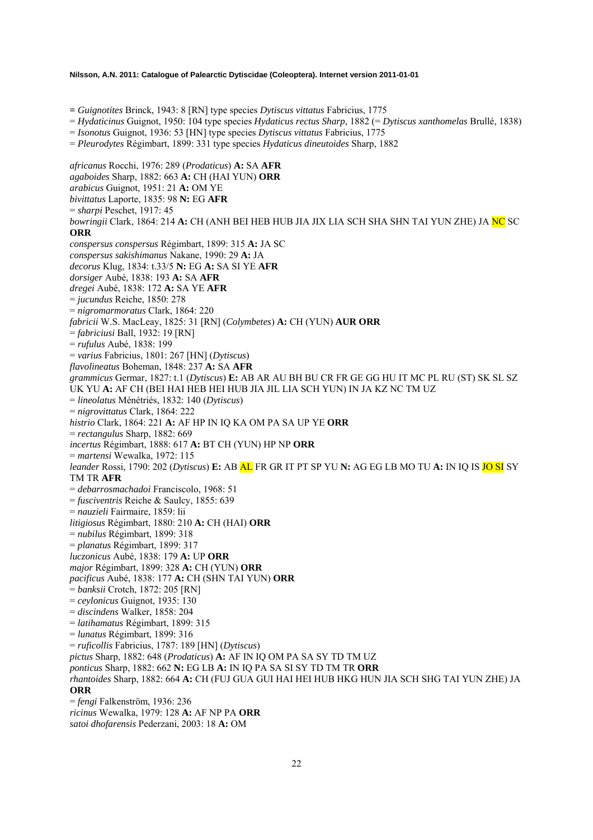**=** *Guignotites* Brinck, 1943: 8 [RN] type species *Dytiscus vittatus* Fabricius, 1775

= *Hydaticinus* Guignot, 1950: 104 type species *Hydaticus rectus Sharp*, 1882 (= *Dytiscus xanthomelas* Brullé, 1838)

= *Isonotus* Guignot, 1936: 53 [HN] type species *Dytiscus vittatus* Fabricius, 1775

= *Pleurodytes* Régimbart, 1899: 331 type species *Hydaticus dineutoides* Sharp, 1882

*africanus* Rocchi, 1976: 289 (*Prodaticus*) **A:** SA **AFR** *agaboides* Sharp, 1882: 663 **A:** CH (HAI YUN) **ORR**  *arabicus* Guignot, 1951: 21 **A:** OM YE *bivittatus* Laporte, 1835: 98 **N:** EG **AFR**  = *sharpi* Peschet, 1917: 45 *bowringii* Clark, 1864: 214 **A:** CH (ANH BEI HEB HUB JIA JIX LIA SCH SHA SHN TAI YUN ZHE) JA NC SC **ORR** *conspersus conspersus* Régimbart, 1899: 315 **A:** JA SC *conspersus sakishimanus* Nakane, 1990: 29 **A:** JA *decorus* Klug, 1834: t.33/5 **N:** EG **A:** SA SI YE **AFR** *dorsiger* Aubé, 1838: 193 **A:** SA **AFR** *dregei* Aubé, 1838: 172 **A:** SA YE **AFR** = *jucundus* Reiche, 1850: 278 = *nigromarmoratus* Clark, 1864: 220 *fabricii* W.S. MacLeay, 1825: 31 [RN] (*Colymbetes*) **A:** CH (YUN) **AUR ORR**  = *fabriciusi* Ball, 1932: 19 [RN] = *rufulus* Aubé, 1838: 199 = *varius* Fabricius, 1801: 267 [HN] (*Dytiscus*) *flavolineatus* Boheman, 1848: 237 **A:** SA **AFR** *grammicus* Germar, 1827: t.1 (*Dytiscus*) **E:** AB AR AU BH BU CR FR GE GG HU IT MC PL RU (ST) SK SL SZ UK YU **A:** AF CH (BEI HAI HEB HEI HUB JIA JIL LIA SCH YUN) IN JA KZ NC TM UZ = *lineolatus* Ménétriés, 1832: 140 (*Dytiscus*) = *nigrovittatus* Clark, 1864: 222 *histrio* Clark, 1864: 221 **A:** AF HP IN IQ KA OM PA SA UP YE **ORR** = *rectangulus* Sharp, 1882: 669 *incertus* Régimbart, 1888: 617 **A:** BT CH (YUN) HP NP **ORR** = *martensi* Wewalka, 1972: 115 *leander* Rossi, 1790: 202 (*Dytiscus*) **E:** AB AL FR GR IT PT SP YU **N:** AG EG LB MO TU **A:** IN IQ IS JO SI SY TM TR **AFR** = *debarrosmachadoi* Franciscolo, 1968: 51 = *fusciventris* Reiche & Saulcy, 1855: 639 = *nauzieli* Fairmaire, 1859: lii *litigiosus* Régimbart, 1880: 210 **A:** CH (HAI) **ORR** = *nubilus* Régimbart, 1899: 318 = *planatus* Régimbart, 1899: 317 *luczonicus* Aubé, 1838: 179 **A:** UP **ORR** *major* Régimbart, 1899: 328 **A:** CH (YUN) **ORR** *pacificus* Aubé, 1838: 177 **A:** CH (SHN TAI YUN) **ORR** = *banksii* Crotch, 1872: 205 [RN] = *ceylonicus* Guignot, 1935: 130 = *discindens* Walker, 1858: 204 = *latihamatus* Régimbart, 1899: 315 = *lunatus* Régimbart, 1899: 316 = *ruficollis* Fabricius, 1787: 189 [HN] (*Dytiscus*) *pictus* Sharp, 1882: 648 (*Prodaticus*) **A:** AF IN IQ OM PA SA SY TD TM UZ *ponticus* Sharp, 1882: 662 **N:** EG LB **A:** IN IQ PA SA SI SY TD TM TR **ORR** *rhantoides* Sharp, 1882: 664 **A:** CH (FUJ GUA GUI HAI HEI HUB HKG HUN JIA SCH SHG TAI YUN ZHE) JA **ORR** = *fengi* Falkenström, 1936: 236 *ricinus* Wewalka, 1979: 128 **A:** AF NP PA **ORR** *satoi dhofarensis* Pederzani, 2003: 18 **A:** OM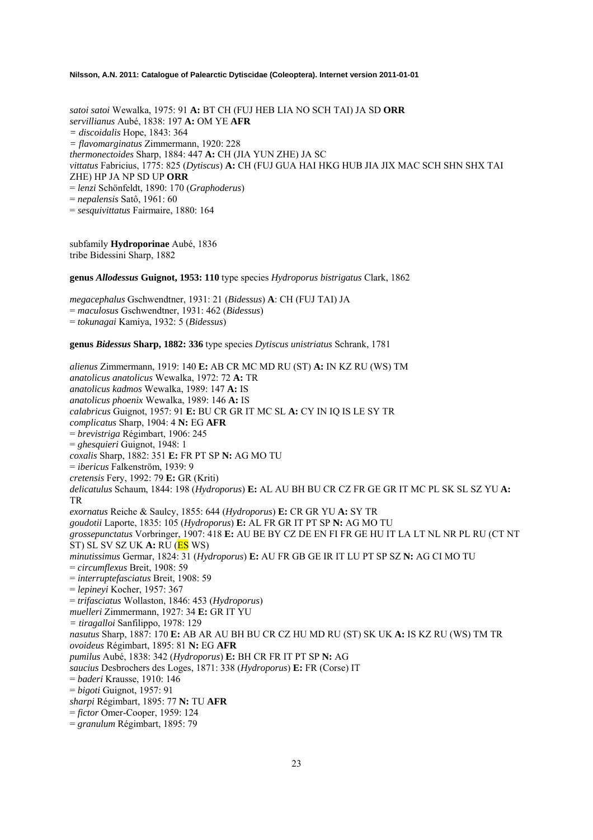*satoi satoi* Wewalka, 1975: 91 **A:** BT CH (FUJ HEB LIA NO SCH TAI) JA SD **ORR**  *servillianus* Aubé, 1838: 197 **A:** OM YE **AFR** *= discoidalis* Hope, 1843: 364 *= flavomarginatus* Zimmermann, 1920: 228 *thermonectoides* Sharp, 1884: 447 **A:** CH (JIA YUN ZHE) JA SC *vittatus* Fabricius, 1775: 825 (*Dytiscus*) **A:** CH (FUJ GUA HAI HKG HUB JIA JIX MAC SCH SHN SHX TAI ZHE) HP JA NP SD UP **ORR** = *lenzi* Schönfeldt, 1890: 170 (*Graphoderus*) = *nepalensis* Satô, 1961: 60 = *sesquivittatus* Fairmaire, 1880: 164

subfamily **Hydroporinae** Aubé, 1836 tribe Bidessini Sharp, 1882

**genus** *Allodessus* **Guignot, 1953: 110** type species *Hydroporus bistrigatus* Clark, 1862

*megacephalus* Gschwendtner, 1931: 21 (*Bidessus*) **A**: CH (FUJ TAI) JA = *maculosus* Gschwendtner, 1931: 462 (*Bidessus*) = *tokunagai* Kamiya, 1932: 5 (*Bidessus*)

**genus** *Bidessus* **Sharp, 1882: 336** type species *Dytiscus unistriatus* Schrank, 1781

*alienus* Zimmermann, 1919: 140 **E:** AB CR MC MD RU (ST) **A:** IN KZ RU (WS) TM *anatolicus anatolicus* Wewalka, 1972: 72 **A:** TR *anatolicus kadmos* Wewalka, 1989: 147 **A:** IS *anatolicus phoenix* Wewalka, 1989: 146 **A:** IS *calabricus* Guignot, 1957: 91 **E:** BU CR GR IT MC SL **A:** CY IN IQ IS LE SY TR *complicatus* Sharp, 1904: 4 **N:** EG **AFR** = *brevistriga* Régimbart, 1906: 245 = *ghesquieri* Guignot, 1948: 1 *coxalis* Sharp, 1882: 351 **E:** FR PT SP **N:** AG MO TU = *ibericus* Falkenström, 1939: 9 *cretensis* Fery, 1992: 79 **E:** GR (Kriti) *delicatulus* Schaum, 1844: 198 (*Hydroporus*) **E:** AL AU BH BU CR CZ FR GE GR IT MC PL SK SL SZ YU **A:**  TR *exornatus* Reiche & Saulcy, 1855: 644 (*Hydroporus*) **E:** CR GR YU **A:** SY TR *goudotii* Laporte, 1835: 105 (*Hydroporus*) **E:** AL FR GR IT PT SP **N:** AG MO TU *grossepunctatus* Vorbringer, 1907: 418 **E:** AU BE BY CZ DE EN FI FR GE HU IT LA LT NL NR PL RU (CT NT ST) SL SV SZ UK **A:** RU (ES WS) *minutissimus* Germar, 1824: 31 (*Hydroporus*) **E:** AU FR GB GE IR IT LU PT SP SZ **N:** AG CI MO TU = *circumflexus* Breit, 1908: 59 = *interruptefasciatus* Breit, 1908: 59 = *lepineyi* Kocher, 1957: 367 = *trifasciatus* Wollaston, 1846: 453 (*Hydroporus*) *muelleri* Zimmermann, 1927: 34 **E:** GR IT YU *= tiragalloi* Sanfilippo, 1978: 129 *nasutus* Sharp, 1887: 170 **E:** AB AR AU BH BU CR CZ HU MD RU (ST) SK UK **A:** IS KZ RU (WS) TM TR *ovoideus* Régimbart, 1895: 81 **N:** EG **AFR** *pumilus* Aubé, 1838: 342 (*Hydroporus*) **E:** BH CR FR IT PT SP **N:** AG *saucius* Desbrochers des Loges, 1871: 338 (*Hydroporus*) **E:** FR (Corse) IT = *baderi* Krausse, 1910: 146 = *bigoti* Guignot, 1957: 91 *sharpi* Régimbart, 1895: 77 **N:** TU **AFR** = *fictor* Omer-Cooper, 1959: 124 = *granulum* Régimbart, 1895: 79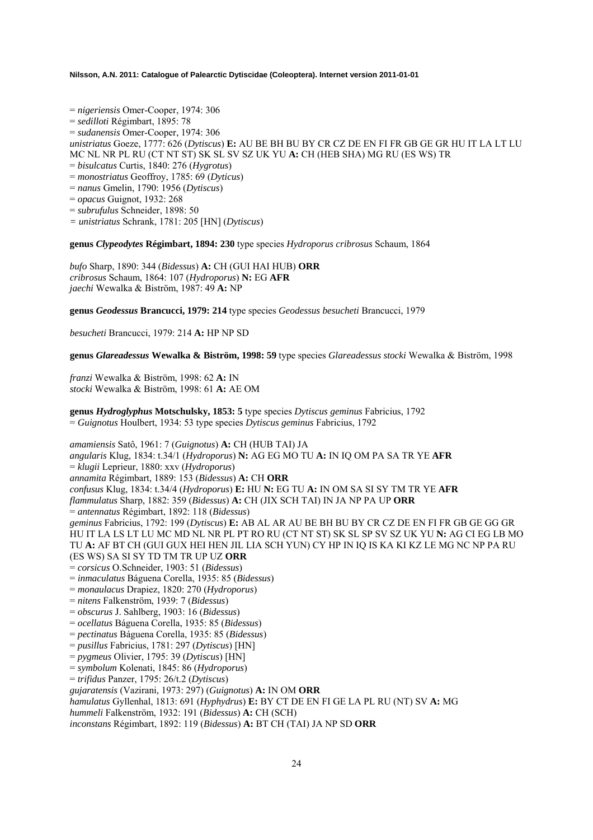= *nigeriensis* Omer-Cooper, 1974: 306

- = *sedilloti* Régimbart, 1895: 78
- = *sudanensis* Omer-Cooper, 1974: 306
- *unistriatus* Goeze, 1777: 626 (*Dytiscus*) **E:** AU BE BH BU BY CR CZ DE EN FI FR GB GE GR HU IT LA LT LU
- MC NL NR PL RU (CT NT ST) SK SL SV SZ UK YU **A:** CH (HEB SHA) MG RU (ES WS) TR
- = *bisulcatus* Curtis, 1840: 276 (*Hygrotus*)
- = *monostriatus* Geoffroy, 1785: 69 (*Dyticus*)
- = *nanus* Gmelin, 1790: 1956 (*Dytiscus*)
- = *opacus* Guignot, 1932: 268
- = *subrufulus* Schneider, 1898: 50
- *= unistriatus* Schrank, 1781: 205 [HN] (*Dytiscus*)

**genus** *Clypeodytes* **Régimbart, 1894: 230** type species *Hydroporus cribrosus* Schaum, 1864

*bufo* Sharp, 1890: 344 (*Bidessus*) **A:** CH (GUI HAI HUB) **ORR**  *cribrosus* Schaum, 1864: 107 (*Hydroporus*) **N:** EG **AFR**  *jaechi* Wewalka & Biström, 1987: 49 **A:** NP

**genus** *Geodessus* **Brancucci, 1979: 214** type species *Geodessus besucheti* Brancucci, 1979

*besucheti* Brancucci, 1979: 214 **A:** HP NP SD

**genus** *Glareadessus* **Wewalka & Biström, 1998: 59** type species *Glareadessus stocki* Wewalka & Biström, 1998

*franzi* Wewalka & Biström, 1998: 62 **A:** IN *stocki* Wewalka & Biström, 1998: 61 **A:** AE OM

**genus** *Hydroglyphus* **Motschulsky, 1853: 5** type species *Dytiscus geminus* Fabricius, 1792 = *Guignotus* Houlbert, 1934: 53 type species *Dytiscus geminus* Fabricius, 1792

*amamiensis* Satô, 1961: 7 (*Guignotus*) **A:** CH (HUB TAI) JA *angularis* Klug, 1834: t.34/1 (*Hydroporus*) **N:** AG EG MO TU **A:** IN IQ OM PA SA TR YE **AFR**  = *klugii* Leprieur, 1880: xxv (*Hydroporus*) *annamita* Régimbart, 1889: 153 (*Bidessus*) **A:** CH **ORR**  *confusus* Klug, 1834: t.34/4 (*Hydroporus*) **E:** HU **N:** EG TU **A:** IN OM SA SI SY TM TR YE **AFR**  *flammulatus* Sharp, 1882: 359 (*Bidessus*) **A:** CH (JIX SCH TAI) IN JA NP PA UP **ORR**  = *antennatus* Régimbart, 1892: 118 (*Bidessus*) *geminus* Fabricius, 1792: 199 (*Dytiscus*) **E:** AB AL AR AU BE BH BU BY CR CZ DE EN FI FR GB GE GG GR HU IT LA LS LT LU MC MD NL NR PL PT RO RU (CT NT ST) SK SL SP SV SZ UK YU **N:** AG CI EG LB MO TU **A:** AF BT CH (GUI GUX HEI HEN JIL LIA SCH YUN) CY HP IN IQ IS KA KI KZ LE MG NC NP PA RU (ES WS) SA SI SY TD TM TR UP UZ **ORR**  = *corsicus* O.Schneider, 1903: 51 (*Bidessus*) = *inmaculatus* Báguena Corella, 1935: 85 (*Bidessus*) = *monaulacus* Drapiez, 1820: 270 (*Hydroporus*) = *nitens* Falkenström, 1939: 7 (*Bidessus*) = *obscurus* J. Sahlberg, 1903: 16 (*Bidessus*) = *ocellatus* Báguena Corella, 1935: 85 (*Bidessus*) = *pectinatus* Báguena Corella, 1935: 85 (*Bidessus*) = *pusillus* Fabricius, 1781: 297 (*Dytiscus*) [HN] = *pygmeus* Olivier, 1795: 39 (*Dytiscus*) [HN] = *symbolum* Kolenati, 1845: 86 (*Hydroporus*) = *trifidus* Panzer, 1795: 26/t.2 (*Dytiscus*) *gujaratensis* (Vazirani, 1973: 297) (*Guignotus*) **A:** IN OM **ORR** *hamulatus* Gyllenhal, 1813: 691 (*Hyphydrus*) **E:** BY CT DE EN FI GE LA PL RU (NT) SV **A:** MG *hummeli* Falkenström, 1932: 191 (*Bidessus*) **A:** CH (SCH)

*inconstans* Régimbart, 1892: 119 (*Bidessus*) **A:** BT CH (TAI) JA NP SD **ORR**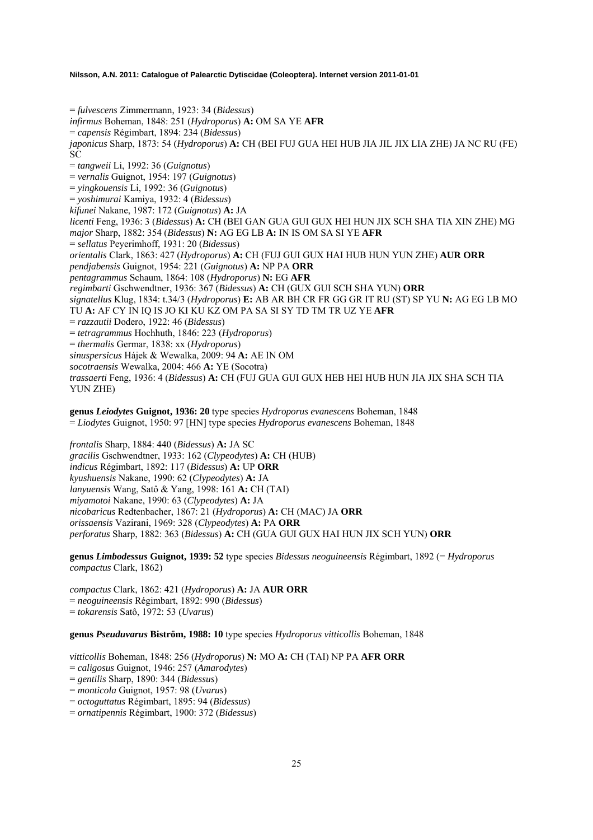= *fulvescens* Zimmermann, 1923: 34 (*Bidessus*) *infirmus* Boheman, 1848: 251 (*Hydroporus*) **A:** OM SA YE **AFR**  = *capensis* Régimbart, 1894: 234 (*Bidessus*) *japonicus* Sharp, 1873: 54 (*Hydroporus*) **A:** CH (BEI FUJ GUA HEI HUB JIA JIL JIX LIA ZHE) JA NC RU (FE) SC = *tangweii* Li, 1992: 36 (*Guignotus*) = *vernalis* Guignot, 1954: 197 (*Guignotus*) = *yingkouensis* Li, 1992: 36 (*Guignotus*) = *yoshimurai* Kamiya, 1932: 4 (*Bidessus*) *kifunei* Nakane, 1987: 172 (*Guignotus*) **A:** JA *licenti* Feng, 1936: 3 (*Bidessus*) **A:** CH (BEI GAN GUA GUI GUX HEI HUN JIX SCH SHA TIA XIN ZHE) MG *major* Sharp, 1882: 354 (*Bidessus*) **N:** AG EG LB **A:** IN IS OM SA SI YE **AFR**  = *sellatus* Peyerimhoff, 1931: 20 (*Bidessus*) *orientalis* Clark, 1863: 427 (*Hydroporus*) **A:** CH (FUJ GUI GUX HAI HUB HUN YUN ZHE) **AUR ORR**  *pendjabensis* Guignot, 1954: 221 (*Guignotus*) **A:** NP PA **ORR**  *pentagrammus* Schaum, 1864: 108 (*Hydroporus*) **N:** EG **AFR**  *regimbarti* Gschwendtner, 1936: 367 (*Bidessus*) **A:** CH (GUX GUI SCH SHA YUN) **ORR**  *signatellus* Klug, 1834: t.34/3 (*Hydroporus*) **E:** AB AR BH CR FR GG GR IT RU (ST) SP YU **N:** AG EG LB MO TU **A:** AF CY IN IQ IS JO KI KU KZ OM PA SA SI SY TD TM TR UZ YE **AFR**  = *razzautii* Dodero, 1922: 46 (*Bidessus*) = *tetragrammus* Hochhuth, 1846: 223 (*Hydroporus*) = *thermalis* Germar, 1838: xx (*Hydroporus*) *sinuspersicus* Hájek & Wewalka, 2009: 94 **A:** AE IN OM *socotraensis* Wewalka, 2004: 466 **A:** YE (Socotra) *trassaerti* Feng, 1936: 4 (*Bidessus*) **A:** CH (FUJ GUA GUI GUX HEB HEI HUB HUN JIA JIX SHA SCH TIA YUN ZHE)

**genus** *Leiodytes* **Guignot, 1936: 20** type species *Hydroporus evanescens* Boheman, 1848 = *Liodytes* Guignot, 1950: 97 [HN] type species *Hydroporus evanescens* Boheman, 1848

*frontalis* Sharp, 1884: 440 (*Bidessus*) **A:** JA SC *gracilis* Gschwendtner, 1933: 162 (*Clypeodytes*) **A:** CH (HUB) *indicus* Régimbart, 1892: 117 (*Bidessus*) **A:** UP **ORR**  *kyushuensis* Nakane, 1990: 62 (*Clypeodytes*) **A:** JA *lanyuensis* Wang, Satô & Yang, 1998: 161 **A:** CH (TAI) *miyamotoi* Nakane, 1990: 63 (*Clypeodytes*) **A:** JA *nicobaricus* Redtenbacher, 1867: 21 (*Hydroporus*) **A:** CH (MAC) JA **ORR**  *orissaensis* Vazirani, 1969: 328 (*Clypeodytes*) **A:** PA **ORR**  *perforatus* Sharp, 1882: 363 (*Bidessus*) **A:** CH (GUA GUI GUX HAI HUN JIX SCH YUN) **ORR** 

**genus** *Limbodessus* **Guignot, 1939: 52** type species *Bidessus neoguineensis* Régimbart, 1892 (= *Hydroporus compactus* Clark, 1862)

*compactus* Clark, 1862: 421 (*Hydroporus*) **A:** JA **AUR ORR**  = *neoguineensis* Régimbart, 1892: 990 (*Bidessus*) = *tokarensis* Satô, 1972: 53 (*Uvarus*)

**genus** *Pseuduvarus* **Biström, 1988: 10** type species *Hydroporus vitticollis* Boheman, 1848

*vitticollis* Boheman, 1848: 256 (*Hydroporus*) **N:** MO **A:** CH (TAI) NP PA **AFR ORR** 

= *caligosus* Guignot, 1946: 257 (*Amarodytes*)

- = *gentilis* Sharp, 1890: 344 (*Bidessus*)
- = *monticola* Guignot, 1957: 98 (*Uvarus*)
- = *octoguttatus* Régimbart, 1895: 94 (*Bidessus*)
- = *ornatipennis* Régimbart, 1900: 372 (*Bidessus*)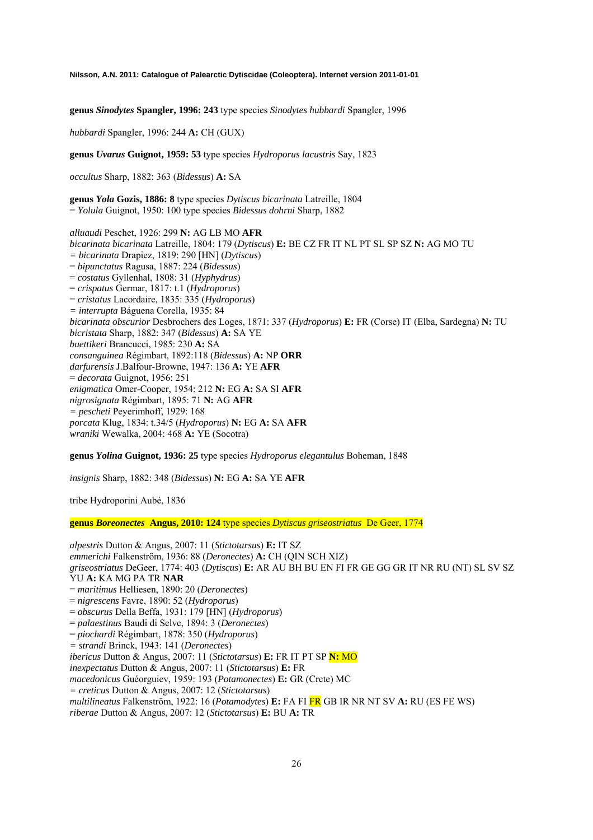**genus** *Sinodytes* **Spangler, 1996: 243** type species *Sinodytes hubbardi* Spangler, 1996

*hubbardi* Spangler, 1996: 244 **A:** CH (GUX)

**genus** *Uvarus* **Guignot, 1959: 53** type species *Hydroporus lacustris* Say, 1823

*occultus* Sharp, 1882: 363 (*Bidessus*) **A:** SA

**genus** *Yola* **Gozis, 1886: 8** type species *Dytiscus bicarinata* Latreille, 1804 = *Yolula* Guignot, 1950: 100 type species *Bidessus dohrni* Sharp, 1882

*alluaudi* Peschet, 1926: 299 **N:** AG LB MO **AFR**  *bicarinata bicarinata* Latreille, 1804: 179 (*Dytiscus*) **E:** BE CZ FR IT NL PT SL SP SZ **N:** AG MO TU *= bicarinata* Drapiez, 1819: 290 [HN] (*Dytiscus*) = *bipunctatus* Ragusa, 1887: 224 (*Bidessus*) = *costatus* Gyllenhal, 1808: 31 (*Hyphydrus*) = *crispatus* Germar, 1817: t.1 (*Hydroporus*) = *cristatus* Lacordaire, 1835: 335 (*Hydroporus*) *= interrupta* Báguena Corella, 1935: 84 *bicarinata obscurior* Desbrochers des Loges, 1871: 337 (*Hydroporus*) **E:** FR (Corse) IT (Elba, Sardegna) **N:** TU *bicristata* Sharp, 1882: 347 (*Bidessus*) **A:** SA YE *buettikeri* Brancucci, 1985: 230 **A:** SA *consanguinea* Régimbart, 1892:118 (*Bidessus*) **A:** NP **ORR** *darfurensis* J.Balfour-Browne, 1947: 136 **A:** YE **AFR**  = *decorata* Guignot, 1956: 251 *enigmatica* Omer-Cooper, 1954: 212 **N:** EG **A:** SA SI **AFR**  *nigrosignata* Régimbart, 1895: 71 **N:** AG **AFR**  *= pescheti* Peyerimhoff, 1929: 168 *porcata* Klug, 1834: t.34/5 (*Hydroporus*) **N:** EG **A:** SA **AFR**  *wraniki* Wewalka, 2004: 468 **A:** YE (Socotra)

**genus** *Yolina* **Guignot, 1936: 25** type species *Hydroporus elegantulus* Boheman, 1848

*insignis* Sharp, 1882: 348 (*Bidessus*) **N:** EG **A:** SA YE **AFR** 

tribe Hydroporini Aubé, 1836

**genus** *Boreonectes* **Angus, 2010: 124** type species *Dytiscus griseostriatus* De Geer, 1774

*alpestris* Dutton & Angus, 2007: 11 (*Stictotarsus*) **E:** IT SZ *emmerichi* Falkenström, 1936: 88 (*Deronectes*) **A:** CH (QIN SCH XIZ) *griseostriatus* DeGeer, 1774: 403 (*Dytiscus*) **E:** AR AU BH BU EN FI FR GE GG GR IT NR RU (NT) SL SV SZ YU **A:** KA MG PA TR **NAR** = *maritimus* Helliesen, 1890: 20 (*Deronectes*) = *nigrescens* Favre, 1890: 52 (*Hydroporus*) = *obscurus* Della Beffa, 1931: 179 [HN] (*Hydroporus*) = *palaestinus* Baudi di Selve, 1894: 3 (*Deronectes*) = *piochardi* Régimbart, 1878: 350 (*Hydroporus*) *= strandi* Brinck, 1943: 141 (*Deronectes*) *ibericus* Dutton & Angus, 2007: 11 (*Stictotarsus*) **E:** FR IT PT SP **N:** MO *inexpectatus* Dutton & Angus, 2007: 11 (*Stictotarsus*) **E:** FR *macedonicus* Guéorguiev, 1959: 193 (*Potamonectes*) **E:** GR (Crete) MC *= creticus* Dutton & Angus, 2007: 12 (*Stictotarsus*) *multilineatus* Falkenström, 1922: 16 (*Potamodytes*) **E:** FA FI FR GB IR NR NT SV **A:** RU (ES FE WS) *riberae* Dutton & Angus, 2007: 12 (*Stictotarsus*) **E:** BU **A:** TR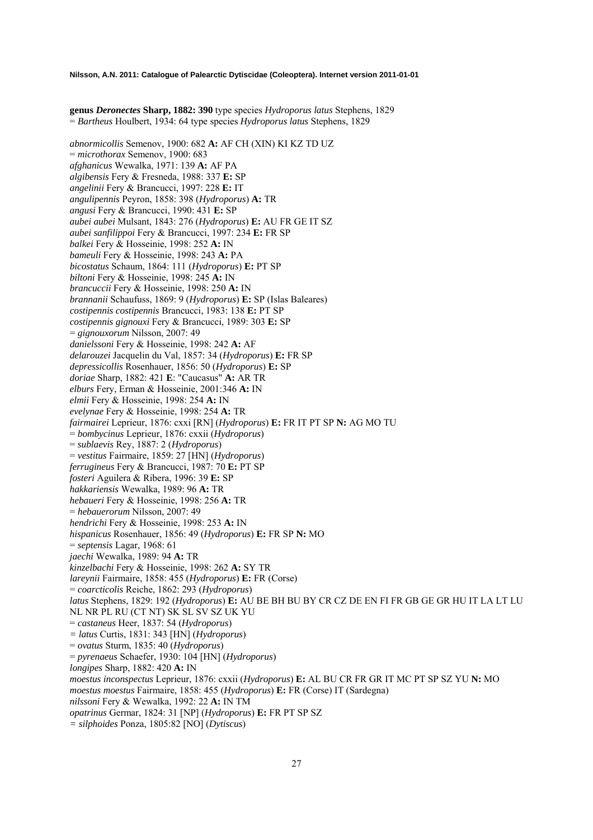**genus** *Deronectes* **Sharp, 1882: 390** type species *Hydroporus latus* Stephens, 1829 = *Bartheus* Houlbert, 1934: 64 type species *Hydroporus latus* Stephens, 1829

*abnormicollis* Semenov, 1900: 682 **A:** AF CH (XIN) KI KZ TD UZ = *microthorax* Semenov, 1900: 683 *afghanicus* Wewalka, 1971: 139 **A:** AF PA *algibensis* Fery & Fresneda, 1988: 337 **E:** SP *angelinii* Fery & Brancucci, 1997: 228 **E:** IT *angulipennis* Peyron, 1858: 398 (*Hydroporus*) **A:** TR *angusi* Fery & Brancucci, 1990: 431 **E:** SP *aubei aubei* Mulsant, 1843: 276 (*Hydroporus*) **E:** AU FR GE IT SZ *aubei sanfilippoi* Fery & Brancucci, 1997: 234 **E:** FR SP *balkei* Fery & Hosseinie, 1998: 252 **A:** IN *bameuli* Fery & Hosseinie, 1998: 243 **A:** PA *bicostatus* Schaum, 1864: 111 (*Hydroporus*) **E:** PT SP *biltoni* Fery & Hosseinie, 1998: 245 **A:** IN *brancuccii* Fery & Hosseinie, 1998: 250 **A:** IN *brannanii* Schaufuss, 1869: 9 (*Hydroporus*) **E:** SP (Islas Baleares) *costipennis costipennis* Brancucci, 1983: 138 **E:** PT SP *costipennis gignouxi* Fery & Brancucci, 1989: 303 **E:** SP = *gignouxorum* Nilsson, 2007: 49 *danielssoni* Fery & Hosseinie, 1998: 242 **A:** AF *delarouzei* Jacquelin du Val, 1857: 34 (*Hydroporus*) **E:** FR SP *depressicollis* Rosenhauer, 1856: 50 (*Hydroporus*) **E:** SP *doriae* Sharp, 1882: 421 **E**: "Caucasus" **A:** AR TR *elburs* Fery, Erman & Hosseinie, 2001:346 **A:** IN *elmii* Fery & Hosseinie, 1998: 254 **A:** IN *evelynae* Fery & Hosseinie, 1998: 254 **A:** TR *fairmairei* Leprieur, 1876: cxxi [RN] (*Hydroporus*) **E:** FR IT PT SP **N:** AG MO TU = *bombycinus* Leprieur, 1876: cxxii (*Hydroporus*) = *sublaevis* Rey, 1887: 2 (*Hydroporus*) = *vestitus* Fairmaire, 1859: 27 [HN] (*Hydroporus*) *ferrugineus* Fery & Brancucci, 1987: 70 **E:** PT SP *fosteri* Aguilera & Ribera, 1996: 39 **E:** SP *hakkariensis* Wewalka, 1989: 96 **A:** TR *hebaueri* Fery & Hosseinie, 1998: 256 **A:** TR = *hebauerorum* Nilsson, 2007: 49 *hendrichi* Fery & Hosseinie, 1998: 253 **A:** IN *hispanicus* Rosenhauer, 1856: 49 (*Hydroporus*) **E:** FR SP **N:** MO = *septensis* Lagar, 1968: 61 *jaechi* Wewalka, 1989: 94 **A:** TR *kinzelbachi* Fery & Hosseinie, 1998: 262 **A:** SY TR *lareynii* Fairmaire, 1858: 455 (*Hydroporus*) **E:** FR (Corse) = *coarcticolis* Reiche, 1862: 293 (*Hydroporus*) *latus* Stephens, 1829: 192 (*Hydroporus*) **E:** AU BE BH BU BY CR CZ DE EN FI FR GB GE GR HU IT LA LT LU NL NR PL RU (CT NT) SK SL SV SZ UK YU = *castaneus* Heer, 1837: 54 (*Hydroporus*) *= latus* Curtis, 1831: 343 [HN] (*Hydroporus*) = *ovatus* Sturm, 1835: 40 (*Hydroporus*) = *pyrenaeus* Schaefer, 1930: 104 [HN] (*Hydroporus*) *longipes* Sharp, 1882: 420 **A:** IN *moestus inconspectus* Leprieur, 1876: cxxii (*Hydroporus*) **E:** AL BU CR FR GR IT MC PT SP SZ YU **N:** MO *moestus moestus* Fairmaire, 1858: 455 (*Hydroporus*) **E:** FR (Corse) IT (Sardegna) *nilssoni* Fery & Wewalka, 1992: 22 **A:** IN TM *opatrinus* Germar, 1824: 31 [NP] (*Hydroporus*) **E:** FR PT SP SZ

*= silphoides* Ponza, 1805:82 [NO] (*Dytiscus*)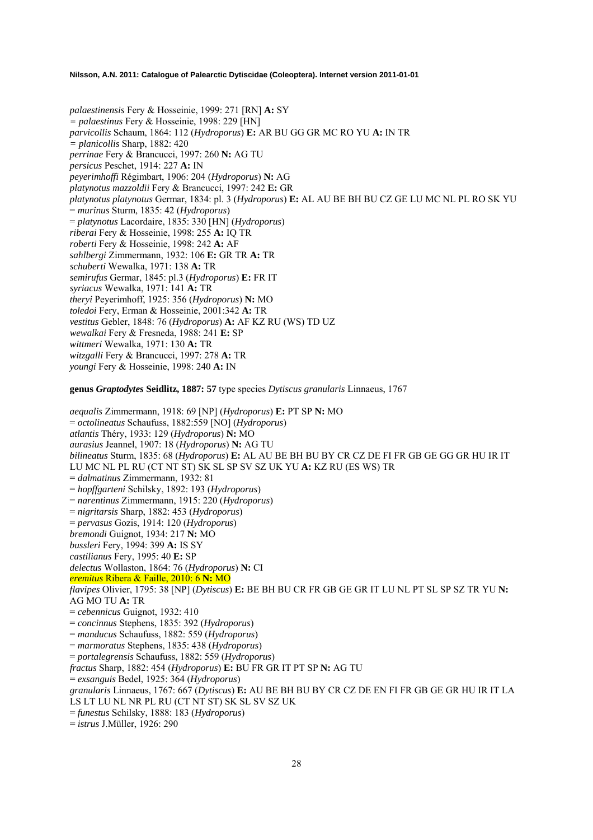*palaestinensis* Fery & Hosseinie, 1999: 271 [RN] **A:** SY *= palaestinus* Fery & Hosseinie, 1998: 229 [HN] *parvicollis* Schaum, 1864: 112 (*Hydroporus*) **E:** AR BU GG GR MC RO YU **A:** IN TR *= planicollis* Sharp, 1882: 420 *perrinae* Fery & Brancucci, 1997: 260 **N:** AG TU *persicus* Peschet, 1914: 227 **A:** IN *peyerimhoffi* Régimbart, 1906: 204 (*Hydroporus*) **N:** AG *platynotus mazzoldii* Fery & Brancucci, 1997: 242 **E:** GR *platynotus platynotus* Germar, 1834: pl. 3 (*Hydroporus*) **E:** AL AU BE BH BU CZ GE LU MC NL PL RO SK YU = *murinus* Sturm, 1835: 42 (*Hydroporus*) = *platynotus* Lacordaire, 1835: 330 [HN] (*Hydroporus*) *riberai* Fery & Hosseinie, 1998: 255 **A:** IQ TR *roberti* Fery & Hosseinie, 1998: 242 **A:** AF *sahlbergi* Zimmermann, 1932: 106 **E:** GR TR **A:** TR *schuberti* Wewalka, 1971: 138 **A:** TR *semirufus* Germar, 1845: pl.3 (*Hydroporus*) **E:** FR IT *syriacus* Wewalka, 1971: 141 **A:** TR *theryi* Peyerimhoff, 1925: 356 (*Hydroporus*) **N:** MO *toledoi* Fery, Erman & Hosseinie, 2001:342 **A:** TR *vestitus* Gebler, 1848: 76 (*Hydroporus*) **A:** AF KZ RU (WS) TD UZ *wewalkai* Fery & Fresneda, 1988: 241 **E:** SP *wittmeri* Wewalka, 1971: 130 **A:** TR *witzgalli* Fery & Brancucci, 1997: 278 **A:** TR *youngi* Fery & Hosseinie, 1998: 240 **A:** IN

**genus** *Graptodytes* **Seidlitz, 1887: 57** type species *Dytiscus granularis* Linnaeus, 1767

*aequalis* Zimmermann, 1918: 69 [NP] (*Hydroporus*) **E:** PT SP **N:** MO = *octolineatus* Schaufuss, 1882:559 [NO] (*Hydroporus*) *atlantis* Théry, 1933: 129 (*Hydroporus*) **N:** MO *aurasius* Jeannel, 1907: 18 (*Hydroporus*) **N:** AG TU *bilineatus* Sturm, 1835: 68 (*Hydroporus*) **E:** AL AU BE BH BU BY CR CZ DE FI FR GB GE GG GR HU IR IT LU MC NL PL RU (CT NT ST) SK SL SP SV SZ UK YU **A:** KZ RU (ES WS) TR = *dalmatinus* Zimmermann, 1932: 81 = *hopffgarteni* Schilsky, 1892: 193 (*Hydroporus*) = *narentinus* Zimmermann, 1915: 220 (*Hydroporus*) = *nigritarsis* Sharp, 1882: 453 (*Hydroporus*) = *pervasus* Gozis, 1914: 120 (*Hydroporus*) *bremondi* Guignot, 1934: 217 **N:** MO *bussleri* Fery, 1994: 399 **A:** IS SY *castilianus* Fery, 1995: 40 **E:** SP *delectus* Wollaston, 1864: 76 (*Hydroporus*) **N:** CI *eremitus* Ribera & Faille, 2010: 6 **N:** MO *flavipes* Olivier, 1795: 38 [NP] (*Dytiscus*) **E:** BE BH BU CR FR GB GE GR IT LU NL PT SL SP SZ TR YU **N:**  AG MO TU **A:** TR = *cebennicus* Guignot, 1932: 410 = *concinnus* Stephens, 1835: 392 (*Hydroporus*) = *manducus* Schaufuss, 1882: 559 (*Hydroporus*) = *marmoratus* Stephens, 1835: 438 (*Hydroporus*) = *portalegrensis* Schaufuss, 1882: 559 (*Hydroporus*) *fractus* Sharp, 1882: 454 (*Hydroporus*) **E:** BU FR GR IT PT SP **N:** AG TU = *exsanguis* Bedel, 1925: 364 (*Hydroporus*) *granularis* Linnaeus, 1767: 667 (*Dytiscus*) **E:** AU BE BH BU BY CR CZ DE EN FI FR GB GE GR HU IR IT LA LS LT LU NL NR PL RU (CT NT ST) SK SL SV SZ UK = *funestus* Schilsky, 1888: 183 (*Hydroporus*) = *istrus* J.Müller, 1926: 290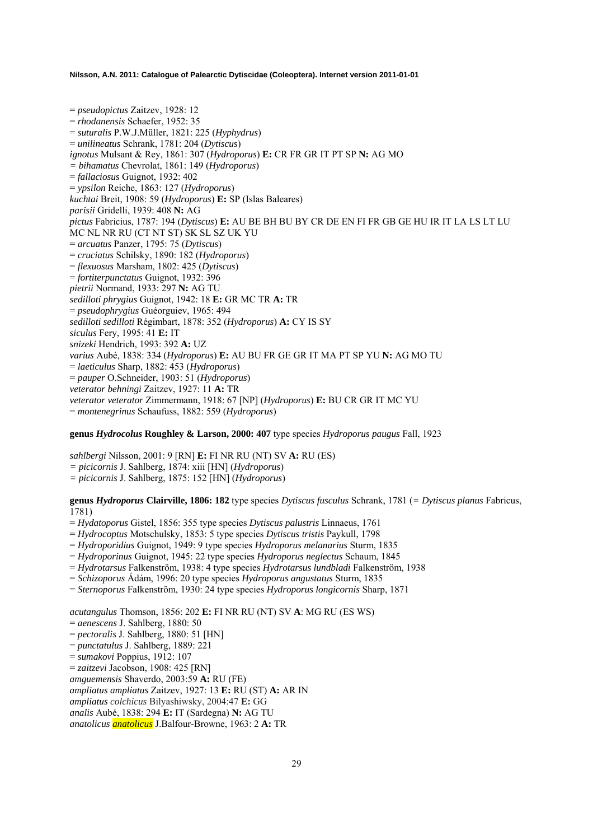= *pseudopictus* Zaitzev, 1928: 12 = *rhodanensis* Schaefer, 1952: 35 = *suturalis* P.W.J.Müller, 1821: 225 (*Hyphydrus*) = *unilineatus* Schrank, 1781: 204 (*Dytiscus*) *ignotus* Mulsant & Rey, 1861: 307 (*Hydroporus*) **E:** CR FR GR IT PT SP **N:** AG MO *= bihamatus* Chevrolat, 1861: 149 (*Hydroporus*) = *fallaciosus* Guignot, 1932: 402 = *ypsilon* Reiche, 1863: 127 (*Hydroporus*) *kuchtai* Breit, 1908: 59 (*Hydroporus*) **E:** SP (Islas Baleares) *parisii* Gridelli, 1939: 408 **N:** AG *pictus* Fabricius, 1787: 194 (*Dytiscus*) **E:** AU BE BH BU BY CR DE EN FI FR GB GE HU IR IT LA LS LT LU MC NL NR RU (CT NT ST) SK SL SZ UK YU = *arcuatus* Panzer, 1795: 75 (*Dytiscus*) = *cruciatus* Schilsky, 1890: 182 (*Hydroporus*) = *flexuosus* Marsham, 1802: 425 (*Dytiscus*) = *fortiterpunctatus* Guignot, 1932: 396 *pietrii* Normand, 1933: 297 **N:** AG TU *sedilloti phrygius* Guignot, 1942: 18 **E:** GR MC TR **A:** TR = *pseudophrygius* Guéorguiev, 1965: 494 *sedilloti sedilloti* Régimbart, 1878: 352 (*Hydroporus*) **A:** CY IS SY *siculus* Fery, 1995: 41 **E:** IT *snizeki* Hendrich, 1993: 392 **A:** UZ *varius* Aubé, 1838: 334 (*Hydroporus*) **E:** AU BU FR GE GR IT MA PT SP YU **N:** AG MO TU = *laeticulus* Sharp, 1882: 453 (*Hydroporus*) = *pauper* O.Schneider, 1903: 51 (*Hydroporus*) *veterator behningi* Zaitzev, 1927: 11 **A:** TR *veterator veterator* Zimmermann, 1918: 67 [NP] (*Hydroporus*) **E:** BU CR GR IT MC YU = *montenegrinus* Schaufuss, 1882: 559 (*Hydroporus*)

### **genus** *Hydrocolus* **Roughley & Larson, 2000: 407** type species *Hydroporus paugus* Fall, 1923

*sahlbergi* Nilsson, 2001: 9 [RN] **E:** FI NR RU (NT) SV **A:** RU (ES)

- *= picicornis* J. Sahlberg, 1874: xiii [HN] (*Hydroporus*)
- *= picicornis* J. Sahlberg, 1875: 152 [HN] (*Hydroporus*)

### **genus** *Hydroporus* **Clairville, 1806: 182** type species *Dytiscus fusculus* Schrank, 1781 (*= Dytiscus planus* Fabricus, 1781)

- = *Hydatoporus* Gistel, 1856: 355 type species *Dytiscus palustris* Linnaeus, 1761
- = *Hydrocoptus* Motschulsky, 1853: 5 type species *Dytiscus tristis* Paykull, 1798
- = *Hydroporidius* Guignot, 1949: 9 type species *Hydroporus melanarius* Sturm, 1835
- = *Hydroporinus* Guignot, 1945: 22 type species *Hydroporus neglectus* Schaum, 1845
- = *Hydrotarsus* Falkenström, 1938: 4 type species *Hydrotarsus lundbladi* Falkenström, 1938
- = *Schizoporus* Ádám, 1996: 20 type species *Hydroporus angustatus* Sturm, 1835
- = *Sternoporus* Falkenström, 1930: 24 type species *Hydroporus longicornis* Sharp, 1871

*acutangulus* Thomson, 1856: 202 **E:** FI NR RU (NT) SV **A**: MG RU (ES WS)

- = *aenescens* J. Sahlberg, 1880: 50
- = *pectoralis* J. Sahlberg, 1880: 51 [HN]
- = *punctatulus* J. Sahlberg, 1889: 221
- = *sumakovi* Poppius, 1912: 107
- = *zaitzevi* Jacobson, 1908: 425 [RN]
- *amguemensis* Shaverdo, 2003:59 **A:** RU (FE)

*ampliatus ampliatus* Zaitzev, 1927: 13 **E:** RU (ST) **A:** AR IN

*ampliatus colchicus* Bilyashiwsky, 2004:47 **E:** GG

*analis* Aubé, 1838: 294 **E:** IT (Sardegna) **N:** AG TU

*anatolicus anatolicus* J.Balfour-Browne, 1963: 2 **A:** TR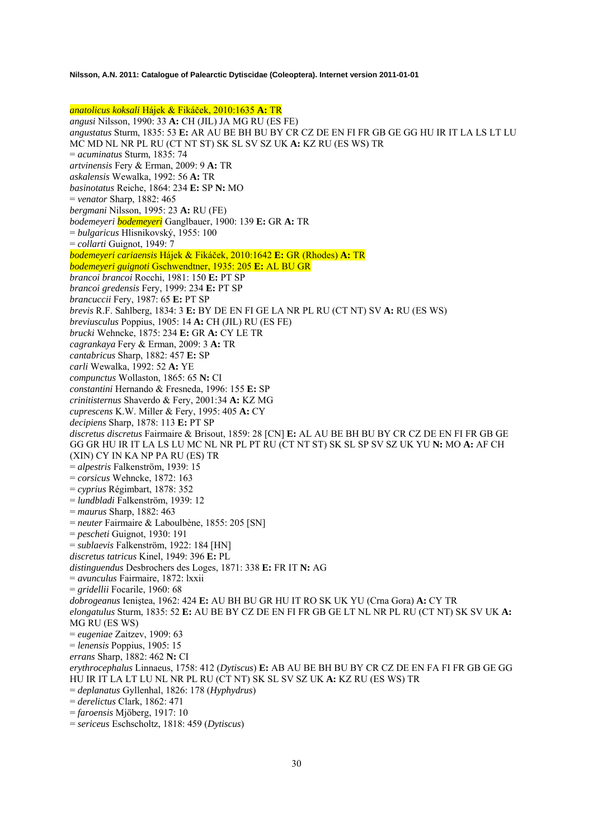*anatolicus koksali* Hájek & Fikáček, 2010:1635 **A:** TR *angusi* Nilsson, 1990: 33 **A:** CH (JIL) JA MG RU (ES FE) *angustatus* Sturm, 1835: 53 **E:** AR AU BE BH BU BY CR CZ DE EN FI FR GB GE GG HU IR IT LA LS LT LU MC MD NL NR PL RU (CT NT ST) SK SL SV SZ UK **A:** KZ RU (ES WS) TR = *acuminatus* Sturm, 1835: 74 *artvinensis* Fery & Erman, 2009: 9 **A:** TR *askalensis* Wewalka, 1992: 56 **A:** TR *basinotatus* Reiche, 1864: 234 **E:** SP **N:** MO = *venator* Sharp, 1882: 465 *bergmani* Nilsson, 1995: 23 **A:** RU (FE) *bodemeyeri bodemeyeri* Ganglbauer, 1900: 139 **E:** GR **A:** TR = *bulgaricus* Hlisnikovský, 1955: 100 = *collarti* Guignot, 1949: 7 *bodemeyeri cariaensis* Hájek & Fikáček, 2010:1642 **E:** GR (Rhodes) **A:** TR *bodemeyeri guignoti* Gschwendtner, 1935: 205 **E:** AL BU GR *brancoi brancoi* Rocchi, 1981: 150 **E:** PT SP *brancoi gredensis* Fery, 1999: 234 **E:** PT SP *brancuccii* Fery, 1987: 65 **E:** PT SP *brevis* R.F. Sahlberg, 1834: 3 **E:** BY DE EN FI GE LA NR PL RU (CT NT) SV **A:** RU (ES WS) *breviusculus* Poppius, 1905: 14 **A:** CH (JIL) RU (ES FE) *brucki* Wehncke, 1875: 234 **E:** GR **A:** CY LE TR *cagrankaya* Fery & Erman, 2009: 3 **A:** TR *cantabricus* Sharp, 1882: 457 **E:** SP *carli* Wewalka, 1992: 52 **A:** YE *compunctus* Wollaston, 1865: 65 **N:** CI *constantini* Hernando & Fresneda, 1996: 155 **E:** SP *crinitisternus* Shaverdo & Fery, 2001:34 **A:** KZ MG *cuprescens* K.W. Miller & Fery, 1995: 405 **A:** CY *decipiens* Sharp, 1878: 113 **E:** PT SP *discretus discretus* Fairmaire & Brisout, 1859: 28 [CN] **E:** AL AU BE BH BU BY CR CZ DE EN FI FR GB GE GG GR HU IR IT LA LS LU MC NL NR PL PT RU (CT NT ST) SK SL SP SV SZ UK YU **N:** MO **A:** AF CH (XIN) CY IN KA NP PA RU (ES) TR = *alpestris* Falkenström, 1939: 15 = *corsicus* Wehncke, 1872: 163 = *cyprius* Régimbart, 1878: 352 = *lundbladi* Falkenström, 1939: 12 = *maurus* Sharp, 1882: 463 = *neuter* Fairmaire & Laboulbène, 1855: 205 [SN] = *pescheti* Guignot, 1930: 191 = *sublaevis* Falkenström, 1922: 184 [HN] *discretus tatricus* Kinel, 1949: 396 **E:** PL *distinguendus* Desbrochers des Loges, 1871: 338 **E:** FR IT **N:** AG = *avunculus* Fairmaire, 1872: lxxii = *gridellii* Focarile, 1960: 68 *dobrogeanus* Ieniştea, 1962: 424 **E:** AU BH BU GR HU IT RO SK UK YU (Crna Gora) **A:** CY TR *elongatulus* Sturm, 1835: 52 **E:** AU BE BY CZ DE EN FI FR GB GE LT NL NR PL RU (CT NT) SK SV UK **A:**  MG RU (ES WS) = *eugeniae* Zaitzev, 1909: 63 = *lenensis* Poppius, 1905: 15 *errans* Sharp, 1882: 462 **N:** CI *erythrocephalus* Linnaeus, 1758: 412 (*Dytiscus*) **E:** AB AU BE BH BU BY CR CZ DE EN FA FI FR GB GE GG HU IR IT LA LT LU NL NR PL RU (CT NT) SK SL SV SZ UK **A:** KZ RU (ES WS) TR = *deplanatus* Gyllenhal, 1826: 178 (*Hyphydrus*) = *derelictus* Clark, 1862: 471 = *faroensis* Mjöberg, 1917: 10 = *sericeus* Eschscholtz, 1818: 459 (*Dytiscus*)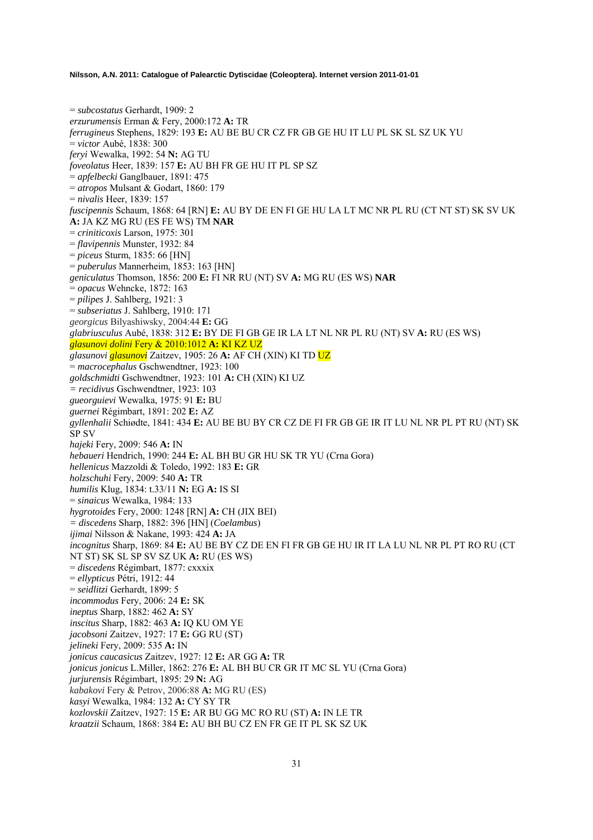= *subcostatus* Gerhardt, 1909: 2 *erzurumensis* Erman & Fery, 2000:172 **A:** TR *ferrugineus* Stephens, 1829: 193 **E:** AU BE BU CR CZ FR GB GE HU IT LU PL SK SL SZ UK YU = *victor* Aubé, 1838: 300 *feryi* Wewalka, 1992: 54 **N:** AG TU *foveolatus* Heer, 1839: 157 **E:** AU BH FR GE HU IT PL SP SZ = *apfelbecki* Ganglbauer, 1891: 475 = *atropos* Mulsant & Godart, 1860: 179 = *nivalis* Heer, 1839: 157 *fuscipennis* Schaum, 1868: 64 [RN] **E:** AU BY DE EN FI GE HU LA LT MC NR PL RU (CT NT ST) SK SV UK **A:** JA KZ MG RU (ES FE WS) TM **NAR**  = *criniticoxis* Larson, 1975: 301 = *flavipennis* Munster, 1932: 84 = *piceus* Sturm, 1835: 66 [HN] = *puberulus* Mannerheim, 1853: 163 [HN] *geniculatus* Thomson, 1856: 200 **E:** FI NR RU (NT) SV **A:** MG RU (ES WS) **NAR**  = *opacus* Wehncke, 1872: 163 = *pilipes* J. Sahlberg, 1921: 3 = *subseriatus* J. Sahlberg, 1910: 171 *georgicus* Bilyashiwsky, 2004:44 **E:** GG *glabriusculus* Aubé, 1838: 312 **E:** BY DE FI GB GE IR LA LT NL NR PL RU (NT) SV **A:** RU (ES WS) *glasunovi dolini* Fery & 2010:1012 **A:** KI KZ UZ *glasunovi glasunovi* Zaitzev, 1905: 26 **A:** AF CH (XIN) KI TD UZ = *macrocephalus* Gschwendtner, 1923: 100 *goldschmidti* Gschwendtner, 1923: 101 **A:** CH (XIN) KI UZ *= recidivus* Gschwendtner, 1923: 103 *gueorguievi* Wewalka, 1975: 91 **E:** BU *guernei* Régimbart, 1891: 202 **E:** AZ *gyllenhalii* Schiødte, 1841: 434 **E:** AU BE BU BY CR CZ DE FI FR GB GE IR IT LU NL NR PL PT RU (NT) SK SP SV *hajeki* Fery, 2009: 546 **A:** IN *hebaueri* Hendrich, 1990: 244 **E:** AL BH BU GR HU SK TR YU (Crna Gora) *hellenicus* Mazzoldi & Toledo, 1992: 183 **E:** GR *holzschuhi* Fery, 2009: 540 **A:** TR *humilis* Klug, 1834: t.33/11 **N:** EG **A:** IS SI = *sinaicus* Wewalka, 1984: 133 *hygrotoides* Fery, 2000: 1248 [RN] **A:** CH (JIX BEI) *= discedens* Sharp, 1882: 396 [HN] (*Coelambus*) *ijimai* Nilsson & Nakane, 1993: 424 **A:** JA *incognitus* Sharp, 1869: 84 **E:** AU BE BY CZ DE EN FI FR GB GE HU IR IT LA LU NL NR PL PT RO RU (CT NT ST) SK SL SP SV SZ UK **A:** RU (ES WS) = *discedens* Régimbart, 1877: cxxxix = *ellypticus* Pétri, 1912: 44 = *seidlitzi* Gerhardt, 1899: 5 *incommodus* Fery, 2006: 24 **E:** SK *ineptus* Sharp, 1882: 462 **A:** SY *inscitus* Sharp, 1882: 463 **A:** IQ KU OM YE *jacobsoni* Zaitzev, 1927: 17 **E:** GG RU (ST) *jelineki* Fery, 2009: 535 **A:** IN *jonicus caucasicus* Zaitzev, 1927: 12 **E:** AR GG **A:** TR *jonicus jonicus* L.Miller, 1862: 276 **E:** AL BH BU CR GR IT MC SL YU (Crna Gora) *jurjurensis* Régimbart, 1895: 29 **N:** AG *kabakovi* Fery & Petrov, 2006:88 **A:** MG RU (ES) *kasyi* Wewalka, 1984: 132 **A:** CY SY TR *kozlovskii* Zaitzev, 1927: 15 **E:** AR BU GG MC RO RU (ST) **A:** IN LE TR

*kraatzii* Schaum, 1868: 384 **E:** AU BH BU CZ EN FR GE IT PL SK SZ UK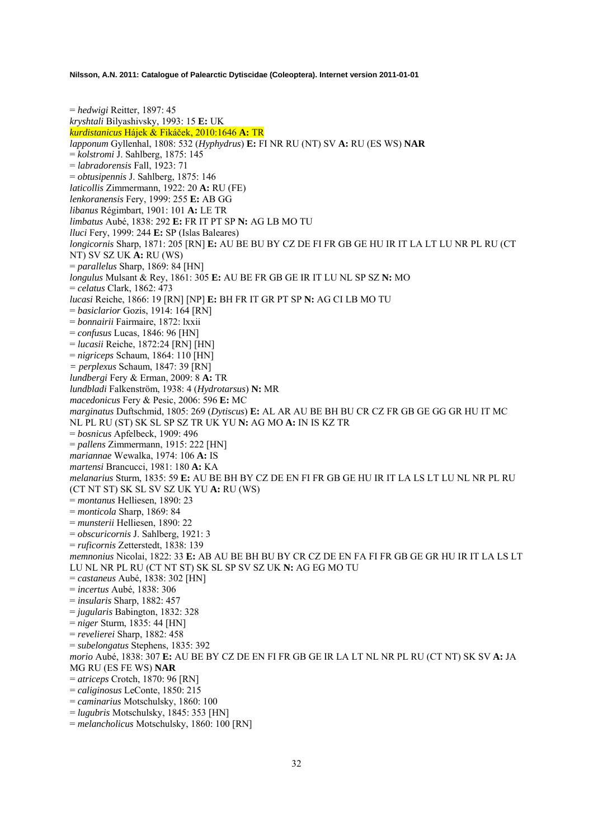= *hedwigi* Reitter, 1897: 45 *kryshtali* Bilyashivsky, 1993: 15 **E:** UK *kurdistanicus* Hájek & Fikáček, 2010:1646 **A:** TR *lapponum* Gyllenhal, 1808: 532 (*Hyphydrus*) **E:** FI NR RU (NT) SV **A:** RU (ES WS) **NAR**  = *kolstromi* J. Sahlberg, 1875: 145 = *labradorensis* Fall, 1923: 71 = *obtusipennis* J. Sahlberg, 1875: 146 *laticollis* Zimmermann, 1922: 20 **A:** RU (FE) *lenkoranensis* Fery, 1999: 255 **E:** AB GG *libanus* Régimbart, 1901: 101 **A:** LE TR *limbatus* Aubé, 1838: 292 **E:** FR IT PT SP **N:** AG LB MO TU *lluci* Fery, 1999: 244 **E:** SP (Islas Baleares) *longicornis* Sharp, 1871: 205 [RN] **E:** AU BE BU BY CZ DE FI FR GB GE HU IR IT LA LT LU NR PL RU (CT NT) SV SZ UK **A:** RU (WS) = *parallelus* Sharp, 1869: 84 [HN] *longulus* Mulsant & Rey, 1861: 305 **E:** AU BE FR GB GE IR IT LU NL SP SZ **N:** MO = *celatus* Clark, 1862: 473 *lucasi* Reiche, 1866: 19 [RN] [NP] **E:** BH FR IT GR PT SP **N:** AG CI LB MO TU = *basiclarior* Gozis, 1914: 164 [RN] = *bonnairii* Fairmaire, 1872: lxxii = *confusus* Lucas, 1846: 96 [HN] = *lucasii* Reiche, 1872:24 [RN] [HN] = *nigriceps* Schaum, 1864: 110 [HN] *= perplexus* Schaum, 1847: 39 [RN] *lundbergi* Fery & Erman, 2009: 8 **A:** TR *lundbladi* Falkenström, 1938: 4 (*Hydrotarsus*) **N:** MR *macedonicus* Fery & Pesic, 2006: 596 **E:** MC *marginatus* Duftschmid, 1805: 269 (*Dytiscus*) **E:** AL AR AU BE BH BU CR CZ FR GB GE GG GR HU IT MC NL PL RU (ST) SK SL SP SZ TR UK YU **N:** AG MO **A:** IN IS KZ TR = *bosnicus* Apfelbeck, 1909: 496 = *pallens* Zimmermann, 1915: 222 [HN] *mariannae* Wewalka, 1974: 106 **A:** IS *martensi* Brancucci, 1981: 180 **A:** KA *melanarius* Sturm, 1835: 59 **E:** AU BE BH BY CZ DE EN FI FR GB GE HU IR IT LA LS LT LU NL NR PL RU (CT NT ST) SK SL SV SZ UK YU **A:** RU (WS) = *montanus* Helliesen, 1890: 23 = *monticola* Sharp, 1869: 84 = *munsterii* Helliesen, 1890: 22 = *obscuricornis* J. Sahlberg, 1921: 3 = *ruficornis* Zetterstedt, 1838: 139 *memnonius* Nicolai, 1822: 33 **E:** AB AU BE BH BU BY CR CZ DE EN FA FI FR GB GE GR HU IR IT LA LS LT LU NL NR PL RU (CT NT ST) SK SL SP SV SZ UK **N:** AG EG MO TU = *castaneus* Aubé, 1838: 302 [HN] = *incertus* Aubé, 1838: 306 = *insularis* Sharp, 1882: 457 = *jugularis* Babington, 1832: 328 = *niger* Sturm, 1835: 44 [HN] = *revelierei* Sharp, 1882: 458 = *subelongatus* Stephens, 1835: 392 *morio* Aubé, 1838: 307 **E:** AU BE BY CZ DE EN FI FR GB GE IR LA LT NL NR PL RU (CT NT) SK SV **A:** JA MG RU (ES FE WS) **NAR**  = *atriceps* Crotch, 1870: 96 [RN] = *caliginosus* LeConte, 1850: 215 = *caminarius* Motschulsky, 1860: 100 = *lugubris* Motschulsky, 1845: 353 [HN] = *melancholicus* Motschulsky, 1860: 100 [RN]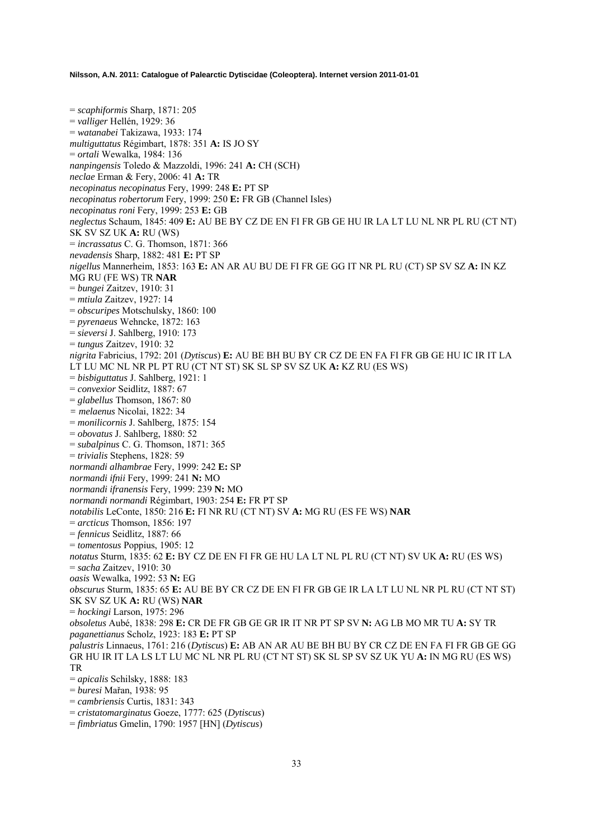= *scaphiformis* Sharp, 1871: 205 = *valliger* Hellén, 1929: 36 = *watanabei* Takizawa, 1933: 174 *multiguttatus* Régimbart, 1878: 351 **A:** IS JO SY = *ortali* Wewalka, 1984: 136 *nanpingensis* Toledo & Mazzoldi, 1996: 241 **A:** CH (SCH) *neclae* Erman & Fery, 2006: 41 **A:** TR *necopinatus necopinatus* Fery, 1999: 248 **E:** PT SP *necopinatus robertorum* Fery, 1999: 250 **E:** FR GB (Channel Isles) *necopinatus roni* Fery, 1999: 253 **E:** GB *neglectus* Schaum, 1845: 409 **E:** AU BE BY CZ DE EN FI FR GB GE HU IR LA LT LU NL NR PL RU (CT NT) SK SV SZ UK **A:** RU (WS) = *incrassatus* C. G. Thomson, 1871: 366 *nevadensis* Sharp, 1882: 481 **E:** PT SP *nigellus* Mannerheim, 1853: 163 **E:** AN AR AU BU DE FI FR GE GG IT NR PL RU (CT) SP SV SZ **A:** IN KZ MG RU (FE WS) TR **NAR**  = *bungei* Zaitzev, 1910: 31 = *mtiula* Zaitzev, 1927: 14 = *obscuripes* Motschulsky, 1860: 100 = *pyrenaeus* Wehncke, 1872: 163 = *sieversi* J. Sahlberg, 1910: 173 = *tungus* Zaitzev, 1910: 32 *nigrita* Fabricius, 1792: 201 (*Dytiscus*) **E:** AU BE BH BU BY CR CZ DE EN FA FI FR GB GE HU IC IR IT LA LT LU MC NL NR PL PT RU (CT NT ST) SK SL SP SV SZ UK **A:** KZ RU (ES WS) = *bisbiguttatus* J. Sahlberg, 1921: 1 = *convexior* Seidlitz, 1887: 67 = *glabellus* Thomson, 1867: 80 *= melaenus* Nicolai, 1822: 34 = *monilicornis* J. Sahlberg, 1875: 154 = *obovatus* J. Sahlberg, 1880: 52 = *subalpinus* C. G. Thomson, 1871: 365 = *trivialis* Stephens, 1828: 59 *normandi alhambrae* Fery, 1999: 242 **E:** SP *normandi ifnii* Fery, 1999: 241 **N:** MO *normandi ifranensis* Fery, 1999: 239 **N:** MO *normandi normandi* Régimbart, 1903: 254 **E:** FR PT SP *notabilis* LeConte, 1850: 216 **E:** FI NR RU (CT NT) SV **A:** MG RU (ES FE WS) **NAR**  = *arcticus* Thomson, 1856: 197 = *fennicus* Seidlitz, 1887: 66 = *tomentosus* Poppius, 1905: 12 *notatus* Sturm, 1835: 62 **E:** BY CZ DE EN FI FR GE HU LA LT NL PL RU (CT NT) SV UK **A:** RU (ES WS) = *sacha* Zaitzev, 1910: 30 *oasis* Wewalka, 1992: 53 **N:** EG *obscurus* Sturm, 1835: 65 **E:** AU BE BY CR CZ DE EN FI FR GB GE IR LA LT LU NL NR PL RU (CT NT ST) SK SV SZ UK **A:** RU (WS) **NAR**  = *hockingi* Larson, 1975: 296 *obsoletus* Aubé, 1838: 298 **E:** CR DE FR GB GE GR IR IT NR PT SP SV **N:** AG LB MO MR TU **A:** SY TR *paganettianus* Scholz, 1923: 183 **E:** PT SP *palustris* Linnaeus, 1761: 216 (*Dytiscus*) **E:** AB AN AR AU BE BH BU BY CR CZ DE EN FA FI FR GB GE GG GR HU IR IT LA LS LT LU MC NL NR PL RU (CT NT ST) SK SL SP SV SZ UK YU **A:** IN MG RU (ES WS) TR = *apicalis* Schilsky, 1888: 183 = *buresi* Mařan, 1938: 95 = *cambriensis* Curtis, 1831: 343

- = *cristatomarginatus* Goeze, 1777: 625 (*Dytiscus*)
- = *fimbriatus* Gmelin, 1790: 1957 [HN] (*Dytiscus*)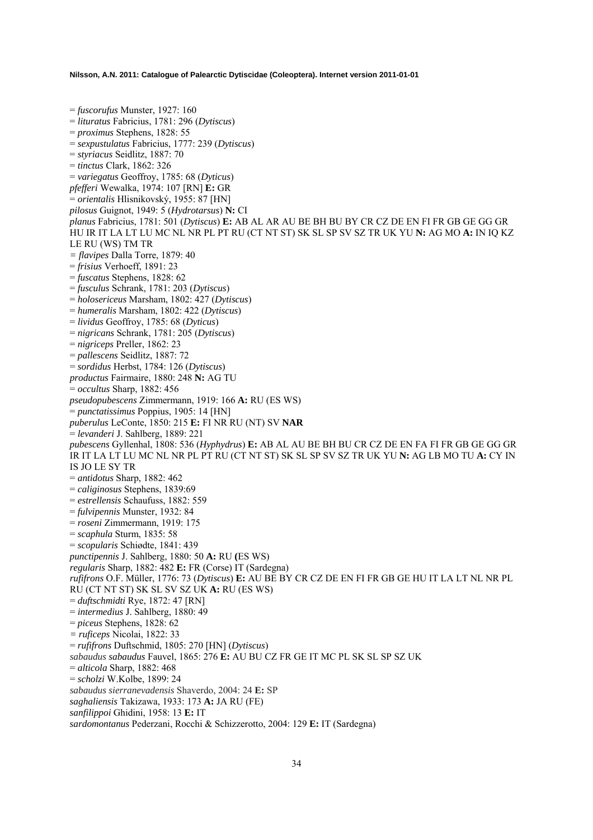= *fuscorufus* Munster, 1927: 160 = *lituratus* Fabricius, 1781: 296 (*Dytiscus*) = *proximus* Stephens, 1828: 55 = *sexpustulatus* Fabricius, 1777: 239 (*Dytiscus*) = *styriacus* Seidlitz, 1887: 70 = *tinctus* Clark, 1862: 326 = *variegatus* Geoffroy, 1785: 68 (*Dyticus*) *pfefferi* Wewalka, 1974: 107 [RN] **E:** GR = *orientalis* Hlisnikovský, 1955: 87 [HN] *pilosus* Guignot, 1949: 5 (*Hydrotarsus*) **N:** CI *planus* Fabricius, 1781: 501 (*Dytiscus*) **E:** AB AL AR AU BE BH BU BY CR CZ DE EN FI FR GB GE GG GR HU IR IT LA LT LU MC NL NR PL PT RU (CT NT ST) SK SL SP SV SZ TR UK YU **N:** AG MO **A:** IN IQ KZ LE RU (WS) TM TR *= flavipes* Dalla Torre, 1879: 40 = *frisius* Verhoeff, 1891: 23 = *fuscatus* Stephens, 1828: 62 = *fusculus* Schrank, 1781: 203 (*Dytiscus*) = *holosericeus* Marsham, 1802: 427 (*Dytiscus*) = *humeralis* Marsham, 1802: 422 (*Dytiscus*) = *lividus* Geoffroy, 1785: 68 (*Dyticus*) = *nigricans* Schrank, 1781: 205 (*Dytiscus*) = *nigriceps* Preller, 1862: 23 = *pallescens* Seidlitz, 1887: 72 = *sordidus* Herbst, 1784: 126 (*Dytiscus*) *productus* Fairmaire, 1880: 248 **N:** AG TU = *occultus* Sharp, 1882: 456 *pseudopubescens* Zimmermann, 1919: 166 **A:** RU (ES WS) = *punctatissimus* Poppius, 1905: 14 [HN] *puberulus* LeConte, 1850: 215 **E:** FI NR RU (NT) SV **NAR**  = *levanderi* J. Sahlberg, 1889: 221 *pubescens* Gyllenhal, 1808: 536 (*Hyphydrus*) **E:** AB AL AU BE BH BU CR CZ DE EN FA FI FR GB GE GG GR IR IT LA LT LU MC NL NR PL PT RU (CT NT ST) SK SL SP SV SZ TR UK YU **N:** AG LB MO TU **A:** CY IN IS JO LE SY TR = *antidotus* Sharp, 1882: 462 = *caliginosus* Stephens, 1839:69 = *estrellensis* Schaufuss, 1882: 559 = *fulvipennis* Munster, 1932: 84 = *roseni* Zimmermann, 1919: 175 = *scaphula* Sturm, 1835: 58 = *scopularis* Schiødte, 1841: 439 *punctipennis* J. Sahlberg, 1880: 50 **A:** RU **(**ES WS) *regularis* Sharp, 1882: 482 **E:** FR (Corse) IT (Sardegna) *rufifrons* O.F. Müller, 1776: 73 (*Dytiscus*) **E:** AU BE BY CR CZ DE EN FI FR GB GE HU IT LA LT NL NR PL RU (CT NT ST) SK SL SV SZ UK **A:** RU (ES WS) = *duftschmidti* Rye, 1872: 47 [RN] = *intermedius* J. Sahlberg, 1880: 49 = *piceus* Stephens, 1828: 62 *= ruficeps* Nicolai, 1822: 33 = *rufifrons* Duftschmid, 1805: 270 [HN] (*Dytiscus*) *sabaudus sabaudus* Fauvel, 1865: 276 **E:** AU BU CZ FR GE IT MC PL SK SL SP SZ UK = *alticola* Sharp, 1882: 468 = *scholzi* W.Kolbe, 1899: 24 *sabaudus sierranevadensis* Shaverdo, 2004: 24 **E:** SP *saghaliensis* Takizawa, 1933: 173 **A:** JA RU (FE) *sanfilippoi* Ghidini, 1958: 13 **E:** IT *sardomontanus* Pederzani, Rocchi & Schizzerotto, 2004: 129 **E:** IT (Sardegna)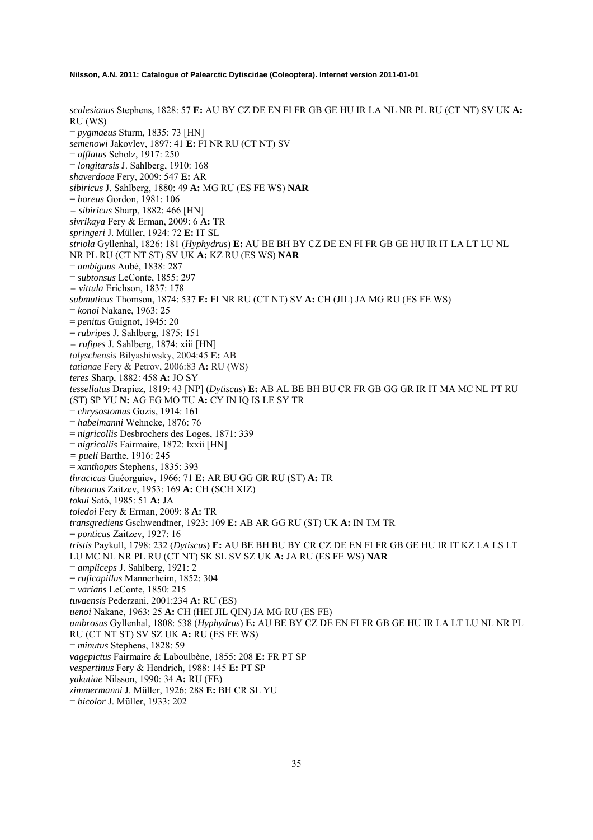*scalesianus* Stephens, 1828: 57 **E:** AU BY CZ DE EN FI FR GB GE HU IR LA NL NR PL RU (CT NT) SV UK **A:** RU (WS) = *pygmaeus* Sturm, 1835: 73 [HN] *semenowi* Jakovlev, 1897: 41 **E:** FI NR RU (CT NT) SV = *afflatus* Scholz, 1917: 250 = *longitarsis* J. Sahlberg, 1910: 168 *shaverdoae* Fery, 2009: 547 **E:** AR *sibiricus* J. Sahlberg, 1880: 49 **A:** MG RU (ES FE WS) **NAR**  = *boreus* Gordon, 1981: 106 *= sibiricus* Sharp, 1882: 466 [HN] *sivrikaya* Fery & Erman, 2009: 6 **A:** TR *springeri* J. Müller, 1924: 72 **E:** IT SL *striola* Gyllenhal, 1826: 181 (*Hyphydrus*) **E:** AU BE BH BY CZ DE EN FI FR GB GE HU IR IT LA LT LU NL NR PL RU (CT NT ST) SV UK **A:** KZ RU (ES WS) **NAR**  = *ambiguus* Aubé, 1838: 287 = *subtonsus* LeConte, 1855: 297 *= vittula* Erichson, 1837: 178 *submuticus* Thomson, 1874: 537 **E:** FI NR RU (CT NT) SV **A:** CH (JIL) JA MG RU (ES FE WS) = *konoi* Nakane, 1963: 25 = *penitus* Guignot, 1945: 20 = *rubripes* J. Sahlberg, 1875: 151 *= rufipes* J. Sahlberg, 1874: xiii [HN] *talyschensis* Bilyashiwsky, 2004:45 **E:** AB *tatianae* Fery & Petrov, 2006:83 **A:** RU (WS) *teres* Sharp, 1882: 458 **A:** JO SY *tessellatus* Drapiez, 1819: 43 [NP] (*Dytiscus*) **E:** AB AL BE BH BU CR FR GB GG GR IR IT MA MC NL PT RU (ST) SP YU **N:** AG EG MO TU **A:** CY IN IQ IS LE SY TR = *chrysostomus* Gozis, 1914: 161 = *habelmanni* Wehncke, 1876: 76 = *nigricollis* Desbrochers des Loges, 1871: 339 = *nigricollis* Fairmaire, 1872: lxxii [HN] *= pueli* Barthe, 1916: 245 = *xanthopus* Stephens, 1835: 393 *thracicus* Guéorguiev, 1966: 71 **E:** AR BU GG GR RU (ST) **A:** TR *tibetanus* Zaitzev, 1953: 169 **A:** CH (SCH XIZ) *tokui* Satô, 1985: 51 **A:** JA *toledoi* Fery & Erman, 2009: 8 **A:** TR *transgrediens* Gschwendtner, 1923: 109 **E:** AB AR GG RU (ST) UK **A:** IN TM TR = *ponticus* Zaitzev, 1927: 16 *tristis* Paykull, 1798: 232 (*Dytiscus*) **E:** AU BE BH BU BY CR CZ DE EN FI FR GB GE HU IR IT KZ LA LS LT LU MC NL NR PL RU (CT NT) SK SL SV SZ UK **A:** JA RU (ES FE WS) **NAR**  = *ampliceps* J. Sahlberg, 1921: 2 = *ruficapillus* Mannerheim, 1852: 304 = *varians* LeConte, 1850: 215 *tuvaensis* Pederzani, 2001:234 **A:** RU (ES) *uenoi* Nakane, 1963: 25 **A:** CH (HEI JIL QIN) JA MG RU (ES FE) *umbrosus* Gyllenhal, 1808: 538 (*Hyphydrus*) **E:** AU BE BY CZ DE EN FI FR GB GE HU IR LA LT LU NL NR PL RU (CT NT ST) SV SZ UK **A:** RU (ES FE WS) = *minutus* Stephens, 1828: 59 *vagepictus* Fairmaire & Laboulbène, 1855: 208 **E:** FR PT SP *vespertinus* Fery & Hendrich, 1988: 145 **E:** PT SP *yakutiae* Nilsson, 1990: 34 **A:** RU (FE) *zimmermanni* J. Müller, 1926: 288 **E:** BH CR SL YU = *bicolor* J. Müller, 1933: 202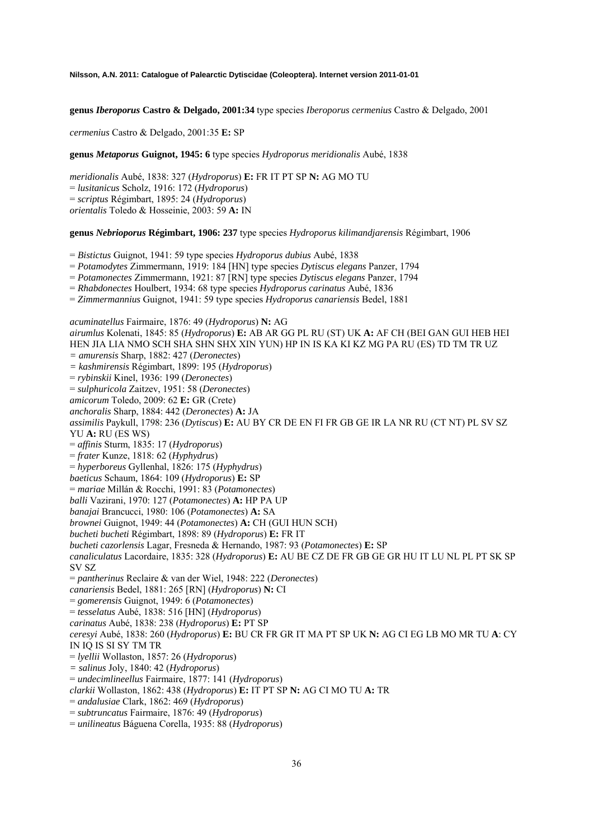**genus** *Iberoporus* **Castro & Delgado, 2001:34** type species *Iberoporus cermenius* Castro & Delgado, 2001

*cermenius* Castro & Delgado, 2001:35 **E:** SP

### **genus** *Metaporus* **Guignot, 1945: 6** type species *Hydroporus meridionalis* Aubé, 1838

*meridionalis* Aubé, 1838: 327 (*Hydroporus*) **E:** FR IT PT SP **N:** AG MO TU = *lusitanicus* Scholz, 1916: 172 (*Hydroporus*) = *scriptus* Régimbart, 1895: 24 (*Hydroporus*) *orientalis* Toledo & Hosseinie, 2003: 59 **A:** IN

**genus** *Nebrioporus* **Régimbart, 1906: 237** type species *Hydroporus kilimandjarensis* Régimbart, 1906

= *Bistictus* Guignot, 1941: 59 type species *Hydroporus dubius* Aubé, 1838

= *Potamodytes* Zimmermann, 1919: 184 [HN] type species *Dytiscus elegans* Panzer, 1794

= *Potamonectes* Zimmermann, 1921: 87 [RN] type species *Dytiscus elegans* Panzer, 1794

= *Rhabdonectes* Houlbert, 1934: 68 type species *Hydroporus carinatus* Aubé, 1836

= *Zimmermannius* Guignot, 1941: 59 type species *Hydroporus canariensis* Bedel, 1881

*acuminatellus* Fairmaire, 1876: 49 (*Hydroporus*) **N:** AG *airumlus* Kolenati, 1845: 85 (*Hydroporus*) **E:** AB AR GG PL RU (ST) UK **A:** AF CH (BEI GAN GUI HEB HEI HEN JIA LIA NMO SCH SHA SHN SHX XIN YUN) HP IN IS KA KI KZ MG PA RU (ES) TD TM TR UZ *= amurensis* Sharp, 1882: 427 (*Deronectes*) *= kashmirensis* Régimbart, 1899: 195 (*Hydroporus*) = *rybinskii* Kinel, 1936: 199 (*Deronectes*) = *sulphuricola* Zaitzev, 1951: 58 (*Deronectes*) *amicorum* Toledo, 2009: 62 **E:** GR (Crete) *anchoralis* Sharp, 1884: 442 (*Deronectes*) **A:** JA *assimilis* Paykull, 1798: 236 (*Dytiscus*) **E:** AU BY CR DE EN FI FR GB GE IR LA NR RU (CT NT) PL SV SZ YU **A:** RU (ES WS) = *affinis* Sturm, 1835: 17 (*Hydroporus*) = *frater* Kunze, 1818: 62 (*Hyphydrus*) = *hyperboreus* Gyllenhal, 1826: 175 (*Hyphydrus*) *baeticus* Schaum, 1864: 109 (*Hydroporus*) **E:** SP = *mariae* Millán & Rocchi, 1991: 83 (*Potamonectes*) *balli* Vazirani, 1970: 127 (*Potamonectes*) **A:** HP PA UP *banajai* Brancucci, 1980: 106 (*Potamonectes*) **A:** SA *brownei* Guignot, 1949: 44 (*Potamonectes*) **A:** CH (GUI HUN SCH) *bucheti bucheti* Régimbart, 1898: 89 (*Hydroporus*) **E:** FR IT *bucheti cazorlensis* Lagar, Fresneda & Hernando, 1987: 93 (*Potamonectes*) **E:** SP *canaliculatus* Lacordaire, 1835: 328 (*Hydroporus*) **E:** AU BE CZ DE FR GB GE GR HU IT LU NL PL PT SK SP SV SZ = *pantherinus* Reclaire & van der Wiel, 1948: 222 (*Deronectes*) *canariensis* Bedel, 1881: 265 [RN] (*Hydroporus*) **N:** CI = *gomerensis* Guignot, 1949: 6 (*Potamonectes*) = *tesselatus* Aubé, 1838: 516 [HN] (*Hydroporus*) *carinatus* Aubé, 1838: 238 (*Hydroporus*) **E:** PT SP *ceresyi* Aubé, 1838: 260 (*Hydroporus*) **E:** BU CR FR GR IT MA PT SP UK **N:** AG CI EG LB MO MR TU **A**: CY IN IQ IS SI SY TM TR = *lyellii* Wollaston, 1857: 26 (*Hydroporus*) *= salinus* Joly, 1840: 42 (*Hydroporus*) = *undecimlineellus* Fairmaire, 1877: 141 (*Hydroporus*) *clarkii* Wollaston, 1862: 438 (*Hydroporus*) **E:** IT PT SP **N:** AG CI MO TU **A:** TR = *andalusiae* Clark, 1862: 469 (*Hydroporus*) = *subtruncatus* Fairmaire, 1876: 49 (*Hydroporus*) = *unilineatus* Báguena Corella, 1935: 88 (*Hydroporus*)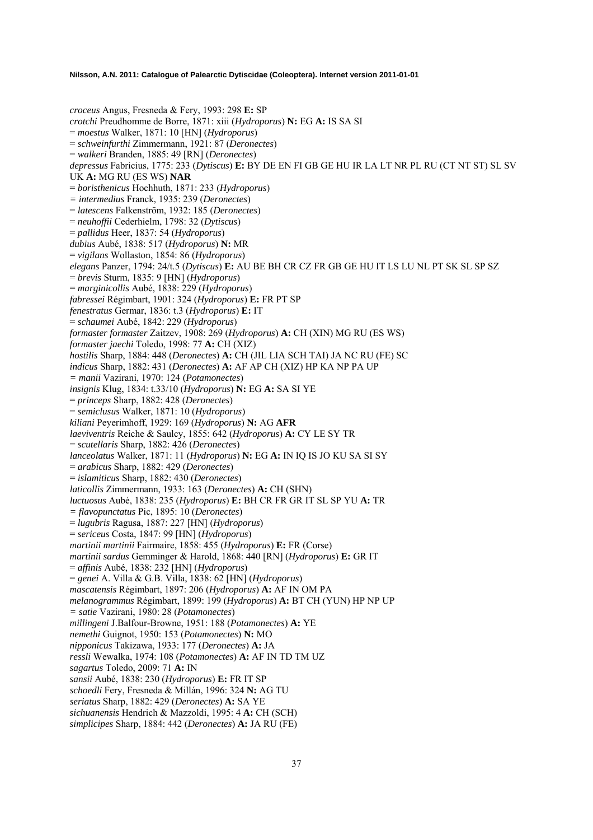*croceus* Angus, Fresneda & Fery, 1993: 298 **E:** SP *crotchi* Preudhomme de Borre, 1871: xiii (*Hydroporus*) **N:** EG **A:** IS SA SI = *moestus* Walker, 1871: 10 [HN] (*Hydroporus*) = *schweinfurthi* Zimmermann, 1921: 87 (*Deronectes*) = *walkeri* Branden, 1885: 49 [RN] (*Deronectes*) *depressus* Fabricius, 1775: 233 (*Dytiscus*) **E:** BY DE EN FI GB GE HU IR LA LT NR PL RU (CT NT ST) SL SV UK **A:** MG RU (ES WS) **NAR**  = *boristhenicus* Hochhuth, 1871: 233 (*Hydroporus*) *= intermedius* Franck, 1935: 239 (*Deronectes*) = *latescens* Falkenström, 1932: 185 (*Deronectes*) = *neuhoffii* Cederhielm, 1798: 32 (*Dytiscus*) = *pallidus* Heer, 1837: 54 (*Hydroporus*) *dubius* Aubé, 1838: 517 (*Hydroporus*) **N:** MR = *vigilans* Wollaston, 1854: 86 (*Hydroporus*) *elegans* Panzer, 1794: 24/t.5 (*Dytiscus*) **E:** AU BE BH CR CZ FR GB GE HU IT LS LU NL PT SK SL SP SZ = *brevis* Sturm, 1835: 9 [HN] (*Hydroporus*) = *marginicollis* Aubé, 1838: 229 (*Hydroporus*) *fabressei* Régimbart, 1901: 324 (*Hydroporus*) **E:** FR PT SP *fenestratus* Germar, 1836: t.3 (*Hydroporus*) **E:** IT = *schaumei* Aubé, 1842: 229 (*Hydroporus*) *formaster formaster* Zaitzev, 1908: 269 (*Hydroporus*) **A:** CH (XIN) MG RU (ES WS) *formaster jaechi* Toledo, 1998: 77 **A:** CH (XIZ) *hostilis* Sharp, 1884: 448 (*Deronectes*) **A:** CH (JIL LIA SCH TAI) JA NC RU (FE) SC *indicus* Sharp, 1882: 431 (*Deronectes*) **A:** AF AP CH (XIZ) HP KA NP PA UP *= manii* Vazirani, 1970: 124 (*Potamonectes*) *insignis* Klug, 1834: t.33/10 (*Hydroporus*) **N:** EG **A:** SA SI YE = *princeps* Sharp, 1882: 428 (*Deronectes*) = *semiclusus* Walker, 1871: 10 (*Hydroporus*) *kiliani* Peyerimhoff, 1929: 169 (*Hydroporus*) **N:** AG **AFR** *laeviventris* Reiche & Saulcy, 1855: 642 (*Hydroporus*) **A:** CY LE SY TR = *scutellaris* Sharp, 1882: 426 (*Deronectes*) *lanceolatus* Walker, 1871: 11 (*Hydroporus*) **N:** EG **A:** IN IQ IS JO KU SA SI SY = *arabicus* Sharp, 1882: 429 (*Deronectes*) = *islamiticus* Sharp, 1882: 430 (*Deronectes*) *laticollis* Zimmermann, 1933: 163 (*Deronectes*) **A:** CH (SHN) *luctuosus* Aubé, 1838: 235 (*Hydroporus*) **E:** BH CR FR GR IT SL SP YU **A:** TR *= flavopunctatus* Pic, 1895: 10 (*Deronectes*) = *lugubris* Ragusa, 1887: 227 [HN] (*Hydroporus*) = *sericeus* Costa, 1847: 99 [HN] (*Hydroporus*) *martinii martinii* Fairmaire, 1858: 455 (*Hydroporus*) **E:** FR (Corse) *martinii sardus* Gemminger & Harold, 1868: 440 [RN] (*Hydroporus*) **E:** GR IT = *affinis* Aubé, 1838: 232 [HN] (*Hydroporus*) = *genei* A. Villa & G.B. Villa, 1838: 62 [HN] (*Hydroporus*) *mascatensis* Régimbart, 1897: 206 (*Hydroporus*) **A:** AF IN OM PA *melanogrammus* Régimbart, 1899: 199 (*Hydroporus*) **A:** BT CH (YUN) HP NP UP *= satie* Vazirani, 1980: 28 (*Potamonectes*) *millingeni* J.Balfour-Browne, 1951: 188 (*Potamonectes*) **A:** YE *nemethi* Guignot, 1950: 153 (*Potamonectes*) **N:** MO *nipponicus* Takizawa, 1933: 177 (*Deronectes*) **A:** JA *ressli* Wewalka, 1974: 108 (*Potamonectes*) **A:** AF IN TD TM UZ *sagartus* Toledo, 2009: 71 **A:** IN *sansii* Aubé, 1838: 230 (*Hydroporus*) **E:** FR IT SP *schoedli* Fery, Fresneda & Millán, 1996: 324 **N:** AG TU *seriatus* Sharp, 1882: 429 (*Deronectes*) **A:** SA YE *sichuanensis* Hendrich & Mazzoldi, 1995: 4 **A:** CH (SCH) *simplicipes* Sharp, 1884: 442 (*Deronectes*) **A:** JA RU (FE)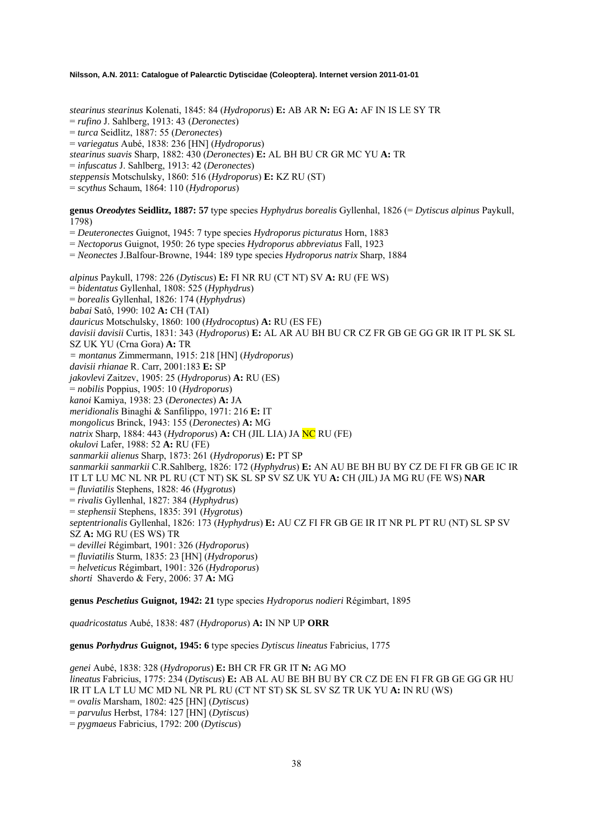*stearinus stearinus* Kolenati, 1845: 84 (*Hydroporus*) **E:** AB AR **N:** EG **A:** AF IN IS LE SY TR

= *rufino* J. Sahlberg, 1913: 43 (*Deronectes*)

= *turca* Seidlitz, 1887: 55 (*Deronectes*)

= *variegatus* Aubé, 1838: 236 [HN] (*Hydroporus*)

*stearinus suavis* Sharp, 1882: 430 (*Deronectes*) **E:** AL BH BU CR GR MC YU **A:** TR

= *infuscatus* J. Sahlberg, 1913: 42 (*Deronectes*)

*steppensis* Motschulsky, 1860: 516 (*Hydroporus*) **E:** KZ RU (ST)

= *scythus* Schaum, 1864: 110 (*Hydroporus*)

**genus** *Oreodytes* **Seidlitz, 1887: 57** type species *Hyphydrus borealis* Gyllenhal, 1826 (= *Dytiscus alpinus* Paykull, 1798)

= *Deuteronectes* Guignot, 1945: 7 type species *Hydroporus picturatus* Horn, 1883

= *Nectoporus* Guignot, 1950: 26 type species *Hydroporus abbreviatus* Fall, 1923

= *Neonectes* J.Balfour-Browne, 1944: 189 type species *Hydroporus natrix* Sharp, 1884

*alpinus* Paykull, 1798: 226 (*Dytiscus*) **E:** FI NR RU (CT NT) SV **A:** RU (FE WS) = *bidentatus* Gyllenhal, 1808: 525 (*Hyphydrus*) = *borealis* Gyllenhal, 1826: 174 (*Hyphydrus*) *babai* Satô, 1990: 102 **A:** CH (TAI) *dauricus* Motschulsky, 1860: 100 (*Hydrocoptus*) **A:** RU (ES FE) *davisii davisii* Curtis, 1831: 343 (*Hydroporus*) **E:** AL AR AU BH BU CR CZ FR GB GE GG GR IR IT PL SK SL SZ UK YU (Crna Gora) **A:** TR *= montanus* Zimmermann, 1915: 218 [HN] (*Hydroporus*) *davisii rhianae* R. Carr, 2001:183 **E:** SP *jakovlevi* Zaitzev, 1905: 25 (*Hydroporus*) **A:** RU (ES) = *nobilis* Poppius, 1905: 10 (*Hydroporus*) *kanoi* Kamiya, 1938: 23 (*Deronectes*) **A:** JA *meridionalis* Binaghi & Sanfilippo, 1971: 216 **E:** IT *mongolicus* Brinck, 1943: 155 (*Deronectes*) **A:** MG *natrix* Sharp, 1884: 443 (*Hydroporus*) **A:** CH (JIL LIA) JA NC RU (FE) *okulovi* Lafer, 1988: 52 **A:** RU (FE) *sanmarkii alienus* Sharp, 1873: 261 (*Hydroporus*) **E:** PT SP *sanmarkii sanmarkii* C.R.Sahlberg, 1826: 172 (*Hyphydrus*) **E:** AN AU BE BH BU BY CZ DE FI FR GB GE IC IR IT LT LU MC NL NR PL RU (CT NT) SK SL SP SV SZ UK YU **A:** CH (JIL) JA MG RU (FE WS) **NAR**  = *fluviatilis* Stephens, 1828: 46 (*Hygrotus*) = *rivalis* Gyllenhal, 1827: 384 (*Hyphydrus*) = *stephensii* Stephens, 1835: 391 (*Hygrotus*) *septentrionalis* Gyllenhal, 1826: 173 (*Hyphydrus*) **E:** AU CZ FI FR GB GE IR IT NR PL PT RU (NT) SL SP SV SZ **A:** MG RU (ES WS) TR = *devillei* Régimbart, 1901: 326 (*Hydroporus*) = *fluviatilis* Sturm, 1835: 23 [HN] (*Hydroporus*) = *helveticus* Régimbart, 1901: 326 (*Hydroporus*) *shorti* Shaverdo & Fery, 2006: 37 **A:** MG

**genus** *Peschetius* **Guignot, 1942: 21** type species *Hydroporus nodieri* Régimbart, 1895

*quadricostatus* Aubé, 1838: 487 (*Hydroporus*) **A:** IN NP UP **ORR** 

**genus** *Porhydrus* **Guignot, 1945: 6** type species *Dytiscus lineatus* Fabricius, 1775

*genei* Aubé, 1838: 328 (*Hydroporus*) **E:** BH CR FR GR IT **N:** AG MO *lineatus* Fabricius, 1775: 234 (*Dytiscus*) **E:** AB AL AU BE BH BU BY CR CZ DE EN FI FR GB GE GG GR HU IR IT LA LT LU MC MD NL NR PL RU (CT NT ST) SK SL SV SZ TR UK YU **A:** IN RU (WS) = *ovalis* Marsham, 1802: 425 [HN] (*Dytiscus*) = *parvulus* Herbst, 1784: 127 [HN] (*Dytiscus*) = *pygmaeus* Fabricius, 1792: 200 (*Dytiscus*)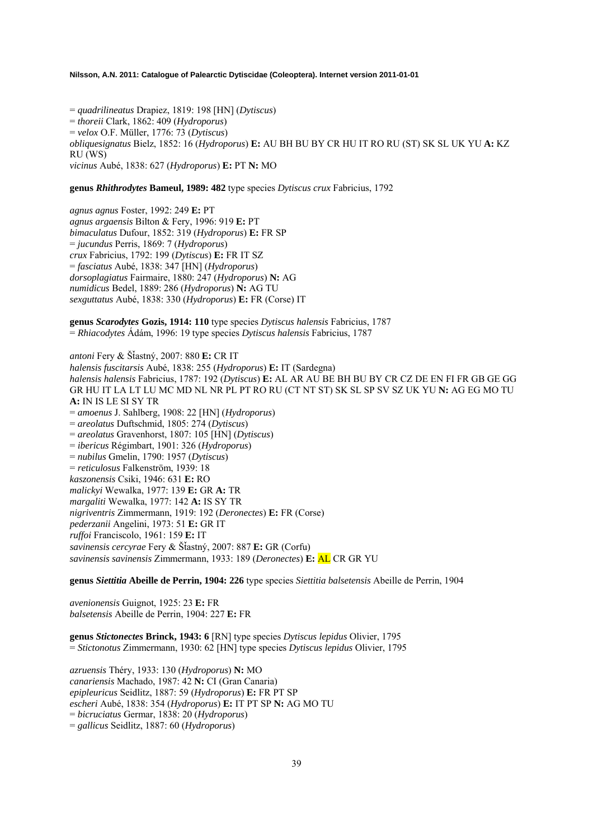= *quadrilineatus* Drapiez, 1819: 198 [HN] (*Dytiscus*) = *thoreii* Clark, 1862: 409 (*Hydroporus*) = *velox* O.F. Müller, 1776: 73 (*Dytiscus*) *obliquesignatus* Bielz, 1852: 16 (*Hydroporus*) **E:** AU BH BU BY CR HU IT RO RU (ST) SK SL UK YU **A:** KZ RU (WS) *vicinus* Aubé, 1838: 627 (*Hydroporus*) **E:** PT **N:** MO

### **genus** *Rhithrodytes* **Bameul, 1989: 482** type species *Dytiscus crux* Fabricius, 1792

*agnus agnus* Foster, 1992: 249 **E:** PT *agnus argaensis* Bilton & Fery, 1996: 919 **E:** PT *bimaculatus* Dufour, 1852: 319 (*Hydroporus*) **E:** FR SP = *jucundus* Perris, 1869: 7 (*Hydroporus*) *crux* Fabricius, 1792: 199 (*Dytiscus*) **E:** FR IT SZ = *fasciatus* Aubé, 1838: 347 [HN] (*Hydroporus*) *dorsoplagiatus* Fairmaire, 1880: 247 (*Hydroporus*) **N:** AG *numidicus* Bedel, 1889: 286 (*Hydroporus*) **N:** AG TU *sexguttatus* Aubé, 1838: 330 (*Hydroporus*) **E:** FR (Corse) IT

**genus** *Scarodytes* **Gozis, 1914: 110** type species *Dytiscus halensis* Fabricius, 1787 = *Rhiacodytes* Ádám, 1996: 19 type species *Dytiscus halensis* Fabricius, 1787

*antoni* Fery & ŠÄastný, 2007: 880 **E:** CR IT *halensis fuscitarsis* Aubé, 1838: 255 (*Hydroporus*) **E:** IT (Sardegna) *halensis halensis* Fabricius, 1787: 192 (*Dytiscus*) **E:** AL AR AU BE BH BU BY CR CZ DE EN FI FR GB GE GG GR HU IT LA LT LU MC MD NL NR PL PT RO RU (CT NT ST) SK SL SP SV SZ UK YU **N:** AG EG MO TU **A:** IN IS LE SI SY TR = *amoenus* J. Sahlberg, 1908: 22 [HN] (*Hydroporus*) = *areolatus* Duftschmid, 1805: 274 (*Dytiscus*) = *areolatus* Gravenhorst, 1807: 105 [HN] (*Dytiscus*) = *ibericus* Régimbart, 1901: 326 (*Hydroporus*) = *nubilus* Gmelin, 1790: 1957 (*Dytiscus*) = *reticulosus* Falkenström, 1939: 18 *kaszonensis* Csiki, 1946: 631 **E:** RO *malickyi* Wewalka, 1977: 139 **E:** GR **A:** TR *margaliti* Wewalka, 1977: 142 **A:** IS SY TR *nigriventris* Zimmermann, 1919: 192 (*Deronectes*) **E:** FR (Corse) *pederzanii* Angelini, 1973: 51 **E:** GR IT *ruffoi* Franciscolo, 1961: 159 **E:** IT *savinensis cercyrae* Fery & ŠÄastný, 2007: 887 **E:** GR (Corfu) *savinensis savinensis* Zimmermann, 1933: 189 (*Deronectes*) **E:** AL CR GR YU

**genus** *Siettitia* **Abeille de Perrin, 1904: 226** type species *Siettitia balsetensis* Abeille de Perrin, 1904

*avenionensis* Guignot, 1925: 23 **E:** FR *balsetensis* Abeille de Perrin, 1904: 227 **E:** FR

**genus** *Stictonectes* **Brinck, 1943: 6** [RN] type species *Dytiscus lepidus* Olivier, 1795 = *Stictonotus* Zimmermann, 1930: 62 [HN] type species *Dytiscus lepidus* Olivier, 1795

*azruensis* Théry, 1933: 130 (*Hydroporus*) **N:** MO *canariensis* Machado, 1987: 42 **N:** CI (Gran Canaria) *epipleuricus* Seidlitz, 1887: 59 (*Hydroporus*) **E:** FR PT SP *escheri* Aubé, 1838: 354 (*Hydroporus*) **E:** IT PT SP **N:** AG MO TU = *bicruciatus* Germar, 1838: 20 (*Hydroporus*) = *gallicus* Seidlitz, 1887: 60 (*Hydroporus*)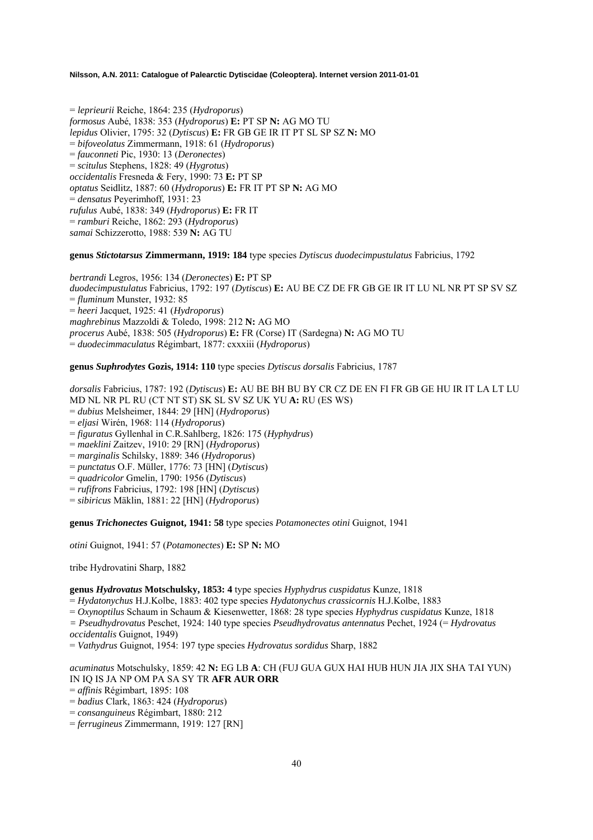= *leprieurii* Reiche, 1864: 235 (*Hydroporus*) *formosus* Aubé, 1838: 353 (*Hydroporus*) **E:** PT SP **N:** AG MO TU *lepidus* Olivier, 1795: 32 (*Dytiscus*) **E:** FR GB GE IR IT PT SL SP SZ **N:** MO = *bifoveolatus* Zimmermann, 1918: 61 (*Hydroporus*) = *fauconneti* Pic, 1930: 13 (*Deronectes*) = *scitulus* Stephens, 1828: 49 (*Hygrotus*) *occidentalis* Fresneda & Fery, 1990: 73 **E:** PT SP *optatus* Seidlitz, 1887: 60 (*Hydroporus*) **E:** FR IT PT SP **N:** AG MO = *densatus* Peyerimhoff, 1931: 23 *rufulus* Aubé, 1838: 349 (*Hydroporus*) **E:** FR IT = *ramburi* Reiche, 1862: 293 (*Hydroporus*) *samai* Schizzerotto, 1988: 539 **N:** AG TU

### **genus** *Stictotarsus* **Zimmermann, 1919: 184** type species *Dytiscus duodecimpustulatus* Fabricius, 1792

*bertrandi* Legros, 1956: 134 (*Deronectes*) **E:** PT SP *duodecimpustulatus* Fabricius, 1792: 197 (*Dytiscus*) **E:** AU BE CZ DE FR GB GE IR IT LU NL NR PT SP SV SZ = *fluminum* Munster, 1932: 85 = *heeri* Jacquet, 1925: 41 (*Hydroporus*) *maghrebinus* Mazzoldi & Toledo, 1998: 212 **N:** AG MO *procerus* Aubé, 1838: 505 (*Hydroporus*) **E:** FR (Corse) IT (Sardegna) **N:** AG MO TU = *duodecimmaculatus* Régimbart, 1877: cxxxiii (*Hydroporus*)

### **genus** *Suphrodytes* **Gozis, 1914: 110** type species *Dytiscus dorsalis* Fabricius, 1787

*dorsalis* Fabricius, 1787: 192 (*Dytiscus*) **E:** AU BE BH BU BY CR CZ DE EN FI FR GB GE HU IR IT LA LT LU MD NL NR PL RU (CT NT ST) SK SL SV SZ UK YU **A:** RU (ES WS)

- = *dubius* Melsheimer, 1844: 29 [HN] (*Hydroporus*)
- = *eljasi* Wirén, 1968: 114 (*Hydroporus*)
- = *figuratus* Gyllenhal in C.R.Sahlberg, 1826: 175 (*Hyphydrus*)
- = *maeklini* Zaitzev, 1910: 29 [RN] (*Hydroporus*)
- = *marginalis* Schilsky, 1889: 346 (*Hydroporus*)
- = *punctatus* O.F. Müller, 1776: 73 [HN] (*Dytiscus*)
- = *quadricolor* Gmelin, 1790: 1956 (*Dytiscus*)
- = *rufifrons* Fabricius, 1792: 198 [HN] (*Dytiscus*)
- = *sibiricus* Mäklin, 1881: 22 [HN] (*Hydroporus*)

**genus** *Trichonectes* **Guignot, 1941: 58** type species *Potamonectes otini* Guignot, 1941

*otini* Guignot, 1941: 57 (*Potamonectes*) **E:** SP **N:** MO

tribe Hydrovatini Sharp, 1882

### **genus** *Hydrovatus* **Motschulsky, 1853: 4** type species *Hyphydrus cuspidatus* Kunze, 1818

= *Hydatonychus* H.J.Kolbe, 1883: 402 type species *Hydatonychus crassicornis* H.J.Kolbe, 1883

= *Oxynoptilus* Schaum in Schaum & Kiesenwetter, 1868: 28 type species *Hyphydrus cuspidatus* Kunze, 1818

- *= Pseudhydrovatus* Peschet, 1924: 140 type species *Pseudhydrovatus antennatus* Pechet, 1924 (= *Hydrovatus*
- *occidentalis* Guignot, 1949)

= *Vathydrus* Guignot, 1954: 197 type species *Hydrovatus sordidus* Sharp, 1882

## *acuminatus* Motschulsky, 1859: 42 **N:** EG LB **A**: CH (FUJ GUA GUX HAI HUB HUN JIA JIX SHA TAI YUN) IN IQ IS JA NP OM PA SA SY TR **AFR AUR ORR**

- = *affinis* Régimbart, 1895: 108
- = *badius* Clark, 1863: 424 (*Hydroporus*)
- = *consanguineus* Régimbart, 1880: 212
- = *ferrugineus* Zimmermann, 1919: 127 [RN]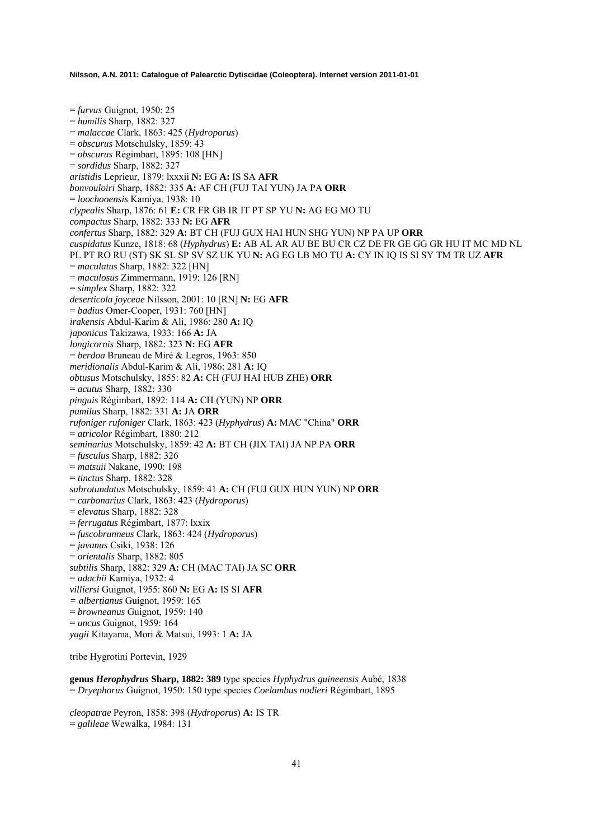= *furvus* Guignot, 1950: 25 = *humilis* Sharp, 1882: 327 = *malaccae* Clark, 1863: 425 (*Hydroporus*) = *obscurus* Motschulsky, 1859: 43 = *obscurus* Régimbart, 1895: 108 [HN] = *sordidus* Sharp, 1882: 327 *aristidis* Leprieur, 1879: lxxxii **N:** EG **A:** IS SA **AFR**  *bonvouloiri* Sharp, 1882: 335 **A:** AF CH (FUJ TAI YUN) JA PA **ORR**  = *loochooensis* Kamiya, 1938: 10 *clypealis* Sharp, 1876: 61 **E:** CR FR GB IR IT PT SP YU **N:** AG EG MO TU *compactus* Sharp, 1882: 333 **N:** EG **AFR**  *confertus* Sharp, 1882: 329 **A:** BT CH (FUJ GUX HAI HUN SHG YUN) NP PA UP **ORR**  *cuspidatus* Kunze, 1818: 68 (*Hyphydrus*) **E:** AB AL AR AU BE BU CR CZ DE FR GE GG GR HU IT MC MD NL PL PT RO RU (ST) SK SL SP SV SZ UK YU **N:** AG EG LB MO TU **A:** CY IN IQ IS SI SY TM TR UZ **AFR**  = *maculatus* Sharp, 1882: 322 [HN] = *maculosus* Zimmermann, 1919: 126 [RN] = *simplex* Sharp, 1882: 322 *deserticola joyceae* Nilsson, 2001: 10 [RN] **N:** EG **AFR**  = *badius* Omer-Cooper, 1931: 760 [HN] *irakensis* Abdul-Karim & Ali, 1986: 280 **A:** IQ *japonicus* Takizawa, 1933: 166 **A:** JA *longicornis* Sharp, 1882: 323 **N:** EG **AFR**  = *berdoa* Bruneau de Miré & Legros, 1963: 850 *meridionalis* Abdul-Karim & Ali, 1986: 281 **A:** IQ *obtusus* Motschulsky, 1855: 82 **A:** CH (FUJ HAI HUB ZHE) **ORR**  = *acutus* Sharp, 1882: 330 *pinguis* Régimbart, 1892: 114 **A:** CH (YUN) NP **ORR**  *pumilus* Sharp, 1882: 331 **A:** JA **ORR**  *rufoniger rufoniger* Clark, 1863: 423 (*Hyphydrus*) **A:** MAC "China" **ORR**  = *atricolor* Régimbart, 1880: 212 *seminarius* Motschulsky, 1859: 42 **A:** BT CH (JIX TAI) JA NP PA **ORR**  = *fusculus* Sharp, 1882: 326 = *matsuii* Nakane, 1990: 198 = *tinctus* Sharp, 1882: 328 *subrotundatus* Motschulsky, 1859: 41 **A:** CH (FUJ GUX HUN YUN) NP **ORR**  = *carbonarius* Clark, 1863: 423 (*Hydroporus*) = *elevatus* Sharp, 1882: 328 = *ferrugatus* Régimbart, 1877: lxxix = *fuscobrunneus* Clark, 1863: 424 (*Hydroporus*) = *javanus* Csiki, 1938: 126 = *orientalis* Sharp, 1882: 805 *subtilis* Sharp, 1882: 329 **A:** CH (MAC TAI) JA SC **ORR**  = *adachii* Kamiya, 1932: 4 *villiersi* Guignot, 1955: 860 **N:** EG **A:** IS SI **AFR**  *= albertianus* Guignot, 1959: 165 = *browneanus* Guignot, 1959: 140 = *uncus* Guignot, 1959: 164 *yagii* Kitayama, Mori & Matsui, 1993: 1 **A:** JA

tribe Hygrotini Portevin, 1929

**genus** *Herophydrus* **Sharp, 1882: 389** type species *Hyphydrus guineensis* Aubé, 1838 = *Dryephorus* Guignot, 1950: 150 type species *Coelambus nodieri* Régimbart, 1895

*cleopatrae* Peyron, 1858: 398 (*Hydroporus*) **A:** IS TR = *galileae* Wewalka, 1984: 131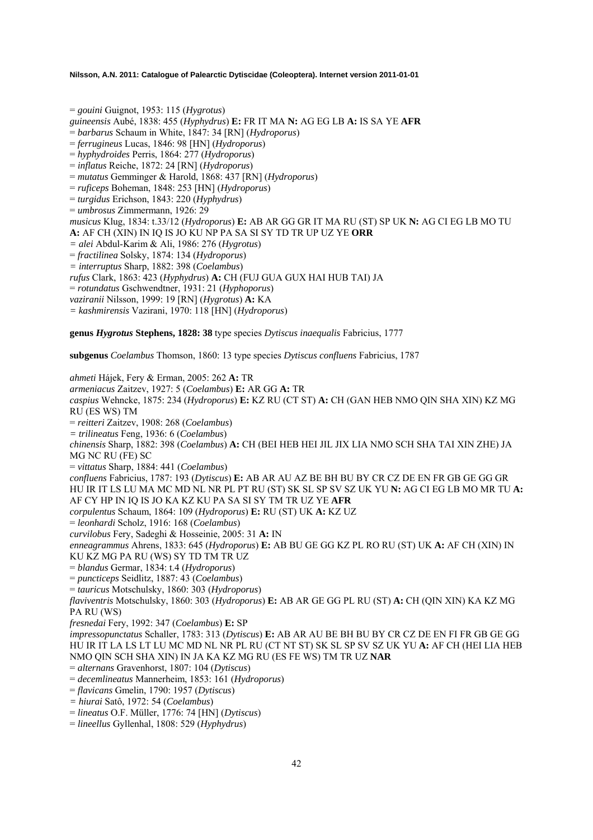= *gouini* Guignot, 1953: 115 (*Hygrotus*) *guineensis* Aubé, 1838: 455 (*Hyphydrus*) **E:** FR IT MA **N:** AG EG LB **A:** IS SA YE **AFR**  = *barbarus* Schaum in White, 1847: 34 [RN] (*Hydroporus*) = *ferrugineus* Lucas, 1846: 98 [HN] (*Hydroporus*) = *hyphydroides* Perris, 1864: 277 (*Hydroporus*) = *inflatus* Reiche, 1872: 24 [RN] (*Hydroporus*) = *mutatus* Gemminger & Harold, 1868: 437 [RN] (*Hydroporus*) = *ruficeps* Boheman, 1848: 253 [HN] (*Hydroporus*) = *turgidus* Erichson, 1843: 220 (*Hyphydrus*) = *umbrosus* Zimmermann, 1926: 29 *musicus* Klug, 1834: t.33/12 (*Hydroporus*) **E:** AB AR GG GR IT MA RU (ST) SP UK **N:** AG CI EG LB MO TU **A:** AF CH (XIN) IN IQ IS JO KU NP PA SA SI SY TD TR UP UZ YE **ORR**  *= alei* Abdul-Karim & Ali, 1986: 276 (*Hygrotus*) = *fractilinea* Solsky, 1874: 134 (*Hydroporus*) *= interruptus* Sharp, 1882: 398 (*Coelambus*) *rufus* Clark, 1863: 423 (*Hyphydrus*) **A:** CH (FUJ GUA GUX HAI HUB TAI) JA = *rotundatus* Gschwendtner, 1931: 21 (*Hyphoporus*) *vaziranii* Nilsson, 1999: 19 [RN] (*Hygrotus*) **A:** KA *= kashmirensis* Vazirani, 1970: 118 [HN] (*Hydroporus*)

**genus** *Hygrotus* **Stephens, 1828: 38** type species *Dytiscus inaequalis* Fabricius, 1777

**subgenus** *Coelambus* Thomson, 1860: 13 type species *Dytiscus confluens* Fabricius, 1787

*ahmeti* Hájek, Fery & Erman, 2005: 262 **A:** TR *armeniacus* Zaitzev, 1927: 5 (*Coelambus*) **E:** AR GG **A:** TR *caspius* Wehncke, 1875: 234 (*Hydroporus*) **E:** KZ RU (CT ST) **A:** CH (GAN HEB NMO QIN SHA XIN) KZ MG RU (ES WS) TM = *reitteri* Zaitzev, 1908: 268 (*Coelambus*) *= trilineatus* Feng, 1936: 6 (*Coelambus*) *chinensis* Sharp, 1882: 398 (*Coelambus*) **A:** CH (BEI HEB HEI JIL JIX LIA NMO SCH SHA TAI XIN ZHE) JA MG NC RU (FE) SC = *vittatus* Sharp, 1884: 441 (*Coelambus*) *confluens* Fabricius, 1787: 193 (*Dytiscus*) **E:** AB AR AU AZ BE BH BU BY CR CZ DE EN FR GB GE GG GR HU IR IT LS LU MA MC MD NL NR PL PT RU (ST) SK SL SP SV SZ UK YU **N:** AG CI EG LB MO MR TU **A:**  AF CY HP IN IQ IS JO KA KZ KU PA SA SI SY TM TR UZ YE **AFR** *corpulentus* Schaum, 1864: 109 (*Hydroporus*) **E:** RU (ST) UK **A:** KZ UZ = *leonhardi* Scholz, 1916: 168 (*Coelambus*) *curvilobus* Fery, Sadeghi & Hosseinie, 2005: 31 **A:** IN *enneagrammus* Ahrens, 1833: 645 (*Hydroporus*) **E:** AB BU GE GG KZ PL RO RU (ST) UK **A:** AF CH (XIN) IN KU KZ MG PA RU (WS) SY TD TM TR UZ = *blandus* Germar, 1834: t.4 (*Hydroporus*) = *puncticeps* Seidlitz, 1887: 43 (*Coelambus*) = *tauricus* Motschulsky, 1860: 303 (*Hydroporus*) *flaviventris* Motschulsky, 1860: 303 (*Hydroporus*) **E:** AB AR GE GG PL RU (ST) **A:** CH (QIN XIN) KA KZ MG PA RU (WS) *fresnedai* Fery, 1992: 347 (*Coelambus*) **E:** SP *impressopunctatus* Schaller, 1783: 313 (*Dytiscus*) **E:** AB AR AU BE BH BU BY CR CZ DE EN FI FR GB GE GG HU IR IT LA LS LT LU MC MD NL NR PL RU (CT NT ST) SK SL SP SV SZ UK YU **A:** AF CH (HEI LIA HEB NMO QIN SCH SHA XIN) IN JA KA KZ MG RU (ES FE WS) TM TR UZ **NAR**  = *alternans* Gravenhorst, 1807: 104 (*Dytiscus*) = *decemlineatus* Mannerheim, 1853: 161 (*Hydroporus*) = *flavicans* Gmelin, 1790: 1957 (*Dytiscus*) *= hiurai* Satô, 1972: 54 (*Coelambus*) = *lineatus* O.F. Müller, 1776: 74 [HN] (*Dytiscus*) = *lineellus* Gyllenhal, 1808: 529 (*Hyphydrus*)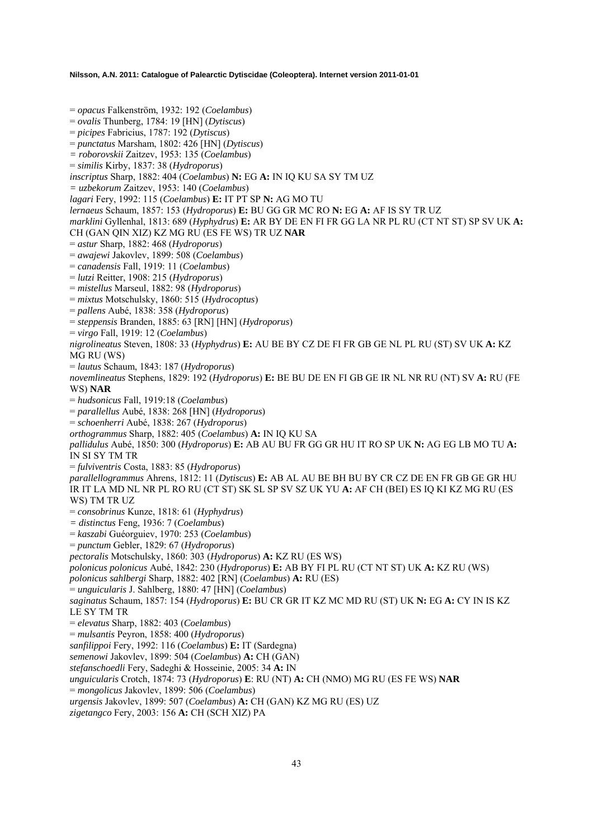= *opacus* Falkenström, 1932: 192 (*Coelambus*) = *ovalis* Thunberg, 1784: 19 [HN] (*Dytiscus*) = *picipes* Fabricius, 1787: 192 (*Dytiscus*) = *punctatus* Marsham, 1802: 426 [HN] (*Dytiscus*) *= roborovskii* Zaitzev, 1953: 135 (*Coelambus*) = *similis* Kirby, 1837: 38 (*Hydroporus*) *inscriptus* Sharp, 1882: 404 (*Coelambus*) **N:** EG **A:** IN IQ KU SA SY TM UZ *= uzbekorum* Zaitzev, 1953: 140 (*Coelambus*) *lagari* Fery, 1992: 115 (*Coelambus*) **E:** IT PT SP **N:** AG MO TU *lernaeus* Schaum, 1857: 153 (*Hydroporus*) **E:** BU GG GR MC RO **N:** EG **A:** AF IS SY TR UZ *marklini* Gyllenhal, 1813: 689 (*Hyphydrus*) **E:** AR BY DE EN FI FR GG LA NR PL RU (CT NT ST) SP SV UK **A:**  CH (GAN QIN XIZ) KZ MG RU (ES FE WS) TR UZ **NAR**  = *astur* Sharp, 1882: 468 (*Hydroporus*) = *awajewi* Jakovlev, 1899: 508 (*Coelambus*) = *canadensis* Fall, 1919: 11 (*Coelambus*) = *lutzi* Reitter, 1908: 215 (*Hydroporus*) = *mistellus* Marseul, 1882: 98 (*Hydroporus*) = *mixtus* Motschulsky, 1860: 515 (*Hydrocoptus*) = *pallens* Aubé, 1838: 358 (*Hydroporus*) = *steppensis* Branden, 1885: 63 [RN] [HN] (*Hydroporus*) = *virgo* Fall, 1919: 12 (*Coelambus*) *nigrolineatus* Steven, 1808: 33 (*Hyphydrus*) **E:** AU BE BY CZ DE FI FR GB GE NL PL RU (ST) SV UK **A:** KZ MG RU (WS) = *lautus* Schaum, 1843: 187 (*Hydroporus*) *novemlineatus* Stephens, 1829: 192 (*Hydroporus*) **E:** BE BU DE EN FI GB GE IR NL NR RU (NT) SV **A:** RU (FE WS) **NAR**  = *hudsonicus* Fall, 1919:18 (*Coelambus*) = *parallellus* Aubé, 1838: 268 [HN] (*Hydroporus*) = *schoenherri* Aubé, 1838: 267 (*Hydroporus*) *orthogrammus* Sharp, 1882: 405 (*Coelambus*) **A:** IN IQ KU SA *pallidulus* Aubé, 1850: 300 (*Hydroporus*) **E:** AB AU BU FR GG GR HU IT RO SP UK **N:** AG EG LB MO TU **A:**  IN SI SY TM TR = *fulviventris* Costa, 1883: 85 (*Hydroporus*) *parallellogrammus* Ahrens, 1812: 11 (*Dytiscus*) **E:** AB AL AU BE BH BU BY CR CZ DE EN FR GB GE GR HU IR IT LA MD NL NR PL RO RU (CT ST) SK SL SP SV SZ UK YU **A:** AF CH (BEI) ES IQ KI KZ MG RU (ES WS) TM TR UZ = *consobrinus* Kunze, 1818: 61 (*Hyphydrus*) *= distinctus* Feng, 1936: 7 (*Coelambus*) = *kaszabi* Guéorguiev, 1970: 253 (*Coelambus*) = *punctum* Gebler, 1829: 67 (*Hydroporus*) *pectoralis* Motschulsky, 1860: 303 (*Hydroporus*) **A:** KZ RU (ES WS) *polonicus polonicus* Aubé, 1842: 230 (*Hydroporus*) **E:** AB BY FI PL RU (CT NT ST) UK **A:** KZ RU (WS) *polonicus sahlbergi* Sharp, 1882: 402 [RN] (*Coelambus*) **A:** RU (ES) = *unguicularis* J. Sahlberg, 1880: 47 [HN] (*Coelambus*) *saginatus* Schaum, 1857: 154 (*Hydroporus*) **E:** BU CR GR IT KZ MC MD RU (ST) UK **N:** EG **A:** CY IN IS KZ LE SY TM TR = *elevatus* Sharp, 1882: 403 (*Coelambus*) = *mulsantis* Peyron, 1858: 400 (*Hydroporus*) *sanfilippoi* Fery, 1992: 116 (*Coelambus*) **E:** IT (Sardegna) *semenowi* Jakovlev, 1899: 504 (*Coelambus*) **A:** CH (GAN) *stefanschoedli* Fery, Sadeghi & Hosseinie, 2005: 34 **A:** IN *unguicularis* Crotch, 1874: 73 (*Hydroporus*) **E**: RU (NT) **A:** CH (NMO) MG RU (ES FE WS) **NAR**  = *mongolicus* Jakovlev, 1899: 506 (*Coelambus*) *urgensis* Jakovlev, 1899: 507 (*Coelambus*) **A:** CH (GAN) KZ MG RU (ES) UZ

*zigetangco* Fery, 2003: 156 **A:** CH (SCH XIZ) PA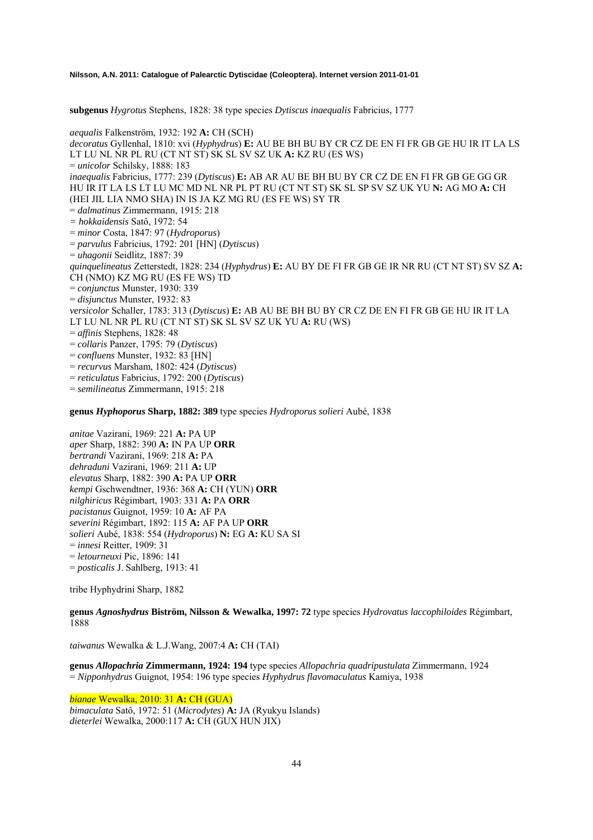**subgenus** *Hygrotus* Stephens, 1828: 38 type species *Dytiscus inaequalis* Fabricius, 1777

*aequalis* Falkenström, 1932: 192 **A:** CH (SCH) *decoratus* Gyllenhal, 1810: xvi (*Hyphydrus*) **E:** AU BE BH BU BY CR CZ DE EN FI FR GB GE HU IR IT LA LS LT LU NL NR PL RU (CT NT ST) SK SL SV SZ UK **A:** KZ RU (ES WS) = *unicolor* Schilsky, 1888: 183 *inaequalis* Fabricius, 1777: 239 (*Dytiscus*) **E:** AB AR AU BE BH BU BY CR CZ DE EN FI FR GB GE GG GR HU IR IT LA LS LT LU MC MD NL NR PL PT RU (CT NT ST) SK SL SP SV SZ UK YU **N:** AG MO **A:** CH (HEI JIL LIA NMO SHA) IN IS JA KZ MG RU (ES FE WS) SY TR = *dalmatinus* Zimmermann, 1915: 218 *= hokkaidensis* Satô, 1972: 54 = *minor* Costa, 1847: 97 (*Hydroporus*) = *parvulus* Fabricius, 1792: 201 [HN] (*Dytiscus*) = *uhagonii* Seidlitz, 1887: 39 *quinquelineatus* Zetterstedt, 1828: 234 (*Hyphydrus*) **E:** AU BY DE FI FR GB GE IR NR RU (CT NT ST) SV SZ **A:**  CH (NMO) KZ MG RU (ES FE WS) TD = *conjunctus* Munster, 1930: 339 = *disjunctus* Munster, 1932: 83 *versicolor* Schaller, 1783: 313 (*Dytiscus*) **E:** AB AU BE BH BU BY CR CZ DE EN FI FR GB GE HU IR IT LA LT LU NL NR PL RU (CT NT ST) SK SL SV SZ UK YU **A:** RU (WS) = *affinis* Stephens, 1828: 48 = *collaris* Panzer, 1795: 79 (*Dytiscus*) = *confluens* Munster, 1932: 83 [HN] = *recurvus* Marsham, 1802: 424 (*Dytiscus*) = *reticulatus* Fabricius, 1792: 200 (*Dytiscus*) = *semilineatus* Zimmermann, 1915: 218

**genus** *Hyphoporus* **Sharp, 1882: 389** type species *Hydroporus solieri* Aubé, 1838

*anitae* Vazirani, 1969: 221 **A:** PA UP *aper* Sharp, 1882: 390 **A:** IN PA UP **ORR**  *bertrandi* Vazirani, 1969: 218 **A:** PA *dehraduni* Vazirani, 1969: 211 **A:** UP *elevatus* Sharp, 1882: 390 **A:** PA UP **ORR**  *kempi* Gschwendtner, 1936: 368 **A:** CH (YUN) **ORR**  *nilghiricus* Régimbart, 1903: 331 **A:** PA **ORR**  *pacistanus* Guignot, 1959: 10 **A:** AF PA *severini* Régimbart, 1892: 115 **A:** AF PA UP **ORR**  *solieri* Aubé, 1838: 554 (*Hydroporus*) **N:** EG **A:** KU SA SI = *innesi* Reitter, 1909: 31 = *letourneuxi* Pic, 1896: 141 = *posticalis* J. Sahlberg, 1913: 41

tribe Hyphydrini Sharp, 1882

**genus** *Agnoshydrus* **Biström, Nilsson & Wewalka, 1997: 72** type species *Hydrovatus laccophiloides* Régimbart, 1888

*taiwanus* Wewalka & L.J.Wang, 2007:4 **A:** CH (TAI)

**genus** *Allopachria* **Zimmermann, 1924: 194** type species *Allopachria quadripustulata* Zimmermann, 1924 = *Nipponhydrus* Guignot, 1954: 196 type species *Hyphydrus flavomaculatus* Kamiya, 1938

*bianae* Wewalka, 2010: 31 **A:** CH (GUA)

*bimaculata* Satô, 1972: 51 (*Microdytes*) **A:** JA (Ryukyu Islands) *dieterlei* Wewalka, 2000:117 **A:** CH (GUX HUN JIX)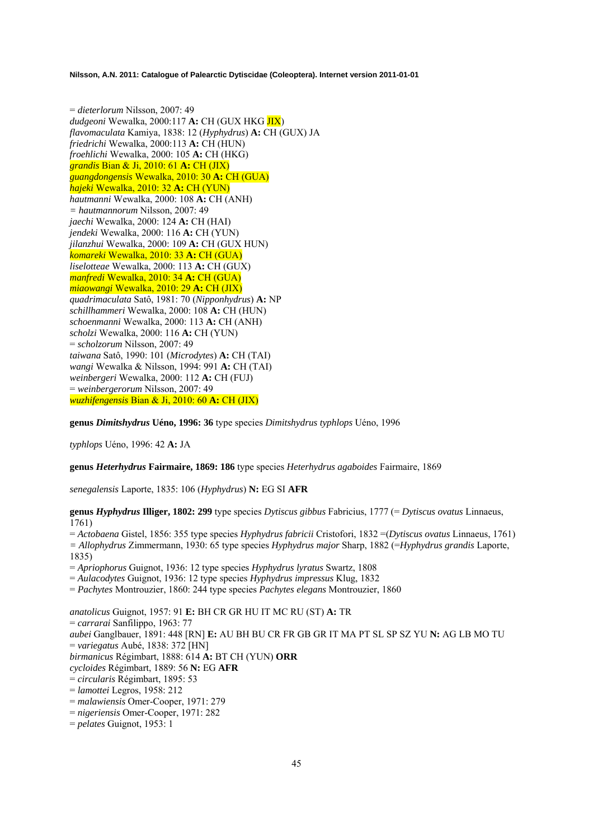= *dieterlorum* Nilsson, 2007: 49 *dudgeoni* Wewalka, 2000:117 **A:** CH (GUX HKG JIX) *flavomaculata* Kamiya, 1838: 12 (*Hyphydrus*) **A:** CH (GUX) JA *friedrichi* Wewalka, 2000:113 **A:** CH (HUN) *froehlichi* Wewalka, 2000: 105 **A:** CH (HKG) *grandis* Bian & Ji, 2010: 61 **A:** CH (JIX) *guangdongensis* Wewalka, 2010: 30 **A:** CH (GUA) *hajeki* Wewalka, 2010: 32 **A:** CH (YUN) *hautmanni* Wewalka, 2000: 108 **A:** CH (ANH) *= hautmannorum* Nilsson, 2007: 49 *jaechi* Wewalka, 2000: 124 **A:** CH (HAI) *jendeki* Wewalka, 2000: 116 **A:** CH (YUN) *jilanzhui* Wewalka, 2000: 109 **A:** CH (GUX HUN) *komareki* Wewalka, 2010: 33 **A:** CH (GUA) *liselotteae* Wewalka, 2000: 113 **A:** CH (GUX) *manfredi* Wewalka, 2010: 34 **A:** CH (GUA) *miaowangi* Wewalka, 2010: 29 **A:** CH (JIX) *quadrimaculata* Satô, 1981: 70 (*Nipponhydrus*) **A:** NP *schillhammeri* Wewalka, 2000: 108 **A:** CH (HUN) *schoenmanni* Wewalka, 2000: 113 **A:** CH (ANH) *scholzi* Wewalka, 2000: 116 **A:** CH (YUN) = *scholzorum* Nilsson, 2007: 49 *taiwana* Satô, 1990: 101 (*Microdytes*) **A:** CH (TAI) *wangi* Wewalka & Nilsson, 1994: 991 **A:** CH (TAI) *weinbergeri* Wewalka, 2000: 112 **A:** CH (FUJ) = *weinbergerorum* Nilsson, 2007: 49 *wuzhifengensis* Bian & Ji, 2010: 60 **A:** CH (JIX)

**genus** *Dimitshydrus* **Uéno, 1996: 36** type species *Dimitshydrus typhlops* Uéno, 1996

*typhlops* Uéno, 1996: 42 **A:** JA

**genus** *Heterhydrus* **Fairmaire, 1869: 186** type species *Heterhydrus agaboides* Fairmaire, 1869

*senegalensis* Laporte, 1835: 106 (*Hyphydrus*) **N:** EG SI **AFR**

**genus** *Hyphydrus* **Illiger, 1802: 299** type species *Dytiscus gibbus* Fabricius, 1777 (= *Dytiscus ovatus* Linnaeus, 1761)

= *Actobaena* Gistel, 1856: 355 type species *Hyphydrus fabricii* Cristofori, 1832 =(*Dytiscus ovatus* Linnaeus, 1761) *= Allophydrus* Zimmermann, 1930: 65 type species *Hyphydrus major* Sharp, 1882 (=*Hyphydrus grandis* Laporte, 1835)

= *Apriophorus* Guignot, 1936: 12 type species *Hyphydrus lyratus* Swartz, 1808

= *Aulacodytes* Guignot, 1936: 12 type species *Hyphydrus impressus* Klug, 1832

= *Pachytes* Montrouzier, 1860: 244 type species *Pachytes elegans* Montrouzier, 1860

*anatolicus* Guignot, 1957: 91 **E:** BH CR GR HU IT MC RU (ST) **A:** TR = *carrarai* Sanfilippo, 1963: 77 *aubei* Ganglbauer, 1891: 448 [RN] **E:** AU BH BU CR FR GB GR IT MA PT SL SP SZ YU **N:** AG LB MO TU = *variegatus* Aubé, 1838: 372 [HN] *birmanicus* Régimbart, 1888: 614 **A:** BT CH (YUN) **ORR** *cycloides* Régimbart, 1889: 56 **N:** EG **AFR** = *circularis* Régimbart, 1895: 53 = *lamottei* Legros, 1958: 212 = *malawiensis* Omer-Cooper, 1971: 279

= *nigeriensis* Omer-Cooper, 1971: 282

= *pelates* Guignot, 1953: 1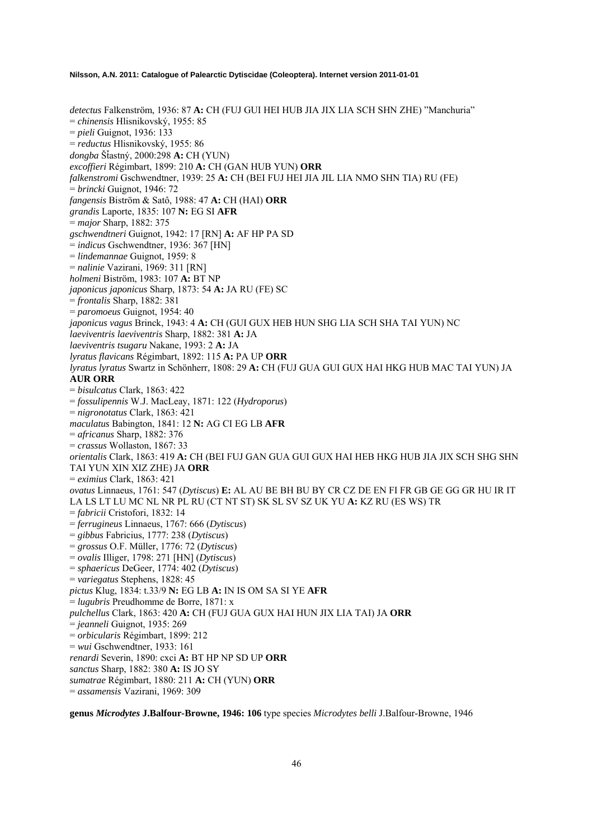*detectus* Falkenström, 1936: 87 **A:** CH (FUJ GUI HEI HUB JIA JIX LIA SCH SHN ZHE) "Manchuria" = *chinensis* Hlisnikovský, 1955: 85 = *pieli* Guignot, 1936: 133 = *reductus* Hlisnikovský, 1955: 86 *dongba* ŠÄastný, 2000:298 **A:** CH (YUN) *excoffieri* Régimbart, 1899: 210 **A:** CH (GAN HUB YUN) **ORR** *falkenstromi* Gschwendtner, 1939: 25 **A:** CH (BEI FUJ HEI JIA JIL LIA NMO SHN TIA) RU (FE) = *brincki* Guignot, 1946: 72 *fangensis* Biström & Satô, 1988: 47 **A:** CH (HAI) **ORR** *grandis* Laporte, 1835: 107 **N:** EG SI **AFR** = *major* Sharp, 1882: 375 *gschwendtneri* Guignot, 1942: 17 [RN] **A:** AF HP PA SD = *indicus* Gschwendtner, 1936: 367 [HN] = *lindemannae* Guignot, 1959: 8 = *nalinie* Vazirani, 1969: 311 [RN] *holmeni* Biström, 1983: 107 **A:** BT NP *japonicus japonicus* Sharp, 1873: 54 **A:** JA RU (FE) SC = *frontalis* Sharp, 1882: 381 = *paromoeus* Guignot, 1954: 40 *japonicus vagus* Brinck, 1943: 4 **A:** CH (GUI GUX HEB HUN SHG LIA SCH SHA TAI YUN) NC *laeviventris laeviventris* Sharp, 1882: 381 **A:** JA *laeviventris tsugaru* Nakane, 1993: 2 **A:** JA *lyratus flavicans* Régimbart, 1892: 115 **A:** PA UP **ORR** *lyratus lyratus* Swartz in Schönherr, 1808: 29 **A:** CH (FUJ GUA GUI GUX HAI HKG HUB MAC TAI YUN) JA **AUR ORR** = *bisulcatus* Clark, 1863: 422 = *fossulipennis* W.J. MacLeay, 1871: 122 (*Hydroporus*) = *nigronotatus* Clark, 1863: 421 *maculatus* Babington, 1841: 12 **N:** AG CI EG LB **AFR** = *africanus* Sharp, 1882: 376  $=$  *crassus* Wollaston, 1867: 33 *orientalis* Clark, 1863: 419 **A:** CH (BEI FUJ GAN GUA GUI GUX HAI HEB HKG HUB JIA JIX SCH SHG SHN TAI YUN XIN XIZ ZHE) JA **ORR** = *eximius* Clark, 1863: 421 *ovatus* Linnaeus, 1761: 547 (*Dytiscus*) **E:** AL AU BE BH BU BY CR CZ DE EN FI FR GB GE GG GR HU IR IT LA LS LT LU MC NL NR PL RU (CT NT ST) SK SL SV SZ UK YU **A:** KZ RU (ES WS) TR = *fabricii* Cristofori, 1832: 14 = *ferrugineus* Linnaeus, 1767: 666 (*Dytiscus*) = *gibbus* Fabricius, 1777: 238 (*Dytiscus*) = *grossus* O.F. Müller, 1776: 72 (*Dytiscus*) = *ovalis* Illiger, 1798: 271 [HN] (*Dytiscus*) = *sphaericus* DeGeer, 1774: 402 (*Dytiscus*) = *variegatus* Stephens, 1828: 45 *pictus* Klug, 1834: t.33/9 **N:** EG LB **A:** IN IS OM SA SI YE **AFR** = *lugubris* Preudhomme de Borre, 1871: x *pulchellus* Clark, 1863: 420 **A:** CH (FUJ GUA GUX HAI HUN JIX LIA TAI) JA **ORR** = *jeanneli* Guignot, 1935: 269 = *orbicularis* Régimbart, 1899: 212 = *wui* Gschwendtner, 1933: 161 *renardi* Severin, 1890: cxci **A:** BT HP NP SD UP **ORR** *sanctus* Sharp, 1882: 380 **A:** IS JO SY *sumatrae* Régimbart, 1880: 211 **A:** CH (YUN) **ORR**

= *assamensis* Vazirani, 1969: 309

**genus** *Microdytes* **J.Balfour-Browne, 1946: 106** type species *Microdytes belli* J.Balfour-Browne, 1946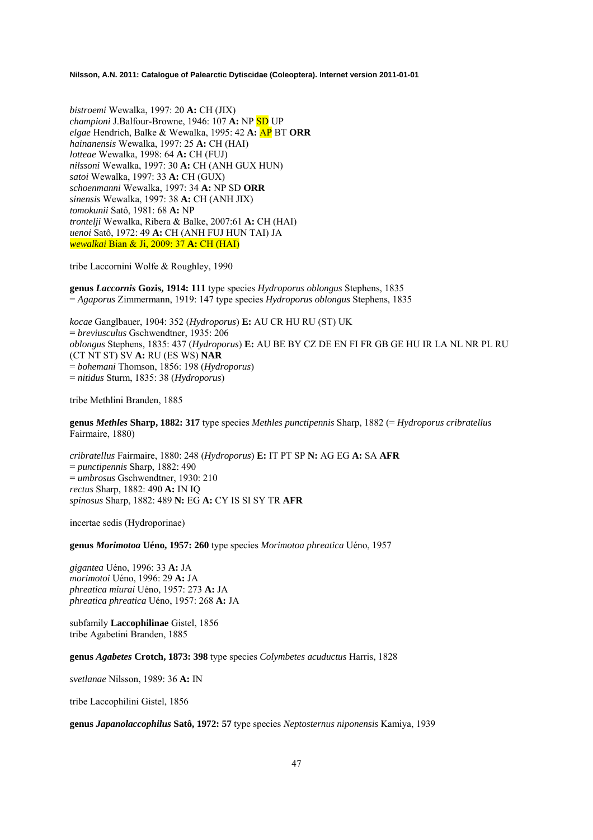*bistroemi* Wewalka, 1997: 20 **A:** CH (JIX) *championi* J.Balfour-Browne, 1946: 107 **A:** NP SD UP *elgae* Hendrich, Balke & Wewalka, 1995: 42 **A:** AP BT **ORR** *hainanensis* Wewalka, 1997: 25 **A:** CH (HAI) *lotteae* Wewalka, 1998: 64 **A:** CH (FUJ) *nilssoni* Wewalka, 1997: 30 **A:** CH (ANH GUX HUN) *satoi* Wewalka, 1997: 33 **A:** CH (GUX) *schoenmanni* Wewalka, 1997: 34 **A:** NP SD **ORR** *sinensis* Wewalka, 1997: 38 **A:** CH (ANH JIX) *tomokunii* Satô, 1981: 68 **A:** NP *trontelji* Wewalka, Ribera & Balke, 2007:61 **A:** CH (HAI) *uenoi* Satô, 1972: 49 **A:** CH (ANH FUJ HUN TAI) JA *wewalkai* Bian & Ji, 2009: 37 **A:** CH (HAI)

tribe Laccornini Wolfe & Roughley, 1990

**genus** *Laccornis* **Gozis, 1914: 111** type species *Hydroporus oblongus* Stephens, 1835 = *Agaporus* Zimmermann, 1919: 147 type species *Hydroporus oblongus* Stephens, 1835

*kocae* Ganglbauer, 1904: 352 (*Hydroporus*) **E:** AU CR HU RU (ST) UK = *breviusculus* Gschwendtner, 1935: 206 *oblongus* Stephens, 1835: 437 (*Hydroporus*) **E:** AU BE BY CZ DE EN FI FR GB GE HU IR LA NL NR PL RU (CT NT ST) SV **A:** RU (ES WS) **NAR**  = *bohemani* Thomson, 1856: 198 (*Hydroporus*) = *nitidus* Sturm, 1835: 38 (*Hydroporus*)

tribe Methlini Branden, 1885

**genus** *Methles* **Sharp, 1882: 317** type species *Methles punctipennis* Sharp, 1882 (= *Hydroporus cribratellus* Fairmaire, 1880)

*cribratellus* Fairmaire, 1880: 248 (*Hydroporus*) **E:** IT PT SP **N:** AG EG **A:** SA **AFR**  = *punctipennis* Sharp, 1882: 490 = *umbrosus* Gschwendtner, 1930: 210 *rectus* Sharp, 1882: 490 **A:** IN IQ *spinosus* Sharp, 1882: 489 **N:** EG **A:** CY IS SI SY TR **AFR**

incertae sedis (Hydroporinae)

**genus** *Morimotoa* **Uéno, 1957: 260** type species *Morimotoa phreatica* Uéno, 1957

*gigantea* Uéno, 1996: 33 **A:** JA *morimotoi* Uéno, 1996: 29 **A:** JA *phreatica miurai* Uéno, 1957: 273 **A:** JA *phreatica phreatica* Uéno, 1957: 268 **A:** JA

subfamily **Laccophilinae** Gistel, 1856 tribe Agabetini Branden, 1885

**genus** *Agabetes* **Crotch, 1873: 398** type species *Colymbetes acuductus* Harris, 1828

*svetlanae* Nilsson, 1989: 36 **A:** IN

tribe Laccophilini Gistel, 1856

**genus** *Japanolaccophilus* **Satô, 1972: 57** type species *Neptosternus niponensis* Kamiya, 1939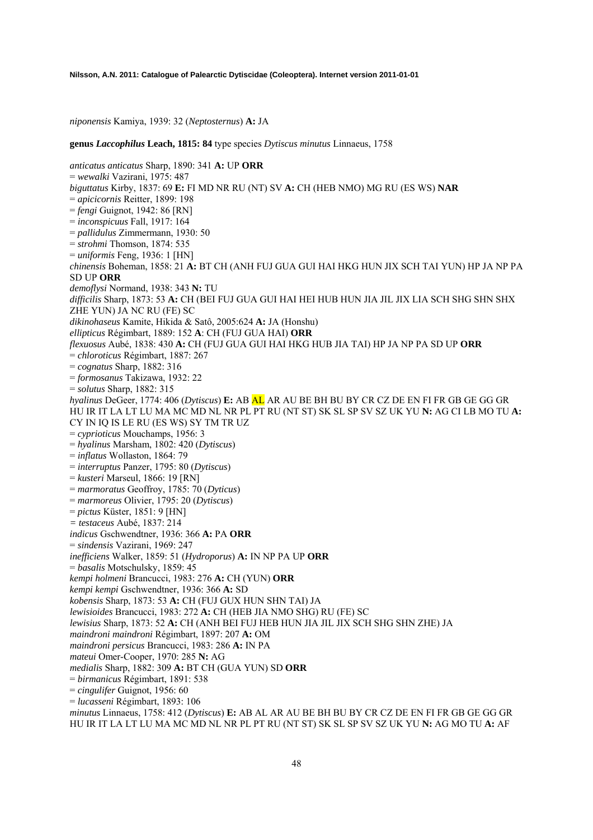*niponensis* Kamiya, 1939: 32 (*Neptosternus*) **A:** JA

**genus** *Laccophilus* **Leach, 1815: 84** type species *Dytiscus minutus* Linnaeus, 1758

*anticatus anticatus* Sharp, 1890: 341 **A:** UP **ORR**  = *wewalki* Vazirani, 1975: 487 *biguttatus* Kirby, 1837: 69 **E:** FI MD NR RU (NT) SV **A:** CH (HEB NMO) MG RU (ES WS) **NAR**  = *apicicornis* Reitter, 1899: 198 = *fengi* Guignot, 1942: 86 [RN] = *inconspicuus* Fall, 1917: 164 = *pallidulus* Zimmermann, 1930: 50 = *strohmi* Thomson, 1874: 535 = *uniformis* Feng, 1936: 1 [HN] *chinensis* Boheman, 1858: 21 **A:** BT CH (ANH FUJ GUA GUI HAI HKG HUN JIX SCH TAI YUN) HP JA NP PA SD UP **ORR**  *demoflysi* Normand, 1938: 343 **N:** TU *difficilis* Sharp, 1873: 53 **A:** CH (BEI FUJ GUA GUI HAI HEI HUB HUN JIA JIL JIX LIA SCH SHG SHN SHX ZHE YUN) JA NC RU (FE) SC *dikinohaseus* Kamite, Hikida & Satô, 2005:624 **A:** JA (Honshu) *ellipticus* Régimbart, 1889: 152 **A**: CH (FUJ GUA HAI) **ORR**  *flexuosus* Aubé, 1838: 430 **A:** CH (FUJ GUA GUI HAI HKG HUB JIA TAI) HP JA NP PA SD UP **ORR**  = *chloroticus* Régimbart, 1887: 267 = *cognatus* Sharp, 1882: 316 = *formosanus* Takizawa, 1932: 22 = *solutus* Sharp, 1882: 315 *hyalinus* DeGeer, 1774: 406 (*Dytiscus*) **E:** AB AL AR AU BE BH BU BY CR CZ DE EN FI FR GB GE GG GR HU IR IT LA LT LU MA MC MD NL NR PL PT RU (NT ST) SK SL SP SV SZ UK YU **N:** AG CI LB MO TU **A:**  CY IN IQ IS LE RU (ES WS) SY TM TR UZ = *cyprioticus* Mouchamps, 1956: 3 = *hyalinus* Marsham, 1802: 420 (*Dytiscus*) = *inflatus* Wollaston, 1864: 79 = *interruptus* Panzer, 1795: 80 (*Dytiscus*) = *kusteri* Marseul, 1866: 19 [RN] = *marmoratus* Geoffroy, 1785: 70 (*Dyticus*) = *marmoreus* Olivier, 1795: 20 (*Dytiscus*) = *pictus* Küster, 1851: 9 [HN] *= testaceus* Aubé, 1837: 214 *indicus* Gschwendtner, 1936: 366 **A:** PA **ORR**  = *sindensis* Vazirani, 1969: 247 *inefficiens* Walker, 1859: 51 (*Hydroporus*) **A:** IN NP PA UP **ORR**  = *basalis* Motschulsky, 1859: 45 *kempi holmeni* Brancucci, 1983: 276 **A:** CH (YUN) **ORR**  *kempi kempi* Gschwendtner, 1936: 366 **A:** SD *kobensis* Sharp, 1873: 53 **A:** CH (FUJ GUX HUN SHN TAI) JA *lewisioides* Brancucci, 1983: 272 **A:** CH (HEB JIA NMO SHG) RU (FE) SC *lewisius* Sharp, 1873: 52 **A:** CH (ANH BEI FUJ HEB HUN JIA JIL JIX SCH SHG SHN ZHE) JA *maindroni maindroni* Régimbart, 1897: 207 **A:** OM *maindroni persicus* Brancucci, 1983: 286 **A:** IN PA *mateui* Omer-Cooper, 1970: 285 **N:** AG *medialis* Sharp, 1882: 309 **A:** BT CH (GUA YUN) SD **ORR**  = *birmanicus* Régimbart, 1891: 538 = *cingulifer* Guignot, 1956: 60 = *lucasseni* Régimbart, 1893: 106 *minutus* Linnaeus, 1758: 412 (*Dytiscus*) **E:** AB AL AR AU BE BH BU BY CR CZ DE EN FI FR GB GE GG GR HU IR IT LA LT LU MA MC MD NL NR PL PT RU (NT ST) SK SL SP SV SZ UK YU **N:** AG MO TU **A:** AF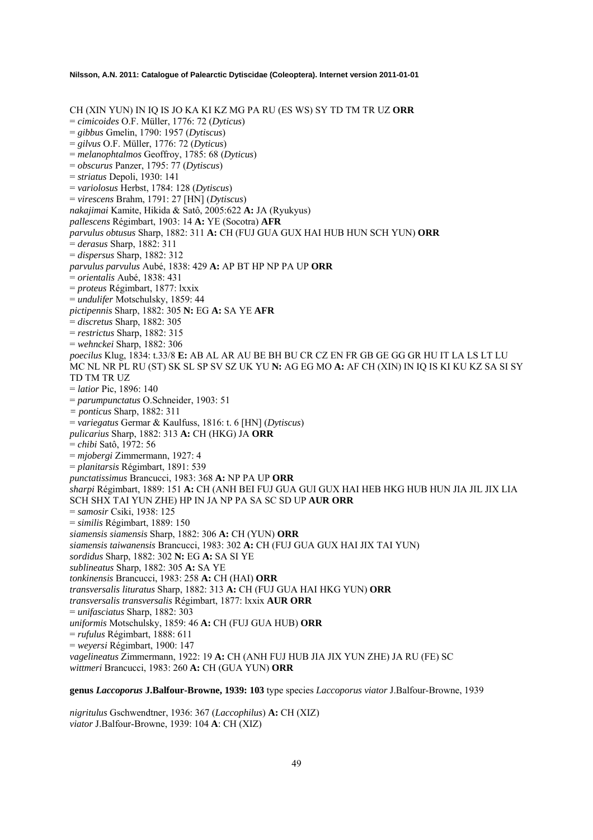CH (XIN YUN) IN IQ IS JO KA KI KZ MG PA RU (ES WS) SY TD TM TR UZ **ORR**  = *cimicoides* O.F. Müller, 1776: 72 (*Dyticus*) = *gibbus* Gmelin, 1790: 1957 (*Dytiscus*) = *gilvus* O.F. Müller, 1776: 72 (*Dyticus*) = *melanophtalmos* Geoffroy, 1785: 68 (*Dyticus*) = *obscurus* Panzer, 1795: 77 (*Dytiscus*) = *striatus* Depoli, 1930: 141 = *variolosus* Herbst, 1784: 128 (*Dytiscus*) = *virescens* Brahm, 1791: 27 [HN] (*Dytiscus*) *nakajimai* Kamite, Hikida & Satô, 2005:622 **A:** JA (Ryukyus) *pallescens* Régimbart, 1903: 14 **A:** YE (Socotra) **AFR** *parvulus obtusus* Sharp, 1882: 311 **A:** CH (FUJ GUA GUX HAI HUB HUN SCH YUN) **ORR** = *derasus* Sharp, 1882: 311 = *dispersus* Sharp, 1882: 312 *parvulus parvulus* Aubé, 1838: 429 **A:** AP BT HP NP PA UP **ORR** = *orientalis* Aubé, 1838: 431 = *proteus* Régimbart, 1877: lxxix = *undulifer* Motschulsky, 1859: 44 *pictipennis* Sharp, 1882: 305 **N:** EG **A:** SA YE **AFR** = *discretus* Sharp, 1882: 305 = *restrictus* Sharp, 1882: 315 = *wehnckei* Sharp, 1882: 306 *poecilus* Klug, 1834: t.33/8 **E:** AB AL AR AU BE BH BU CR CZ EN FR GB GE GG GR HU IT LA LS LT LU MC NL NR PL RU (ST) SK SL SP SV SZ UK YU **N:** AG EG MO **A:** AF CH (XIN) IN IQ IS KI KU KZ SA SI SY TD TM TR UZ = *latior* Pic, 1896: 140 = *parumpunctatus* O.Schneider, 1903: 51 *= ponticus* Sharp, 1882: 311 = *variegatus* Germar & Kaulfuss, 1816: t. 6 [HN] (*Dytiscus*) *pulicarius* Sharp, 1882: 313 **A:** CH (HKG) JA **ORR** = *chibi* Satô, 1972: 56 = *mjobergi* Zimmermann, 1927: 4 = *planitarsis* Régimbart, 1891: 539 *punctatissimus* Brancucci, 1983: 368 **A:** NP PA UP **ORR** *sharpi* Régimbart, 1889: 151 **A:** CH (ANH BEI FUJ GUA GUI GUX HAI HEB HKG HUB HUN JIA JIL JIX LIA SCH SHX TAI YUN ZHE) HP IN JA NP PA SA SC SD UP **AUR ORR** = *samosir* Csiki, 1938: 125 = *similis* Régimbart, 1889: 150 *siamensis siamensis* Sharp, 1882: 306 **A:** CH (YUN) **ORR** *siamensis taiwanensis* Brancucci, 1983: 302 **A:** CH (FUJ GUA GUX HAI JIX TAI YUN) *sordidus* Sharp, 1882: 302 **N:** EG **A:** SA SI YE *sublineatus* Sharp, 1882: 305 **A:** SA YE *tonkinensis* Brancucci, 1983: 258 **A:** CH (HAI) **ORR** *transversalis lituratus* Sharp, 1882: 313 **A:** CH (FUJ GUA HAI HKG YUN) **ORR**  *transversalis transversalis* Régimbart, 1877: lxxix **AUR ORR**  = *unifasciatus* Sharp, 1882: 303 *uniformis* Motschulsky, 1859: 46 **A:** CH (FUJ GUA HUB) **ORR**  = *rufulus* Régimbart, 1888: 611 = *weyersi* Régimbart, 1900: 147 *vagelineatus* Zimmermann, 1922: 19 **A:** CH (ANH FUJ HUB JIA JIX YUN ZHE) JA RU (FE) SC *wittmeri* Brancucci, 1983: 260 **A:** CH (GUA YUN) **ORR**

**genus** *Laccoporus* **J.Balfour-Browne, 1939: 103** type species *Laccoporus viator* J.Balfour-Browne, 1939

*nigritulus* Gschwendtner, 1936: 367 (*Laccophilus*) **A:** CH (XIZ) *viator* J.Balfour-Browne, 1939: 104 **A**: CH (XIZ)